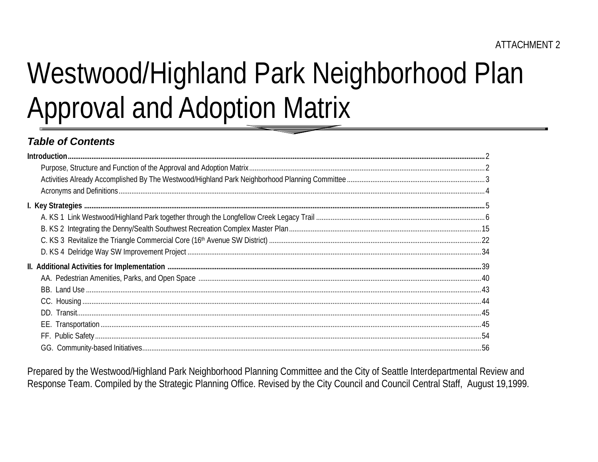# Westwood/Highland Park Neighborhood Plan **Approval and Adoption Matrix**

# **Table of Contents**

Prepared by the Westwood/Highland Park Neighborhood Planning Committee and the City of Seattle Interdepartmental Review and Response Team. Compiled by the Strategic Planning Office. Revised by the City Council and Council Central Staff, August 19,1999.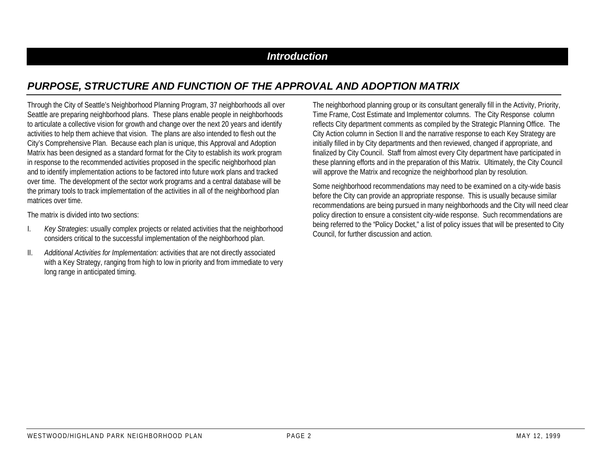# *Introduction*

# *PURPOSE, STRUCTURE AND FUNCTION OF THE APPROVAL AND ADOPTION MATRIX*

Through the City of Seattle's Neighborhood Planning Program, 37 neighborhoods all over Seattle are preparing neighborhood plans. These plans enable people in neighborhoods to articulate a collective vision for growth and change over the next 20 years and identify activities to help them achieve that vision. The plans are also intended to flesh out the City's Comprehensive Plan. Because each plan is unique, this Approval and Adoption Matrix has been designed as a standard format for the City to establish its work program in response to the recommended activities proposed in the specific neighborhood plan and to identify implementation actions to be factored into future work plans and tracked over time. The development of the sector work programs and a central database will be the primary tools to track implementation of the activities in all of the neighborhood plan matrices over time.

The matrix is divided into two sections:

- I. *Key Strategies*: usually complex projects or related activities that the neighborhood considers critical to the successful implementation of the neighborhood plan.
- II. *Additional Activities for Implementation:* activities that are not directly associated with a Key Strategy, ranging from high to low in priority and from immediate to very long range in anticipated timing.

The neighborhood planning group or its consultant generally fill in the Activity, Priority, Time Frame, Cost Estimate and Implementor columns. The City Response column reflects City department comments as compiled by the Strategic Planning Office. The City Action column in Section II and the narrative response to each Key Strategy are initially filled in by City departments and then reviewed, changed if appropriate, and finalized by City Council. Staff from almost every City department have participated in these planning efforts and in the preparation of this Matrix. Ultimately, the City Council will approve the Matrix and recognize the neighborhood plan by resolution.

Some neighborhood recommendations may need to be examined on a city-wide basis before the City can provide an appropriate response. This is usually because similar recommendations are being pursued in many neighborhoods and the City will need clear policy direction to ensure a consistent city-wide response. Such recommendations are being referred to the "Policy Docket," a list of policy issues that will be presented to City Council, for further discussion and action.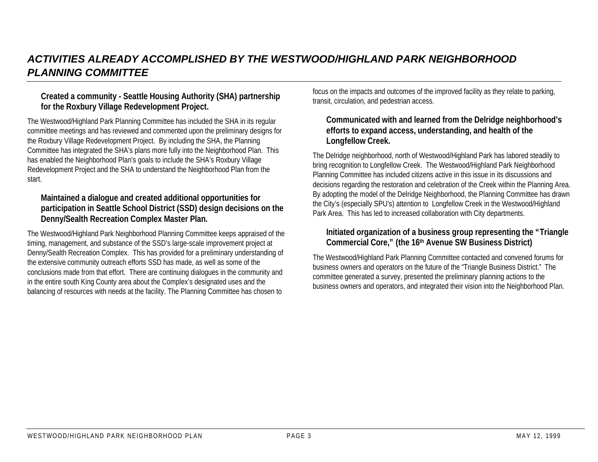# *ACTIVITIES ALREADY ACCOMPLISHED BY THE WESTWOOD/HIGHLAND PARK NEIGHBORHOOD PLANNING COMMITTEE*

#### **Created a community - Seattle Housing Authority (SHA) partnership for the Roxbury Village Redevelopment Project.**

The Westwood/Highland Park Planning Committee has included the SHA in its regular committee meetings and has reviewed and commented upon the preliminary designs for the Roxbury Village Redevelopment Project. By including the SHA, the Planning Committee has integrated the SHA's plans more fully into the Neighborhood Plan. This has enabled the Neighborhood Plan's goals to include the SHA's Roxbury Village Redevelopment Project and the SHA to understand the Neighborhood Plan from the start.

#### **Maintained a dialogue and created additional opportunities for participation in Seattle School District (SSD) design decisions on the Denny/Sealth Recreation Complex Master Plan.**

The Westwood/Highland Park Neighborhood Planning Committee keeps appraised of the timing, management, and substance of the SSD's large-scale improvement project at Denny/Sealth Recreation Complex. This has provided for a preliminary understanding of the extensive community outreach efforts SSD has made, as well as some of the conclusions made from that effort. There are continuing dialogues in the community and in the entire south King County area about the Complex's designated uses and the balancing of resources with needs at the facility. The Planning Committee has chosen to

focus on the impacts and outcomes of the improved facility as they relate to parking, transit, circulation, and pedestrian access.

#### **Communicated with and learned from the Delridge neighborhood's efforts to expand access, understanding, and health of the Longfellow Creek.**

The Delridge neighborhood, north of Westwood/Highland Park has labored steadily to bring recognition to Longfellow Creek. The Westwood/Highland Park Neighborhood Planning Committee has included citizens active in this issue in its discussions and decisions regarding the restoration and celebration of the Creek within the Planning Area. By adopting the model of the Delridge Neighborhood, the Planning Committee has drawn the City's (especially SPU's) attention to Longfellow Creek in the Westwood/Highland Park Area. This has led to increased collaboration with City departments.

#### **Initiated organization of a business group representing the "Triangle Commercial Core," (the 16th Avenue SW Business District)**

The Westwood/Highland Park Planning Committee contacted and convened forums for business owners and operators on the future of the "Triangle Business District." The committee generated a survey, presented the preliminary planning actions to the business owners and operators, and integrated their vision into the Neighborhood Plan.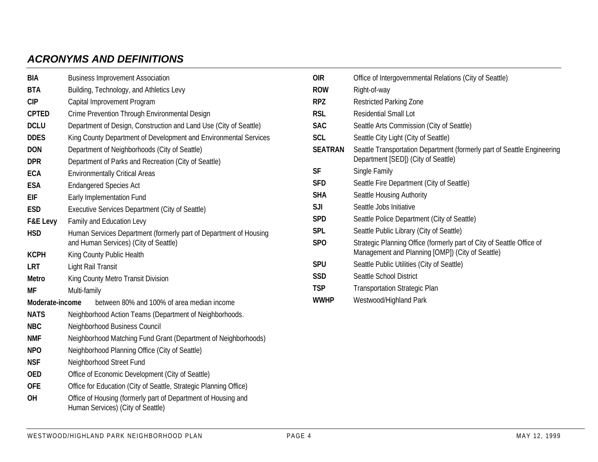# *ACRONYMS AND DEFINITIONS*

| BIA             | <b>Business Improvement Association</b>                                                                    |  |  |  |  |  |  |  |  |  |  |
|-----------------|------------------------------------------------------------------------------------------------------------|--|--|--|--|--|--|--|--|--|--|
| <b>BTA</b>      | Building, Technology, and Athletics Levy                                                                   |  |  |  |  |  |  |  |  |  |  |
| <b>CIP</b>      | Capital Improvement Program                                                                                |  |  |  |  |  |  |  |  |  |  |
| <b>CPTED</b>    | Crime Prevention Through Environmental Design                                                              |  |  |  |  |  |  |  |  |  |  |
| <b>DCLU</b>     | Department of Design, Construction and Land Use (City of Seattle)                                          |  |  |  |  |  |  |  |  |  |  |
| <b>DDES</b>     | King County Department of Development and Environmental Services                                           |  |  |  |  |  |  |  |  |  |  |
| <b>DON</b>      | Department of Neighborhoods (City of Seattle)                                                              |  |  |  |  |  |  |  |  |  |  |
| <b>DPR</b>      | Department of Parks and Recreation (City of Seattle)                                                       |  |  |  |  |  |  |  |  |  |  |
| <b>ECA</b>      | <b>Environmentally Critical Areas</b>                                                                      |  |  |  |  |  |  |  |  |  |  |
| <b>ESA</b>      | <b>Endangered Species Act</b>                                                                              |  |  |  |  |  |  |  |  |  |  |
| EIF             | Early Implementation Fund                                                                                  |  |  |  |  |  |  |  |  |  |  |
| <b>ESD</b>      | Executive Services Department (City of Seattle)                                                            |  |  |  |  |  |  |  |  |  |  |
| F&E Levy        | Family and Education Levy                                                                                  |  |  |  |  |  |  |  |  |  |  |
| <b>HSD</b>      | Human Services Department (formerly part of Department of Housing<br>and Human Services) (City of Seattle) |  |  |  |  |  |  |  |  |  |  |
| <b>KCPH</b>     | King County Public Health                                                                                  |  |  |  |  |  |  |  |  |  |  |
| <b>LRT</b>      | Light Rail Transit                                                                                         |  |  |  |  |  |  |  |  |  |  |
| <b>Metro</b>    | King County Metro Transit Division                                                                         |  |  |  |  |  |  |  |  |  |  |
| MF              | Multi-family                                                                                               |  |  |  |  |  |  |  |  |  |  |
| Moderate-income | between 80% and 100% of area median income                                                                 |  |  |  |  |  |  |  |  |  |  |
| <b>NATS</b>     | Neighborhood Action Teams (Department of Neighborhoods.                                                    |  |  |  |  |  |  |  |  |  |  |
| <b>NBC</b>      | Neighborhood Business Council                                                                              |  |  |  |  |  |  |  |  |  |  |
| <b>NMF</b>      | Neighborhood Matching Fund Grant (Department of Neighborhoods)                                             |  |  |  |  |  |  |  |  |  |  |
| <b>NPO</b>      | Neighborhood Planning Office (City of Seattle)                                                             |  |  |  |  |  |  |  |  |  |  |
| <b>NSF</b>      | Neighborhood Street Fund                                                                                   |  |  |  |  |  |  |  |  |  |  |
| <b>OED</b>      | Office of Economic Development (City of Seattle)                                                           |  |  |  |  |  |  |  |  |  |  |
| <b>OFE</b>      | Office for Education (City of Seattle, Strategic Planning Office)                                          |  |  |  |  |  |  |  |  |  |  |
| <b>OH</b>       | Office of Housing (formerly part of Department of Housing and<br>Human Services) (City of Seattle)         |  |  |  |  |  |  |  |  |  |  |

| 0IR            | Office of Intergovernmental Relations (City of Seattle)                                                                   |
|----------------|---------------------------------------------------------------------------------------------------------------------------|
| <b>ROW</b>     | Right-of-way                                                                                                              |
| RPZ.           | Restricted Parking Zone                                                                                                   |
| rsl            | Residential Small Lot                                                                                                     |
| <b>SAC</b>     | Seattle Arts Commission (City of Seattle)                                                                                 |
| <b>SCL</b>     | Seattle City Light (City of Seattle)                                                                                      |
| <b>SEATRAN</b> | Seattle Transportation Department (formerly part of Seattle Engineering<br>Department [SED]) (City of Seattle)            |
| SF             | Single Family                                                                                                             |
| <b>SFD</b>     | Seattle Fire Department (City of Seattle)                                                                                 |
| <b>SHA</b>     | Seattle Housing Authority                                                                                                 |
| SJI            | Seattle Jobs Initiative                                                                                                   |
| <b>SPD</b>     | Seattle Police Department (City of Seattle)                                                                               |
| <b>SPL</b>     | Seattle Public Library (City of Seattle)                                                                                  |
| <b>SPO</b>     | Strategic Planning Office (formerly part of City of Seattle Office of<br>Management and Planning [OMP]) (City of Seattle) |
| <b>SPU</b>     | Seattle Public Utilities (City of Seattle)                                                                                |
| <b>SSD</b>     | Seattle School District                                                                                                   |
| <b>TSP</b>     | <b>Transportation Strategic Plan</b>                                                                                      |
| <b>WWHP</b>    | Westwood/Highland Park                                                                                                    |
|                |                                                                                                                           |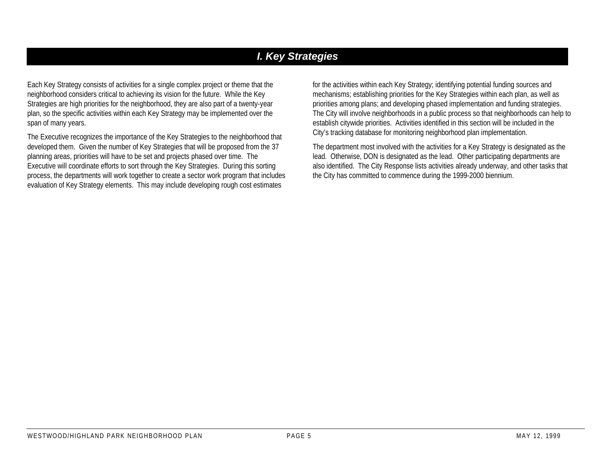# *I. Key Strategies*

Each Key Strategy consists of activities for a single complex project or theme that the neighborhood considers critical to achieving its vision for the future. While the Key Strategies are high priorities for the neighborhood, they are also part of a twenty-year plan, so the specific activities within each Key Strategy may be implemented over the span of many years.

The Executive recognizes the importance of the Key Strategies to the neighborhood that developed them. Given the number of Key Strategies that will be proposed from the 37 planning areas, priorities will have to be set and projects phased over time. The Executive will coordinate efforts to sort through the Key Strategies. During this sorting process, the departments will work together to create a sector work program that includes evaluation of Key Strategy elements. This may include developing rough cost estimates

for the activities within each Key Strategy; identifying potential funding sources and mechanisms; establishing priorities for the Key Strategies within each plan, as well as priorities among plans; and developing phased implementation and funding strategies. The City will involve neighborhoods in a public process so that neighborhoods can help to establish citywide priorities. Activities identified in this section will be included in the City's tracking database for monitoring neighborhood plan implementation.

The department most involved with the activities for a Key Strategy is designated as the lead. Otherwise, DON is designated as the lead. Other participating departments are also identified. The City Response lists activities already underway, and other tasks that the City has committed to commence during the 1999-2000 biennium.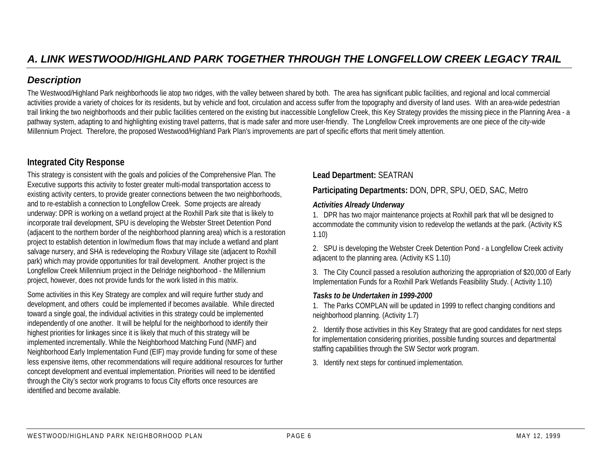The Westwood/Highland Park neighborhoods lie atop two ridges, with the valley between shared by both. The area has significant public facilities, and regional and local commercial activities provide a variety of choices for its residents, but by vehicle and foot, circulation and access suffer from the topography and diversity of land uses. With an area-wide pedestrian trail linking the two neighborhoods and their public facilities centered on the existing but inaccessible Longfellow Creek, this Key Strategy provides the missing piece in the Planning Area - a pathway system, adapting to and highlighting existing travel patterns, that is made safer and more user-friendly. The Longfellow Creek improvements are one piece of the city-wide Millennium Project. Therefore, the proposed Westwood/Highland Park Plan's improvements are part of specific efforts that merit timely attention.

# **Integrated City Response**

This strategy is consistent with the goals and policies of the Comprehensive Plan. The Executive supports this activity to foster greater multi-modal transportation access to existing activity centers, to provide greater connections between the two neighborhoods, and to re-establish a connection to Longfellow Creek. Some projects are already underway: DPR is working on a wetland project at the Roxhill Park site that is likely to incorporate trail development, SPU is developing the Webster Street Detention Pond (adjacent to the northern border of the neighborhood planning area) which is a restoration project to establish detention in low/medium flows that may include a wetland and plant salvage nursery, and SHA is redeveloping the Roxbury Village site (adjacent to Roxhill park) which may provide opportunities for trail development. Another project is the Longfellow Creek Millennium project in the Delridge neighborhood - the Millennium project, however, does not provide funds for the work listed in this matrix.

Some activities in this Key Strategy are complex and will require further study and development, and others could be implemented if becomes available. While directed toward a single goal, the individual activities in this strategy could be implemented independently of one another. It will be helpful for the neighborhood to identify their highest priorities for linkages since it is likely that much of this strategy will be implemented incrementally. While the Neighborhood Matching Fund (NMF) and Neighborhood Early Implementation Fund (EIF) may provide funding for some of these less expensive items, other recommendations will require additional resources for further concept development and eventual implementation. Priorities will need to be identified through the City's sector work programs to focus City efforts once resources are identified and become available.

**Lead Department:** SEATRAN

### **Participating Departments:** DON, DPR, SPU, OED, SAC, Metro

#### *Activities Already Underway*

1. DPR has two major maintenance projects at Roxhill park that wll be designed to accommodate the community vision to redevelop the wetlands at the park. (Activity KS 1.10)

2. SPU is developing the Webster Creek Detention Pond - a Longfellow Creek activity adjacent to the planning area. (Activity KS 1.10)

3. The City Council passed a resolution authorizing the appropriation of \$20,000 of Early Implementation Funds for a Roxhill Park Wetlands Feasibility Study. ( Activity 1.10)

#### *Tasks to be Undertaken in 1999-2000*

1. The Parks COMPLAN will be updated in 1999 to reflect changing conditions and neighborhood planning. (Activity 1.7)

2. Identify those activities in this Key Strategy that are good candidates for next steps for implementation considering priorities, possible funding sources and departmental staffing capabilities through the SW Sector work program.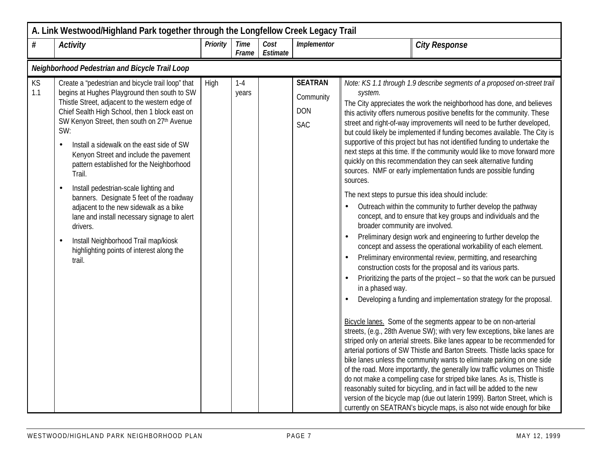|           | A. Link Westwood/Highland Park together through the Longfellow Creek Legacy Trail                                                                                                                                                                                                                                                                                                                                                                                                                                                                                                                                                                                                                  |                 |                      |                  |                                                         |                                                                                                                                                                                                                                                                                                                                                                                                                                                                                                                                                                                                                                                                                                                                                                                                                                                                                                                                                                                                                                                                                                                                                                                                                                                                                                                                                                                                                                                                                                                                                                                                                                                                                                                                                                                                                                                                                                                                                                                                                                                                                                                                                                     |
|-----------|----------------------------------------------------------------------------------------------------------------------------------------------------------------------------------------------------------------------------------------------------------------------------------------------------------------------------------------------------------------------------------------------------------------------------------------------------------------------------------------------------------------------------------------------------------------------------------------------------------------------------------------------------------------------------------------------------|-----------------|----------------------|------------------|---------------------------------------------------------|---------------------------------------------------------------------------------------------------------------------------------------------------------------------------------------------------------------------------------------------------------------------------------------------------------------------------------------------------------------------------------------------------------------------------------------------------------------------------------------------------------------------------------------------------------------------------------------------------------------------------------------------------------------------------------------------------------------------------------------------------------------------------------------------------------------------------------------------------------------------------------------------------------------------------------------------------------------------------------------------------------------------------------------------------------------------------------------------------------------------------------------------------------------------------------------------------------------------------------------------------------------------------------------------------------------------------------------------------------------------------------------------------------------------------------------------------------------------------------------------------------------------------------------------------------------------------------------------------------------------------------------------------------------------------------------------------------------------------------------------------------------------------------------------------------------------------------------------------------------------------------------------------------------------------------------------------------------------------------------------------------------------------------------------------------------------------------------------------------------------------------------------------------------------|
| $\#$      | <b>Activity</b>                                                                                                                                                                                                                                                                                                                                                                                                                                                                                                                                                                                                                                                                                    | <b>Priority</b> | <b>Time</b><br>Frame | Cost<br>Estimate | <b>Implementor</b>                                      | <b>City Response</b>                                                                                                                                                                                                                                                                                                                                                                                                                                                                                                                                                                                                                                                                                                                                                                                                                                                                                                                                                                                                                                                                                                                                                                                                                                                                                                                                                                                                                                                                                                                                                                                                                                                                                                                                                                                                                                                                                                                                                                                                                                                                                                                                                |
|           | Neighborhood Pedestrian and Bicycle Trail Loop                                                                                                                                                                                                                                                                                                                                                                                                                                                                                                                                                                                                                                                     |                 |                      |                  |                                                         |                                                                                                                                                                                                                                                                                                                                                                                                                                                                                                                                                                                                                                                                                                                                                                                                                                                                                                                                                                                                                                                                                                                                                                                                                                                                                                                                                                                                                                                                                                                                                                                                                                                                                                                                                                                                                                                                                                                                                                                                                                                                                                                                                                     |
| KS<br>1.1 | Create a 'pedestrian and bicycle trail loop" that<br>begins at Hughes Playground then south to SW<br>Thistle Street, adjacent to the western edge of<br>Chief Sealth High School, then 1 block east on<br>SW Kenyon Street, then south on 27th Avenue<br>SW:<br>Install a sidewalk on the east side of SW<br>Kenyon Street and include the pavement<br>pattern established for the Neighborhood<br>Trail.<br>Install pedestrian-scale lighting and<br>banners. Designate 5 feet of the roadway<br>adjacent to the new sidewalk as a bike<br>lane and install necessary signage to alert<br>drivers.<br>Install Neighborhood Trail map/kiosk<br>highlighting points of interest along the<br>trail. | High            | $1 - 4$<br>years     |                  | <b>SEATRAN</b><br>Community<br><b>DON</b><br><b>SAC</b> | Note: KS 1.1 through 1.9 describe segments of a proposed on-street trail<br>system.<br>The City appreciates the work the neighborhood has done, and believes<br>this activity offers numerous positive benefits for the community. These<br>street and right-of-way improvements will need to be further developed,<br>but could likely be implemented if funding becomes available. The City is<br>supportive of this project but has not identified funding to undertake the<br>next steps at this time. If the community would like to move forward more<br>quickly on this recommendation they can seek alternative funding<br>sources. NMF or early implementation funds are possible funding<br>sources.<br>The next steps to pursue this idea should include:<br>Outreach within the community to further develop the pathway<br>concept, and to ensure that key groups and individuals and the<br>broader community are involved.<br>Preliminary design work and engineering to further develop the<br>concept and assess the operational workability of each element.<br>Preliminary environmental review, permitting, and researching<br>construction costs for the proposal and its various parts.<br>Prioritizing the parts of the project - so that the work can be pursued<br>in a phased way.<br>Developing a funding and implementation strategy for the proposal.<br>Bicycle lanes. Some of the segments appear to be on non-arterial<br>streets, (e.g., 28th Avenue SW); with very few exceptions, bike lanes are<br>striped only on arterial streets. Bike lanes appear to be recommended for<br>arterial portions of SW Thistle and Barton Streets. Thistle lacks space for<br>bike lanes unless the community wants to eliminate parking on one side<br>of the road. More importantly, the generally low traffic volumes on Thistle<br>do not make a compelling case for striped bike lanes. As is, Thistle is<br>reasonably suited for bicycling, and in fact will be added to the new<br>version of the bicycle map (due out laterin 1999). Barton Street, which is<br>currently on SEATRAN's bicycle maps, is also not wide enough for bike |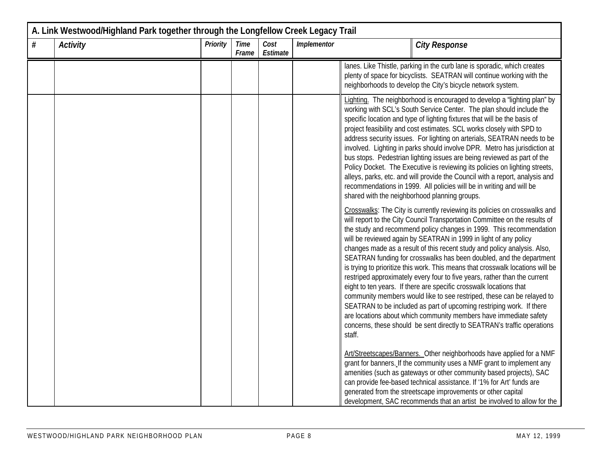| A. Link Westwood/Highland Park together through the Longfellow Creek Legacy Trail |          |          |                      |                  |             |                                                                                                                                                                                                                                                                                                                                                                                                                                                                                                                                                                                                                                                                                                                                                                                                                                                                                                                                                                                                         |  |  |
|-----------------------------------------------------------------------------------|----------|----------|----------------------|------------------|-------------|---------------------------------------------------------------------------------------------------------------------------------------------------------------------------------------------------------------------------------------------------------------------------------------------------------------------------------------------------------------------------------------------------------------------------------------------------------------------------------------------------------------------------------------------------------------------------------------------------------------------------------------------------------------------------------------------------------------------------------------------------------------------------------------------------------------------------------------------------------------------------------------------------------------------------------------------------------------------------------------------------------|--|--|
| #                                                                                 | Activity | Priority | <b>Time</b><br>Frame | Cost<br>Estimate | Implementor | <b>City Response</b>                                                                                                                                                                                                                                                                                                                                                                                                                                                                                                                                                                                                                                                                                                                                                                                                                                                                                                                                                                                    |  |  |
|                                                                                   |          |          |                      |                  |             | lanes. Like Thistle, parking in the curb lane is sporadic, which creates<br>plenty of space for bicyclists. SEATRAN will continue working with the<br>neighborhoods to develop the City's bicycle network system.                                                                                                                                                                                                                                                                                                                                                                                                                                                                                                                                                                                                                                                                                                                                                                                       |  |  |
|                                                                                   |          |          |                      |                  |             | Lighting. The neighborhood is encouraged to develop a "lighting plan" by<br>working with SCL's South Service Center. The plan should include the<br>specific location and type of lighting fixtures that will be the basis of<br>project feasibility and cost estimates. SCL works closely with SPD to<br>address security issues. For lighting on arterials, SEATRAN needs to be<br>involved. Lighting in parks should involve DPR. Metro has jurisdiction at<br>bus stops. Pedestrian lighting issues are being reviewed as part of the<br>Policy Docket. The Executive is reviewing its policies on lighting streets,<br>alleys, parks, etc. and will provide the Council with a report, analysis and<br>recommendations in 1999. All policies will be in writing and will be<br>shared with the neighborhood planning groups.                                                                                                                                                                       |  |  |
|                                                                                   |          |          |                      |                  |             | Crosswalks: The City is currently reviewing its policies on crosswalks and<br>will report to the City Council Transportation Committee on the results of<br>the study and recommend policy changes in 1999. This recommendation<br>will be reviewed again by SEATRAN in 1999 in light of any policy<br>changes made as a result of this recent study and policy analysis. Also,<br>SEATRAN funding for crosswalks has been doubled, and the department<br>is trying to prioritize this work. This means that crosswalk locations will be<br>restriped approximately every four to five years, rather than the current<br>eight to ten years. If there are specific crosswalk locations that<br>community members would like to see restriped, these can be relayed to<br>SEATRAN to be included as part of upcoming restriping work. If there<br>are locations about which community members have immediate safety<br>concerns, these should be sent directly to SEATRAN's traffic operations<br>staff. |  |  |
|                                                                                   |          |          |                      |                  |             | Art/Streetscapes/Banners. Other neighborhoods have applied for a NMF<br>grant for banners. If the community uses a NMF grant to implement any<br>amenities (such as gateways or other community based projects), SAC<br>can provide fee-based technical assistance. If '1% for Art' funds are<br>generated from the streetscape improvements or other capital<br>development, SAC recommends that an artist be involved to allow for the                                                                                                                                                                                                                                                                                                                                                                                                                                                                                                                                                                |  |  |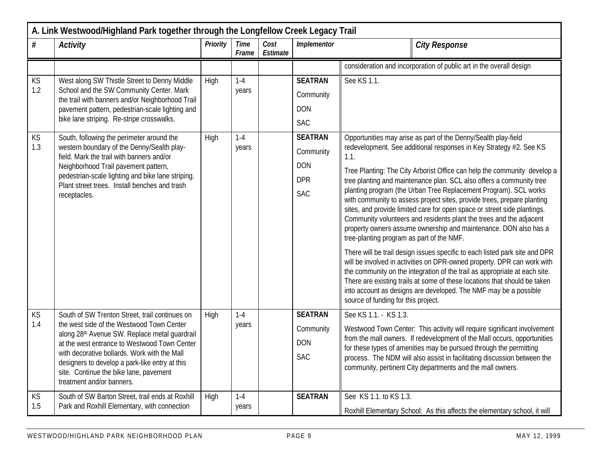| A. Link Westwood/Highland Park together through the Longfellow Creek Legacy Trail |                                                                                                                                                                                                                                                                                                                                                                       |          |                      |                  |                                                                       |                                                                                                                                                                                                                                                                                                                                                                                                                                                                                                                                                                                                                                                                                                                                                                                                                                                                                                                                                                                                                                                                                                                                                     |  |  |  |
|-----------------------------------------------------------------------------------|-----------------------------------------------------------------------------------------------------------------------------------------------------------------------------------------------------------------------------------------------------------------------------------------------------------------------------------------------------------------------|----------|----------------------|------------------|-----------------------------------------------------------------------|-----------------------------------------------------------------------------------------------------------------------------------------------------------------------------------------------------------------------------------------------------------------------------------------------------------------------------------------------------------------------------------------------------------------------------------------------------------------------------------------------------------------------------------------------------------------------------------------------------------------------------------------------------------------------------------------------------------------------------------------------------------------------------------------------------------------------------------------------------------------------------------------------------------------------------------------------------------------------------------------------------------------------------------------------------------------------------------------------------------------------------------------------------|--|--|--|
| $\#$                                                                              | <b>Activity</b>                                                                                                                                                                                                                                                                                                                                                       | Priority | <b>Time</b><br>Frame | Cost<br>Estimate | Implementor                                                           | <b>City Response</b>                                                                                                                                                                                                                                                                                                                                                                                                                                                                                                                                                                                                                                                                                                                                                                                                                                                                                                                                                                                                                                                                                                                                |  |  |  |
|                                                                                   |                                                                                                                                                                                                                                                                                                                                                                       |          |                      |                  |                                                                       | consideration and incorporation of public art in the overall design                                                                                                                                                                                                                                                                                                                                                                                                                                                                                                                                                                                                                                                                                                                                                                                                                                                                                                                                                                                                                                                                                 |  |  |  |
| KS<br>1.2                                                                         | West along SW Thistle Street to Denny Middle<br>School and the SW Community Center. Mark<br>the trail with banners and/or Neighborhood Trail<br>pavement pattern, pedestrian-scale lighting and<br>bike lane striping. Re-stripe crosswalks.                                                                                                                          | High     | $1-4$<br>years       |                  | <b>SEATRAN</b><br>Community<br><b>DON</b><br><b>SAC</b>               | See KS 1.1.                                                                                                                                                                                                                                                                                                                                                                                                                                                                                                                                                                                                                                                                                                                                                                                                                                                                                                                                                                                                                                                                                                                                         |  |  |  |
| KS<br>1.3                                                                         | South, following the perimeter around the<br>western boundary of the Denny/Sealth play-<br>field. Mark the trail with banners and/or<br>Neighborhood Trail pavement pattern,<br>pedestrian-scale lighting and bike lane striping.<br>Plant street trees. Install benches and trash<br>receptacles.                                                                    | High     | $1-4$<br>years       |                  | <b>SEATRAN</b><br>Community<br><b>DON</b><br><b>DPR</b><br><b>SAC</b> | Opportunities may arise as part of the Denny/Sealth play-field<br>redevelopment. See additional responses in Key Strategy #2. See KS<br>1.1.<br>Tree Planting: The City Arborist Office can help the community develop a<br>tree planting and maintenance plan. SCL also offers a community tree<br>planting program (the Urban Tree Replacement Program). SCL works<br>with community to assess project sites, provide trees, prepare planting<br>sites, and provide limited care for open space or street side plantings.<br>Community volunteers and residents plant the trees and the adjacent<br>property owners assume ownership and maintenance. DON also has a<br>tree-planting program as part of the NMF.<br>There will be trail design issues specific to each listed park site and DPR<br>will be involved in activities on DPR-owned property. DPR can work with<br>the community on the integration of the trail as appropriate at each site.<br>There are existing trails at some of these locations that should be taken<br>into account as designs are developed. The NMF may be a possible<br>source of funding for this project. |  |  |  |
| KS<br>1.4                                                                         | South of SW Trenton Street, trail continues on<br>the west side of the Westwood Town Center<br>along 28th Avenue SW. Replace metal guardrail<br>at the west entrance to Westwood Town Center<br>with decorative bollards. Work with the Mall<br>designers to develop a park-like entry at this<br>site. Continue the bike lane, pavement<br>treatment and/or banners. | High     | $1 - 4$<br>years     |                  | <b>SEATRAN</b><br>Community<br><b>DON</b><br><b>SAC</b>               | See KS 1.1. - KS 1.3.<br>Westwood Town Center: This activity will require significant involvement<br>from the mall owners. If redevelopment of the Mall occurs, opportunities<br>for these types of amenities may be pursued through the permitting<br>process. The NDM will also assist in facilitating discussion between the<br>community, pertinent City departments and the mall owners.                                                                                                                                                                                                                                                                                                                                                                                                                                                                                                                                                                                                                                                                                                                                                       |  |  |  |
| KS<br>1.5                                                                         | South of SW Barton Street, trail ends at Roxhill<br>Park and Roxhill Elementary, with connection                                                                                                                                                                                                                                                                      | High     | $1 - 4$<br>years     |                  | <b>SEATRAN</b>                                                        | See KS 1.1. to KS 1.3.<br>Roxhill Elementary School: As this affects the elementary school, it will                                                                                                                                                                                                                                                                                                                                                                                                                                                                                                                                                                                                                                                                                                                                                                                                                                                                                                                                                                                                                                                 |  |  |  |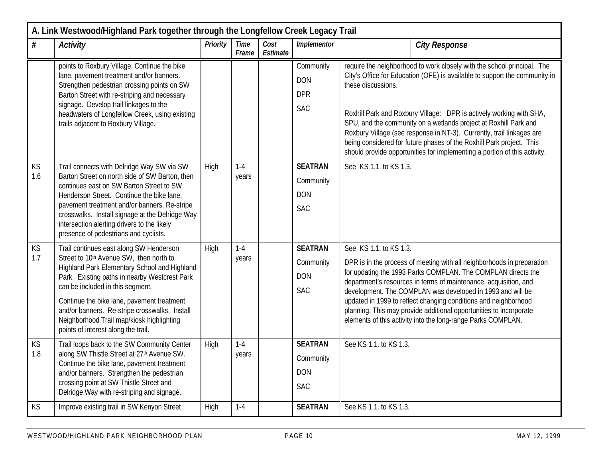| A. Link Westwood/Highland Park together through the Longfellow Creek Legacy Trail |                                                                                                                                                                                                                                                                                                                                                                                                            |          |                      |                  |                                                         |                                                                                                                                                                                                                                                                                                                                                                                                                                                                                                                                                      |  |  |  |
|-----------------------------------------------------------------------------------|------------------------------------------------------------------------------------------------------------------------------------------------------------------------------------------------------------------------------------------------------------------------------------------------------------------------------------------------------------------------------------------------------------|----------|----------------------|------------------|---------------------------------------------------------|------------------------------------------------------------------------------------------------------------------------------------------------------------------------------------------------------------------------------------------------------------------------------------------------------------------------------------------------------------------------------------------------------------------------------------------------------------------------------------------------------------------------------------------------------|--|--|--|
| #                                                                                 | <b>Activity</b>                                                                                                                                                                                                                                                                                                                                                                                            | Priority | <b>Time</b><br>Frame | Cost<br>Estimate | Implementor                                             | <b>City Response</b>                                                                                                                                                                                                                                                                                                                                                                                                                                                                                                                                 |  |  |  |
|                                                                                   | points to Roxbury Village. Continue the bike<br>lane, pavement treatment and/or banners.<br>Strengthen pedestrian crossing points on SW<br>Barton Street with re-striping and necessary<br>signage. Develop trail linkages to the<br>headwaters of Longfellow Creek, using existing<br>trails adjacent to Roxbury Village.                                                                                 |          |                      |                  | Community<br><b>DON</b><br><b>DPR</b><br><b>SAC</b>     | require the neighborhood to work closely with the school principal. The<br>City's Office for Education (OFE) is available to support the community in<br>these discussions.<br>Roxhill Park and Roxbury Village: DPR is actively working with SHA,<br>SPU, and the community on a wetlands project at Roxhill Park and<br>Roxbury Village (see response in NT-3). Currently, trail linkages are<br>being considered for future phases of the Roxhill Park project. This<br>should provide opportunities for implementing a portion of this activity. |  |  |  |
| KS<br>1.6                                                                         | Trail connects with Delridge Way SW via SW<br>Barton Street on north side of SW Barton, then<br>continues east on SW Barton Street to SW<br>Henderson Street. Continue the bike lane,<br>pavement treatment and/or banners. Re-stripe<br>crosswalks. Install signage at the Delridge Way<br>intersection alerting drivers to the likely<br>presence of pedestrians and cyclists.                           | High     | $1 - 4$<br>years     |                  | <b>SEATRAN</b><br>Community<br><b>DON</b><br><b>SAC</b> | See KS 1.1. to KS 1.3.                                                                                                                                                                                                                                                                                                                                                                                                                                                                                                                               |  |  |  |
| <b>KS</b><br>1.7                                                                  | Trail continues east along SW Henderson<br>Street to 10th Avenue SW, then north to<br>Highland Park Elementary School and Highland<br>Park. Existing paths in nearby Westcrest Park<br>can be included in this segment.<br>Continue the bike lane, pavement treatment<br>and/or banners. Re-stripe crosswalks. Install<br>Neighborhood Trail map/kiosk highlighting<br>points of interest along the trail. | High     | $1 - 4$<br>years     |                  | <b>SEATRAN</b><br>Community<br><b>DON</b><br><b>SAC</b> | See KS 1.1. to KS 1.3.<br>DPR is in the process of meeting with all neighborhoods in preparation<br>for updating the 1993 Parks COMPLAN. The COMPLAN directs the<br>department's resources in terms of maintenance, acquisition, and<br>development. The COMPLAN was developed in 1993 and will be<br>updated in 1999 to reflect changing conditions and neighborhood<br>planning. This may provide additional opportunities to incorporate<br>elements of this activity into the long-range Parks COMPLAN.                                          |  |  |  |
| KS<br>1.8                                                                         | Trail loops back to the SW Community Center<br>along SW Thistle Street at 27th Avenue SW.<br>Continue the bike lane, pavement treatment<br>and/or banners. Strengthen the pedestrian<br>crossing point at SW Thistle Street and<br>Delridge Way with re-striping and signage.                                                                                                                              | High     | $1 - 4$<br>years     |                  | <b>SEATRAN</b><br>Community<br><b>DON</b><br><b>SAC</b> | See KS 1.1. to KS 1.3.                                                                                                                                                                                                                                                                                                                                                                                                                                                                                                                               |  |  |  |
| KS                                                                                | Improve existing trail in SW Kenyon Street                                                                                                                                                                                                                                                                                                                                                                 | High     | $1 - 4$              |                  | <b>SEATRAN</b>                                          | See KS 1.1. to KS 1.3.                                                                                                                                                                                                                                                                                                                                                                                                                                                                                                                               |  |  |  |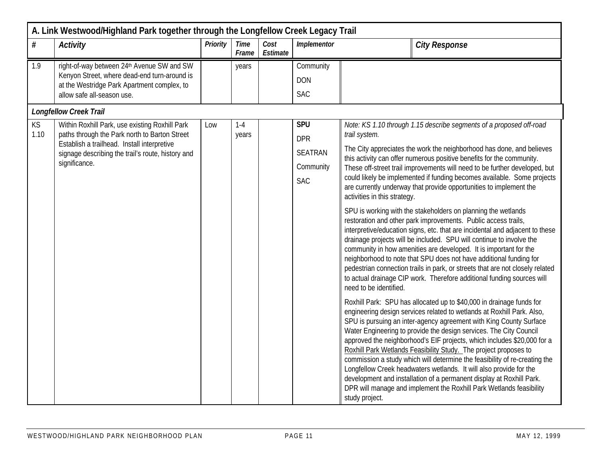|            | A. Link Westwood/Highland Park together through the Longfellow Creek Legacy Trail                                                                                                                                    |          |                      |                  |                                                                       |                                                                                                                                                                                                                                                                                                                                                                                                                                                                                                                                                                                                                                                                                                                                                                                                                                                                                                                                                                                                                                                                                                        |  |  |  |  |
|------------|----------------------------------------------------------------------------------------------------------------------------------------------------------------------------------------------------------------------|----------|----------------------|------------------|-----------------------------------------------------------------------|--------------------------------------------------------------------------------------------------------------------------------------------------------------------------------------------------------------------------------------------------------------------------------------------------------------------------------------------------------------------------------------------------------------------------------------------------------------------------------------------------------------------------------------------------------------------------------------------------------------------------------------------------------------------------------------------------------------------------------------------------------------------------------------------------------------------------------------------------------------------------------------------------------------------------------------------------------------------------------------------------------------------------------------------------------------------------------------------------------|--|--|--|--|
| #          | <b>Activity</b>                                                                                                                                                                                                      | Priority | <b>Time</b><br>Frame | Cost<br>Estimate | Implementor                                                           | <b>City Response</b>                                                                                                                                                                                                                                                                                                                                                                                                                                                                                                                                                                                                                                                                                                                                                                                                                                                                                                                                                                                                                                                                                   |  |  |  |  |
| 1.9        | right-of-way between 24th Avenue SW and SW<br>Kenyon Street, where dead-end turn-around is<br>at the Westridge Park Apartment complex, to                                                                            |          | years                |                  | Community<br><b>DON</b>                                               |                                                                                                                                                                                                                                                                                                                                                                                                                                                                                                                                                                                                                                                                                                                                                                                                                                                                                                                                                                                                                                                                                                        |  |  |  |  |
|            | allow safe all-season use.                                                                                                                                                                                           |          |                      |                  | <b>SAC</b>                                                            |                                                                                                                                                                                                                                                                                                                                                                                                                                                                                                                                                                                                                                                                                                                                                                                                                                                                                                                                                                                                                                                                                                        |  |  |  |  |
|            | <b>Longfellow Creek Trail</b>                                                                                                                                                                                        |          |                      |                  |                                                                       |                                                                                                                                                                                                                                                                                                                                                                                                                                                                                                                                                                                                                                                                                                                                                                                                                                                                                                                                                                                                                                                                                                        |  |  |  |  |
| KS<br>1.10 | Within Roxhill Park, use existing Roxhill Park<br>paths through the Park north to Barton Street<br>Establish a trailhead. Install interpretive<br>signage describing the trail's route, history and<br>significance. | Low      | $1 - 4$<br>years     |                  | <b>SPU</b><br><b>DPR</b><br><b>SEATRAN</b><br>Community<br><b>SAC</b> | Note: KS 1.10 through 1.15 describe segments of a proposed off-road<br>trail system.<br>The City appreciates the work the neighborhood has done, and believes<br>this activity can offer numerous positive benefits for the community.<br>These off-street trail improvements will need to be further developed, but<br>could likely be implemented if funding becomes available. Some projects<br>are currently underway that provide opportunities to implement the<br>activities in this strategy.<br>SPU is working with the stakeholders on planning the wetlands<br>restoration and other park improvements. Public access trails,<br>interpretive/education signs, etc. that are incidental and adjacent to these<br>drainage projects will be included. SPU will continue to involve the<br>community in how amenities are developed. It is important for the<br>neighborhood to note that SPU does not have additional funding for<br>pedestrian connection trails in park, or streets that are not closely related<br>to actual drainage CIP work. Therefore additional funding sources will |  |  |  |  |
|            |                                                                                                                                                                                                                      |          |                      |                  |                                                                       | need to be identified.<br>Roxhill Park: SPU has allocated up to \$40,000 in drainage funds for<br>engineering design services related to wetlands at Roxhill Park. Also,<br>SPU is pursuing an inter-agency agreement with King County Surface<br>Water Engineering to provide the design services. The City Council<br>approved the neighborhood's EIF projects, which includes \$20,000 for a<br>Roxhill Park Wetlands Feasibility Study. The project proposes to<br>commission a study which will determine the feasibility of re-creating the<br>Longfellow Creek headwaters wetlands. It will also provide for the<br>development and installation of a permanent display at Roxhill Park.<br>DPR will manage and implement the Roxhill Park Wetlands feasibility<br>study project.                                                                                                                                                                                                                                                                                                               |  |  |  |  |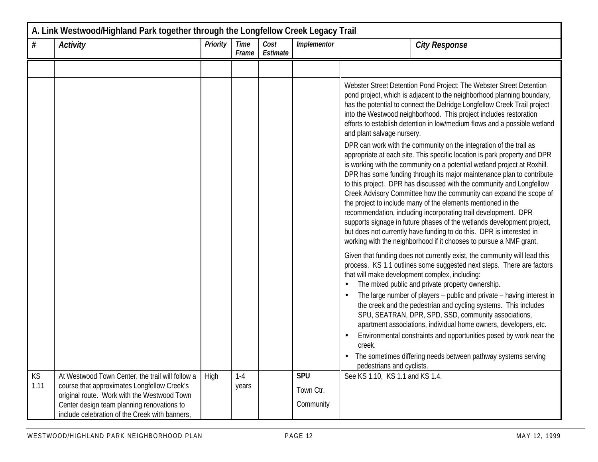| A. Link Westwood/Highland Park together through the Longfellow Creek Legacy Trail |                                                                                                                                                |          |                      |                  |                  |                                                                                                                                                                                                                                                                                                                                                                                                                                                                                                                                                                                                                                                                                                                                                                                                              |  |  |  |
|-----------------------------------------------------------------------------------|------------------------------------------------------------------------------------------------------------------------------------------------|----------|----------------------|------------------|------------------|--------------------------------------------------------------------------------------------------------------------------------------------------------------------------------------------------------------------------------------------------------------------------------------------------------------------------------------------------------------------------------------------------------------------------------------------------------------------------------------------------------------------------------------------------------------------------------------------------------------------------------------------------------------------------------------------------------------------------------------------------------------------------------------------------------------|--|--|--|
| #                                                                                 | <b>Activity</b>                                                                                                                                | Priority | <b>Time</b><br>Frame | Cost<br>Estimate | Implementor      | <b>City Response</b>                                                                                                                                                                                                                                                                                                                                                                                                                                                                                                                                                                                                                                                                                                                                                                                         |  |  |  |
|                                                                                   |                                                                                                                                                |          |                      |                  |                  |                                                                                                                                                                                                                                                                                                                                                                                                                                                                                                                                                                                                                                                                                                                                                                                                              |  |  |  |
|                                                                                   |                                                                                                                                                |          |                      |                  |                  | Webster Street Detention Pond Project: The Webster Street Detention<br>pond project, which is adjacent to the neighborhood planning boundary,<br>has the potential to connect the Delridge Longfellow Creek Trail project<br>into the Westwood neighborhood. This project includes restoration<br>efforts to establish detention in low/medium flows and a possible wetland<br>and plant salvage nursery.                                                                                                                                                                                                                                                                                                                                                                                                    |  |  |  |
|                                                                                   |                                                                                                                                                |          |                      |                  |                  | DPR can work with the community on the integration of the trail as<br>appropriate at each site. This specific location is park property and DPR<br>is working with the community on a potential wetland project at Roxhill.<br>DPR has some funding through its major maintenance plan to contribute<br>to this project. DPR has discussed with the community and Longfellow<br>Creek Advisory Committee how the community can expand the scope of<br>the project to include many of the elements mentioned in the<br>recommendation, including incorporating trail development. DPR<br>supports signage in future phases of the wetlands development project,<br>but does not currently have funding to do this. DPR is interested in<br>working with the neighborhood if it chooses to pursue a NMF grant. |  |  |  |
|                                                                                   |                                                                                                                                                |          |                      |                  |                  | Given that funding does not currently exist, the community will lead this<br>process. KS 1.1 outlines some suggested next steps. There are factors<br>that will make development complex, including:<br>The mixed public and private property ownership.<br>The large number of players - public and private - having interest in<br>the creek and the pedestrian and cycling systems. This includes<br>SPU, SEATRAN, DPR, SPD, SSD, community associations,<br>apartment associations, individual home owners, developers, etc.<br>Environmental constraints and opportunities posed by work near the<br>creek.<br>The sometimes differing needs between pathway systems serving<br>pedestrians and cyclists.                                                                                               |  |  |  |
| KS<br>1.11                                                                        | At Westwood Town Center, the trail will follow a<br>course that approximates Longfellow Creek's<br>original route. Work with the Westwood Town | High     | $1-4$<br>years       |                  | SPU<br>Town Ctr. | See KS 1.10, KS 1.1 and KS 1.4.                                                                                                                                                                                                                                                                                                                                                                                                                                                                                                                                                                                                                                                                                                                                                                              |  |  |  |
|                                                                                   | Center design team planning renovations to<br>include celebration of the Creek with banners,                                                   |          |                      |                  | Community        |                                                                                                                                                                                                                                                                                                                                                                                                                                                                                                                                                                                                                                                                                                                                                                                                              |  |  |  |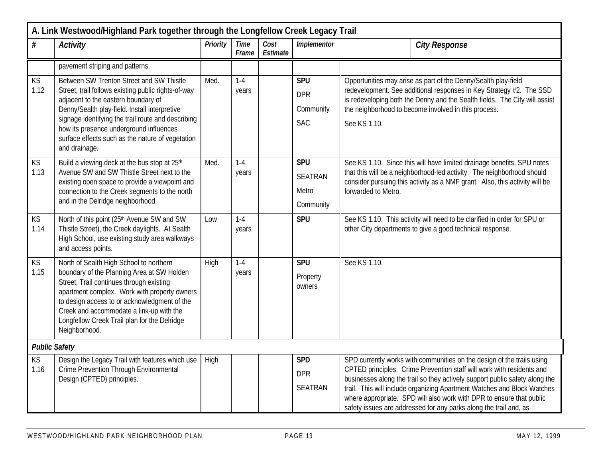| A. Link Westwood/Highland Park together through the Longfellow Creek Legacy Trail |                                                                                                                                                                                                                                                                                                                                                               |          |                      |                  |                                                     |                                                                                                                                                                                                                                                                                                                                                                                                                                                        |  |  |  |
|-----------------------------------------------------------------------------------|---------------------------------------------------------------------------------------------------------------------------------------------------------------------------------------------------------------------------------------------------------------------------------------------------------------------------------------------------------------|----------|----------------------|------------------|-----------------------------------------------------|--------------------------------------------------------------------------------------------------------------------------------------------------------------------------------------------------------------------------------------------------------------------------------------------------------------------------------------------------------------------------------------------------------------------------------------------------------|--|--|--|
| #                                                                                 | <b>Activity</b>                                                                                                                                                                                                                                                                                                                                               | Priority | <b>Time</b><br>Frame | Cost<br>Estimate | Implementor                                         | <b>City Response</b>                                                                                                                                                                                                                                                                                                                                                                                                                                   |  |  |  |
|                                                                                   | pavement striping and patterns.                                                                                                                                                                                                                                                                                                                               |          |                      |                  |                                                     |                                                                                                                                                                                                                                                                                                                                                                                                                                                        |  |  |  |
| KS<br>1.12                                                                        | Between SW Trenton Street and SW Thistle<br>Street, trail follows existing public rights-of-way<br>adjacent to the eastern boundary of<br>Denny/Sealth play-field. Install interpretive<br>signage identifying the trail route and describing<br>how its presence underground influences<br>surface effects such as the nature of vegetation<br>and drainage. | Med.     | $1 - 4$<br>years     |                  | <b>SPU</b><br><b>DPR</b><br>Community<br><b>SAC</b> | Opportunities may arise as part of the Denny/Sealth play-field<br>redevelopment. See additional responses in Key Strategy #2. The SSD<br>is redeveloping both the Denny and the Sealth fields. The City will assist<br>the neighborhood to become involved in this process.<br>See KS 1.10.                                                                                                                                                            |  |  |  |
| <b>KS</b><br>1.13                                                                 | Build a viewing deck at the bus stop at 25th<br>Avenue SW and SW Thistle Street next to the<br>existing open space to provide a viewpoint and<br>connection to the Creek segments to the north<br>and in the Delridge neighborhood.                                                                                                                           | Med.     | $1 - 4$<br>years     |                  | SPU<br><b>SEATRAN</b><br>Metro<br>Community         | See KS 1.10. Since this will have limited drainage benefits, SPU notes<br>that this will be a neighborhood-led activity. The neighborhood should<br>consider pursuing this activity as a NMF grant. Also, this activity will be<br>forwarded to Metro.                                                                                                                                                                                                 |  |  |  |
| <b>KS</b><br>1.14                                                                 | North of this point (25th Avenue SW and SW<br>Thistle Street), the Creek daylights. At Sealth<br>High School, use existing study area walkways<br>and access points.                                                                                                                                                                                          | Low      | $1 - 4$<br>years     |                  | <b>SPU</b>                                          | See KS 1.10. This activity will need to be clarified in order for SPU or<br>other City departments to give a good technical response.                                                                                                                                                                                                                                                                                                                  |  |  |  |
| <b>KS</b><br>1.15                                                                 | North of Sealth High School to northern<br>boundary of the Planning Area at SW Holden<br>Street, Trail continues through existing<br>apartment complex. Work with property owners<br>to design access to or acknowledgment of the<br>Creek and accommodate a link-up with the<br>Longfellow Creek Trail plan for the Delridge<br>Neighborhood.                | High     | $1 - 4$<br>years     |                  | <b>SPU</b><br>Property<br>owners                    | See KS 1.10.                                                                                                                                                                                                                                                                                                                                                                                                                                           |  |  |  |
| <b>Public Safety</b>                                                              |                                                                                                                                                                                                                                                                                                                                                               |          |                      |                  |                                                     |                                                                                                                                                                                                                                                                                                                                                                                                                                                        |  |  |  |
| KS<br>1.16                                                                        | Design the Legacy Trail with features which use<br>Crime Prevention Through Environmental<br>Design (CPTED) principles.                                                                                                                                                                                                                                       | High     |                      |                  | <b>SPD</b><br><b>DPR</b><br><b>SEATRAN</b>          | SPD currently works with communities on the design of the trails using<br>CPTED principles. Crime Prevention staff will work with residents and<br>businesses along the trail so they actively support public safety along the<br>trail. This will include organizing Apartment Watches and Block Watches<br>where appropriate. SPD will also work with DPR to ensure that public<br>safety issues are addressed for any parks along the trail and, as |  |  |  |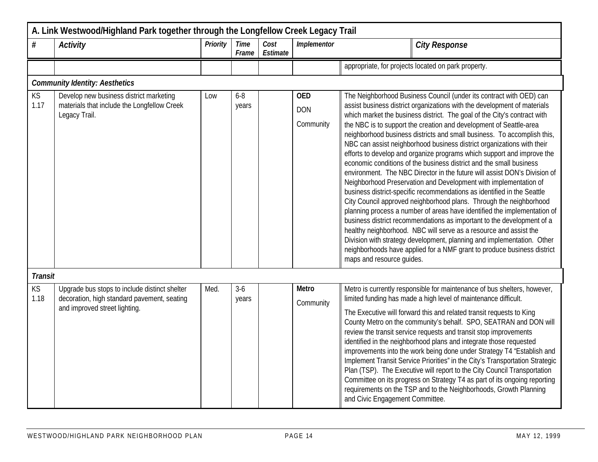| A. Link Westwood/Highland Park together through the Longfellow Creek Legacy Trail |                                                                                                                               |          |                      |                  |                                       |                                                                                                                                                                                                                                                                                                                                                                                                                                                                                                                                                                                                                                                                                                                                                                                                                                                                                                                                                                                                                                                                                                                                                                                                                                                                                                                        |  |  |
|-----------------------------------------------------------------------------------|-------------------------------------------------------------------------------------------------------------------------------|----------|----------------------|------------------|---------------------------------------|------------------------------------------------------------------------------------------------------------------------------------------------------------------------------------------------------------------------------------------------------------------------------------------------------------------------------------------------------------------------------------------------------------------------------------------------------------------------------------------------------------------------------------------------------------------------------------------------------------------------------------------------------------------------------------------------------------------------------------------------------------------------------------------------------------------------------------------------------------------------------------------------------------------------------------------------------------------------------------------------------------------------------------------------------------------------------------------------------------------------------------------------------------------------------------------------------------------------------------------------------------------------------------------------------------------------|--|--|
| #                                                                                 | <b>Activity</b>                                                                                                               | Priority | <b>Time</b><br>Frame | Cost<br>Estimate | Implementor                           | <b>City Response</b>                                                                                                                                                                                                                                                                                                                                                                                                                                                                                                                                                                                                                                                                                                                                                                                                                                                                                                                                                                                                                                                                                                                                                                                                                                                                                                   |  |  |
|                                                                                   |                                                                                                                               |          |                      |                  |                                       | appropriate, for projects located on park property.                                                                                                                                                                                                                                                                                                                                                                                                                                                                                                                                                                                                                                                                                                                                                                                                                                                                                                                                                                                                                                                                                                                                                                                                                                                                    |  |  |
|                                                                                   | <b>Community Identity: Aesthetics</b>                                                                                         |          |                      |                  |                                       |                                                                                                                                                                                                                                                                                                                                                                                                                                                                                                                                                                                                                                                                                                                                                                                                                                                                                                                                                                                                                                                                                                                                                                                                                                                                                                                        |  |  |
| KS<br>1.17                                                                        | Develop new business district marketing<br>materials that include the Longfellow Creek<br>Legacy Trail.                       | Low      | $6 - 8$<br>years     |                  | <b>OED</b><br><b>DON</b><br>Community | The Neighborhood Business Council (under its contract with OED) can<br>assist business district organizations with the development of materials<br>which market the business district. The goal of the City's contract with<br>the NBC is to support the creation and development of Seattle-area<br>neighborhood business districts and small business. To accomplish this,<br>NBC can assist neighborhood business district organizations with their<br>efforts to develop and organize programs which support and improve the<br>economic conditions of the business district and the small business<br>environment. The NBC Director in the future will assist DON's Division of<br>Neighborhood Preservation and Development with implementation of<br>business district-specific recommendations as identified in the Seattle<br>City Council approved neighborhood plans. Through the neighborhood<br>planning process a number of areas have identified the implementation of<br>business district recommendations as important to the development of a<br>healthy neighborhood. NBC will serve as a resource and assist the<br>Division with strategy development, planning and implementation. Other<br>neighborhoods have applied for a NMF grant to produce business district<br>maps and resource guides. |  |  |
| <b>Transit</b><br><b>KS</b><br>1.18                                               | Upgrade bus stops to include distinct shelter<br>decoration, high standard pavement, seating<br>and improved street lighting. | Med.     | $3-6$<br>years       |                  | <b>Metro</b><br>Community             | Metro is currently responsible for maintenance of bus shelters, however,<br>limited funding has made a high level of maintenance difficult.<br>The Executive will forward this and related transit requests to King<br>County Metro on the community's behalf. SPO, SEATRAN and DON will<br>review the transit service requests and transit stop improvements<br>identified in the neighborhood plans and integrate those requested<br>improvements into the work being done under Strategy T4 "Establish and<br>Implement Transit Service Priorities" in the City's Transportation Strategic<br>Plan (TSP). The Executive will report to the City Council Transportation<br>Committee on its progress on Strategy T4 as part of its ongoing reporting<br>requirements on the TSP and to the Neighborhoods, Growth Planning<br>and Civic Engagement Committee.                                                                                                                                                                                                                                                                                                                                                                                                                                                         |  |  |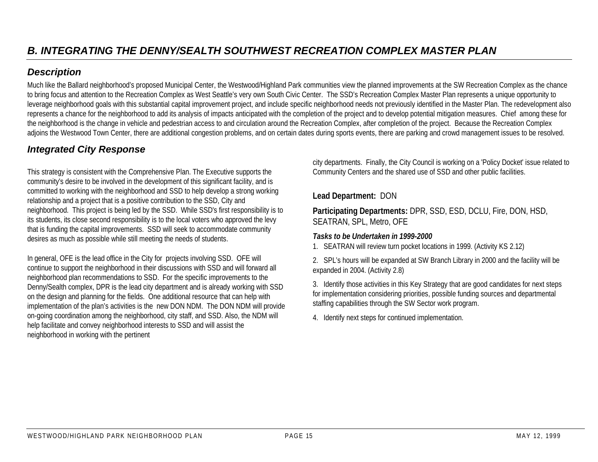Much like the Ballard neighborhood's proposed Municipal Center, the Westwood/Highland Park communities view the planned improvements at the SW Recreation Complex as the chance to bring focus and attention to the Recreation Complex as West Seattle's very own South Civic Center. The SSD's Recreation Complex Master Plan represents a unique opportunity to leverage neighborhood goals with this substantial capital improvement project, and include specific neighborhood needs not previously identified in the Master Plan. The redevelopment also represents a chance for the neighborhood to add its analysis of impacts anticipated with the completion of the project and to develop potential mitigation measures. Chief among these for the neighborhood is the change in vehicle and pedestrian access to and circulation around the Recreation Complex, after completion of the project. Because the Recreation Complex adjoins the Westwood Town Center, there are additional congestion problems, and on certain dates during sports events, there are parking and crowd management issues to be resolved.

# *Integrated City Response*

This strategy is consistent with the Comprehensive Plan. The Executive supports the community's desire to be involved in the development of this significant facility, and is committed to working with the neighborhood and SSD to help develop a strong working relationship and a project that is a positive contribution to the SSD, City and neighborhood. This project is being led by the SSD. While SSD's first responsibility is to its students, its close second responsibility is to the local voters who approved the levy that is funding the capital improvements. SSD will seek to accommodate community desires as much as possible while still meeting the needs of students.

In general, OFE is the lead office in the City for projects involving SSD. OFE will continue to support the neighborhood in their discussions with SSD and will forward all neighborhood plan recommendations to SSD. For the specific improvements to the Denny/Sealth complex, DPR is the lead city department and is already working with SSD on the design and planning for the fields. One additional resource that can help with implementation of the plan's activities is the new DON NDM. The DON NDM will provide on-going coordination among the neighborhood, city staff, and SSD. Also, the NDM will help facilitate and convey neighborhood interests to SSD and will assist the neighborhood in working with the pertinent

city departments. Finally, the City Council is working on a 'Policy Docket' issue related to Community Centers and the shared use of SSD and other public facilities.

#### **Lead Department:** DON

**Participating Departments:** DPR, SSD, ESD, DCLU, Fire, DON, HSD, SEATRAN, SPL, Metro, OFE

#### *Tasks to be Undertaken in 1999-2000*

1. SEATRAN will review turn pocket locations in 1999. (Activity KS 2.12)

2. SPL's hours will be expanded at SW Branch Library in 2000 and the facility will be expanded in 2004. (Activity 2.8)

3. Identify those activities in this Key Strategy that are good candidates for next steps for implementation considering priorities, possible funding sources and departmental staffing capabilities through the SW Sector work program.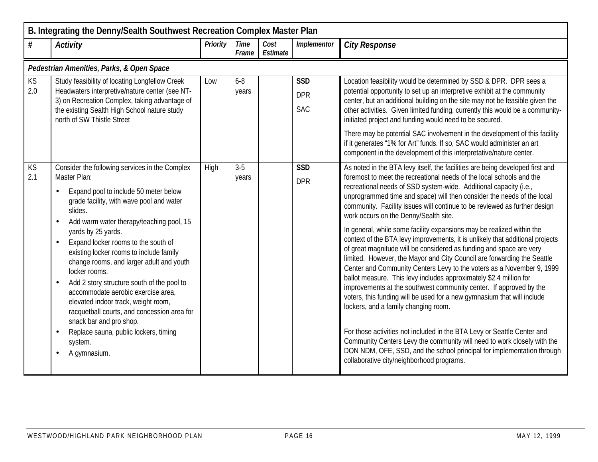| B. Integrating the Denny/Sealth Southwest Recreation Complex Master Plan |                                                                                                                                                                                                                                                                                                                                                                                                                                                                                                                                                                                                                                                                       |                 |                      |                  |                                        |                                                                                                                                                                                                                                                                                                                                                                                                                                                                                                                                                                                                                                                                                                                                                                                                                                                                                                                                                                                                                                                                                                                                                                                                                                                                                                                                                             |  |  |  |  |  |
|--------------------------------------------------------------------------|-----------------------------------------------------------------------------------------------------------------------------------------------------------------------------------------------------------------------------------------------------------------------------------------------------------------------------------------------------------------------------------------------------------------------------------------------------------------------------------------------------------------------------------------------------------------------------------------------------------------------------------------------------------------------|-----------------|----------------------|------------------|----------------------------------------|-------------------------------------------------------------------------------------------------------------------------------------------------------------------------------------------------------------------------------------------------------------------------------------------------------------------------------------------------------------------------------------------------------------------------------------------------------------------------------------------------------------------------------------------------------------------------------------------------------------------------------------------------------------------------------------------------------------------------------------------------------------------------------------------------------------------------------------------------------------------------------------------------------------------------------------------------------------------------------------------------------------------------------------------------------------------------------------------------------------------------------------------------------------------------------------------------------------------------------------------------------------------------------------------------------------------------------------------------------------|--|--|--|--|--|
| $\#$                                                                     | <b>Activity</b>                                                                                                                                                                                                                                                                                                                                                                                                                                                                                                                                                                                                                                                       | <b>Priority</b> | <b>Time</b><br>Frame | Cost<br>Estimate | Implementor                            | <b>City Response</b>                                                                                                                                                                                                                                                                                                                                                                                                                                                                                                                                                                                                                                                                                                                                                                                                                                                                                                                                                                                                                                                                                                                                                                                                                                                                                                                                        |  |  |  |  |  |
|                                                                          | Pedestrian Amenities, Parks, & Open Space                                                                                                                                                                                                                                                                                                                                                                                                                                                                                                                                                                                                                             |                 |                      |                  |                                        |                                                                                                                                                                                                                                                                                                                                                                                                                                                                                                                                                                                                                                                                                                                                                                                                                                                                                                                                                                                                                                                                                                                                                                                                                                                                                                                                                             |  |  |  |  |  |
| <b>KS</b><br>2.0                                                         | Study feasibility of locating Longfellow Creek<br>Headwaters interpretive/nature center (see NT-<br>3) on Recreation Complex, taking advantage of<br>the existing Sealth High School nature study<br>north of SW Thistle Street                                                                                                                                                                                                                                                                                                                                                                                                                                       | Low             | $6 - 8$<br>years     |                  | <b>SSD</b><br><b>DPR</b><br><b>SAC</b> | Location feasibility would be determined by SSD & DPR. DPR sees a<br>potential opportunity to set up an interpretive exhibit at the community<br>center, but an additional building on the site may not be feasible given the<br>other activities. Given limited funding, currently this would be a community-<br>initiated project and funding would need to be secured.<br>There may be potential SAC involvement in the development of this facility<br>if it generates "1% for Art" funds. If so, SAC would administer an art<br>component in the development of this interpretative/nature center.                                                                                                                                                                                                                                                                                                                                                                                                                                                                                                                                                                                                                                                                                                                                                     |  |  |  |  |  |
| KS<br>2.1                                                                | Consider the following services in the Complex<br>Master Plan:<br>Expand pool to include 50 meter below<br>grade facility, with wave pool and water<br>slides.<br>Add warm water therapy/teaching pool, 15<br>yards by 25 yards.<br>Expand locker rooms to the south of<br>existing locker rooms to include family<br>change rooms, and larger adult and youth<br>locker rooms.<br>Add 2 story structure south of the pool to<br>$\bullet$<br>accommodate aerobic exercise area.<br>elevated indoor track, weight room,<br>racquetball courts, and concession area for<br>snack bar and pro shop.<br>Replace sauna, public lockers, timing<br>system.<br>A gymnasium. | High            | $3 - 5$<br>years     |                  | <b>SSD</b><br><b>DPR</b>               | As noted in the BTA levy itself, the facilities are being developed first and<br>foremost to meet the recreational needs of the local schools and the<br>recreational needs of SSD system-wide. Additional capacity (i.e.,<br>unprogrammed time and space) will then consider the needs of the local<br>community. Facility issues will continue to be reviewed as further design<br>work occurs on the Denny/Sealth site.<br>In general, while some facility expansions may be realized within the<br>context of the BTA levy improvements, it is unlikely that additional projects<br>of great magnitude will be considered as funding and space are very<br>limited. However, the Mayor and City Council are forwarding the Seattle<br>Center and Community Centers Levy to the voters as a November 9, 1999<br>ballot measure. This levy includes approximately \$2.4 million for<br>improvements at the southwest community center. If approved by the<br>voters, this funding will be used for a new gymnasium that will include<br>lockers, and a family changing room.<br>For those activities not included in the BTA Levy or Seattle Center and<br>Community Centers Levy the community will need to work closely with the<br>DON NDM, OFE, SSD, and the school principal for implementation through<br>collaborative city/neighborhood programs. |  |  |  |  |  |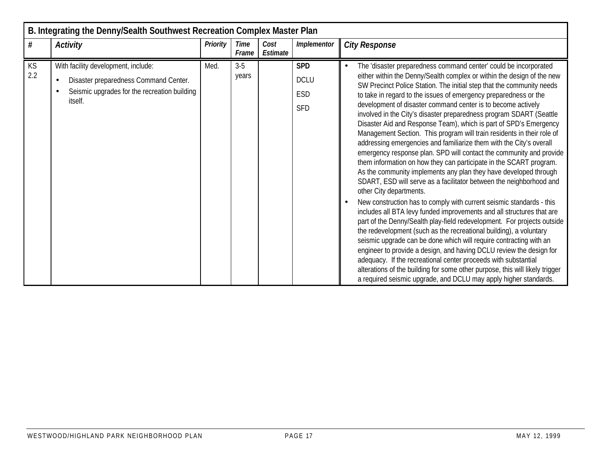|                  | B. Integrating the Denny/Sealth Southwest Recreation Complex Master Plan                                                                             |          |                      |                  |                                                       |                                                                                                                                                                                                                                                                                                                                                                                                                                                                                                                                                                                                                                                                                                                                                                                                                                                                                                                                                                                                                                                                                                                                                                                                                                                                                                                                                                                                                                                                                                                                                                                                                                                           |  |  |  |  |  |
|------------------|------------------------------------------------------------------------------------------------------------------------------------------------------|----------|----------------------|------------------|-------------------------------------------------------|-----------------------------------------------------------------------------------------------------------------------------------------------------------------------------------------------------------------------------------------------------------------------------------------------------------------------------------------------------------------------------------------------------------------------------------------------------------------------------------------------------------------------------------------------------------------------------------------------------------------------------------------------------------------------------------------------------------------------------------------------------------------------------------------------------------------------------------------------------------------------------------------------------------------------------------------------------------------------------------------------------------------------------------------------------------------------------------------------------------------------------------------------------------------------------------------------------------------------------------------------------------------------------------------------------------------------------------------------------------------------------------------------------------------------------------------------------------------------------------------------------------------------------------------------------------------------------------------------------------------------------------------------------------|--|--|--|--|--|
| #                | <b>Activity</b>                                                                                                                                      | Priority | <b>Time</b><br>Frame | Cost<br>Estimate | Implementor                                           | <b>City Response</b>                                                                                                                                                                                                                                                                                                                                                                                                                                                                                                                                                                                                                                                                                                                                                                                                                                                                                                                                                                                                                                                                                                                                                                                                                                                                                                                                                                                                                                                                                                                                                                                                                                      |  |  |  |  |  |
| <b>KS</b><br>2.2 | With facility development, include:<br>Disaster preparedness Command Center.<br>$\bullet$<br>Seismic upgrades for the recreation building<br>itself. | Med.     | $3-5$<br>years       |                  | <b>SPD</b><br><b>DCLU</b><br><b>ESD</b><br><b>SFD</b> | The 'disaster preparedness command center' could be incorporated<br>$\bullet$<br>either within the Denny/Sealth complex or within the design of the new<br>SW Precinct Police Station. The initial step that the community needs<br>to take in regard to the issues of emergency preparedness or the<br>development of disaster command center is to become actively<br>involved in the City's disaster preparedness program SDART (Seattle<br>Disaster Aid and Response Team), which is part of SPD's Emergency<br>Management Section. This program will train residents in their role of<br>addressing emergencies and familiarize them with the City's overall<br>emergency response plan. SPD will contact the community and provide<br>them information on how they can participate in the SCART program.<br>As the community implements any plan they have developed through<br>SDART, ESD will serve as a facilitator between the neighborhood and<br>other City departments.<br>New construction has to comply with current seismic standards - this<br>includes all BTA levy funded improvements and all structures that are<br>part of the Denny/Sealth play-field redevelopment. For projects outside<br>the redevelopment (such as the recreational building), a voluntary<br>seismic upgrade can be done which will require contracting with an<br>engineer to provide a design, and having DCLU review the design for<br>adequacy. If the recreational center proceeds with substantial<br>alterations of the building for some other purpose, this will likely trigger<br>a required seismic upgrade, and DCLU may apply higher standards. |  |  |  |  |  |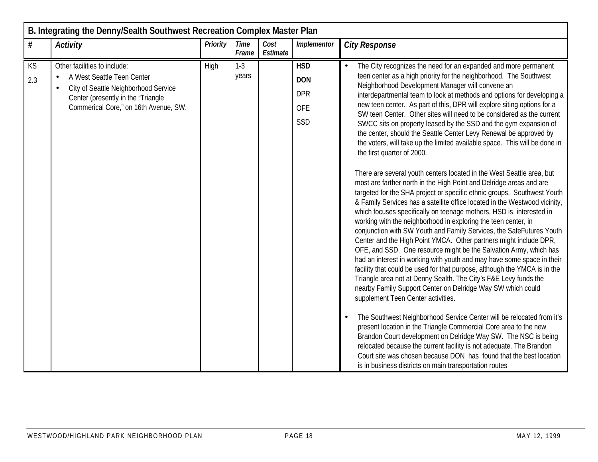|           | B. Integrating the Denny/Sealth Southwest Recreation Complex Master Plan                                                                                                                                    |                 |                      |                  |                                                      |                                                                                                                                                                                                                                                                                                                                                                                                                                                                                                                                                                                                                                                                                                                                                                                                                                                                                                                                                                                                                                                                                                                                                                                                                                                                                                                                                                                                                                                                                                                                                                                                                                                                                                                                                                                                                                                                                                                                                                                                                                                                                                                     |  |  |  |  |  |
|-----------|-------------------------------------------------------------------------------------------------------------------------------------------------------------------------------------------------------------|-----------------|----------------------|------------------|------------------------------------------------------|---------------------------------------------------------------------------------------------------------------------------------------------------------------------------------------------------------------------------------------------------------------------------------------------------------------------------------------------------------------------------------------------------------------------------------------------------------------------------------------------------------------------------------------------------------------------------------------------------------------------------------------------------------------------------------------------------------------------------------------------------------------------------------------------------------------------------------------------------------------------------------------------------------------------------------------------------------------------------------------------------------------------------------------------------------------------------------------------------------------------------------------------------------------------------------------------------------------------------------------------------------------------------------------------------------------------------------------------------------------------------------------------------------------------------------------------------------------------------------------------------------------------------------------------------------------------------------------------------------------------------------------------------------------------------------------------------------------------------------------------------------------------------------------------------------------------------------------------------------------------------------------------------------------------------------------------------------------------------------------------------------------------------------------------------------------------------------------------------------------------|--|--|--|--|--|
| $\#$      | <b>Activity</b>                                                                                                                                                                                             | <b>Priority</b> | <b>Time</b><br>Frame | Cost<br>Estimate | Implementor                                          | <b>City Response</b>                                                                                                                                                                                                                                                                                                                                                                                                                                                                                                                                                                                                                                                                                                                                                                                                                                                                                                                                                                                                                                                                                                                                                                                                                                                                                                                                                                                                                                                                                                                                                                                                                                                                                                                                                                                                                                                                                                                                                                                                                                                                                                |  |  |  |  |  |
| KS<br>2.3 | Other facilities to include:<br>A West Seattle Teen Center<br>$\bullet$<br>City of Seattle Neighborhood Service<br>$\bullet$<br>Center (presently in the "Triangle<br>Commerical Core," on 16th Avenue, SW. | High            | $1-3$<br>years       |                  | <b>HSD</b><br><b>DON</b><br><b>DPR</b><br>OFE<br>SSD | The City recognizes the need for an expanded and more permanent<br>teen center as a high priority for the neighborhood. The Southwest<br>Neighborhood Development Manager will convene an<br>interdepartmental team to look at methods and options for developing a<br>new teen center. As part of this, DPR will explore siting options for a<br>SW teen Center. Other sites will need to be considered as the current<br>SWCC sits on property leased by the SSD and the gym expansion of<br>the center, should the Seattle Center Levy Renewal be approved by<br>the voters, will take up the limited available space. This will be done in<br>the first quarter of 2000.<br>There are several youth centers located in the West Seattle area, but<br>most are farther north in the High Point and Delridge areas and are<br>targeted for the SHA project or specific ethnic groups. Southwest Youth<br>& Family Services has a satellite office located in the Westwood vicinity,<br>which focuses specifically on teenage mothers. HSD is interested in<br>working with the neighborhood in exploring the teen center, in<br>conjunction with SW Youth and Family Services, the SafeFutures Youth<br>Center and the High Point YMCA. Other partners might include DPR,<br>OFE, and SSD. One resource might be the Salvation Army, which has<br>had an interest in working with youth and may have some space in their<br>facility that could be used for that purpose, although the YMCA is in the<br>Triangle area not at Denny Sealth. The City's F&E Levy funds the<br>nearby Family Support Center on Delridge Way SW which could<br>supplement Teen Center activities.<br>The Southwest Neighborhood Service Center will be relocated from it's<br>$\bullet$<br>present location in the Triangle Commercial Core area to the new<br>Brandon Court development on Delridge Way SW. The NSC is being<br>relocated because the current facility is not adequate. The Brandon<br>Court site was chosen because DON has found that the best location<br>is in business districts on main transportation routes |  |  |  |  |  |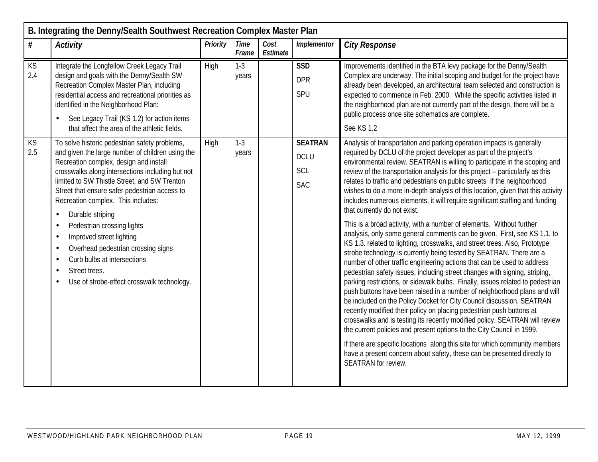|           | B. Integrating the Denny/Sealth Southwest Recreation Complex Master Plan                                                                                                                                                                                                                                                                                                                                                                                                                                                                                                                                                                            |          |                      |                  |                                                    |                                                                                                                                                                                                                                                                                                                                                                                                                                                                                                                                                                                                                                                                                                                                                                                                                                                                                                                                                                                                                                                                                                                                                                                                                                                                                                                                                                                                                                                                                                                                                                                                                                                                                                                             |  |  |  |  |  |
|-----------|-----------------------------------------------------------------------------------------------------------------------------------------------------------------------------------------------------------------------------------------------------------------------------------------------------------------------------------------------------------------------------------------------------------------------------------------------------------------------------------------------------------------------------------------------------------------------------------------------------------------------------------------------------|----------|----------------------|------------------|----------------------------------------------------|-----------------------------------------------------------------------------------------------------------------------------------------------------------------------------------------------------------------------------------------------------------------------------------------------------------------------------------------------------------------------------------------------------------------------------------------------------------------------------------------------------------------------------------------------------------------------------------------------------------------------------------------------------------------------------------------------------------------------------------------------------------------------------------------------------------------------------------------------------------------------------------------------------------------------------------------------------------------------------------------------------------------------------------------------------------------------------------------------------------------------------------------------------------------------------------------------------------------------------------------------------------------------------------------------------------------------------------------------------------------------------------------------------------------------------------------------------------------------------------------------------------------------------------------------------------------------------------------------------------------------------------------------------------------------------------------------------------------------------|--|--|--|--|--|
| $\#$      | <b>Activity</b>                                                                                                                                                                                                                                                                                                                                                                                                                                                                                                                                                                                                                                     | Priority | <b>Time</b><br>Frame | Cost<br>Estimate | Implementor                                        | <b>City Response</b>                                                                                                                                                                                                                                                                                                                                                                                                                                                                                                                                                                                                                                                                                                                                                                                                                                                                                                                                                                                                                                                                                                                                                                                                                                                                                                                                                                                                                                                                                                                                                                                                                                                                                                        |  |  |  |  |  |
| KS<br>2.4 | Integrate the Longfellow Creek Legacy Trail<br>design and goals with the Denny/Sealth SW<br>Recreation Complex Master Plan, including<br>residential access and recreational priorities as<br>identified in the Neighborhood Plan:<br>See Legacy Trail (KS 1.2) for action items<br>that affect the area of the athletic fields.                                                                                                                                                                                                                                                                                                                    | High     | $1 - 3$<br>years     |                  | <b>SSD</b><br><b>DPR</b><br>SPU                    | Improvements identified in the BTA levy package for the Denny/Sealth<br>Complex are underway. The initial scoping and budget for the project have<br>already been developed, an architectural team selected and construction is<br>expected to commence in Feb. 2000. While the specific activities listed in<br>the neighborhood plan are not currently part of the design, there will be a<br>public process once site schematics are complete.<br>See KS 1.2                                                                                                                                                                                                                                                                                                                                                                                                                                                                                                                                                                                                                                                                                                                                                                                                                                                                                                                                                                                                                                                                                                                                                                                                                                                             |  |  |  |  |  |
| KS<br>2.5 | To solve historic pedestrian safety problems,<br>and given the large number of children using the<br>Recreation complex, design and install<br>crosswalks along intersections including but not<br>limited to SW Thistle Street, and SW Trenton<br>Street that ensure safer pedestrian access to<br>Recreation complex. This includes:<br>Durable striping<br>$\bullet$<br>Pedestrian crossing lights<br>$\bullet$<br>Improved street lighting<br>$\bullet$<br>Overhead pedestrian crossing signs<br>$\bullet$<br>Curb bulbs at intersections<br>$\bullet$<br>Street trees.<br>$\bullet$<br>Use of strobe-effect crosswalk technology.<br>$\bullet$ | High     | $1-3$<br>years       |                  | <b>SEATRAN</b><br><b>DCLU</b><br>SCL<br><b>SAC</b> | Analysis of transportation and parking operation impacts is generally<br>required by DCLU of the project developer as part of the project's<br>environmental review. SEATRAN is willing to participate in the scoping and<br>review of the transportation analysis for this project - particularly as this<br>relates to traffic and pedestrians on public streets If the neighborhood<br>wishes to do a more in-depth analysis of this location, given that this activity<br>includes numerous elements, it will require significant staffing and funding<br>that currently do not exist.<br>This is a broad activity, with a number of elements. Without further<br>analysis, only some general comments can be given. First, see KS 1.1. to<br>KS 1.3. related to lighting, crosswalks, and street trees. Also, Prototype<br>strobe technology is currently being tested by SEATRAN. There are a<br>number of other traffic engineering actions that can be used to address<br>pedestrian safety issues, including street changes with signing, striping,<br>parking restrictions, or sidewalk bulbs. Finally, issues related to pedestrian<br>push buttons have been raised in a number of neighborhood plans and will<br>be included on the Policy Docket for City Council discussion. SEATRAN<br>recently modified their policy on placing pedestrian push buttons at<br>crosswalks and is testing its recently modified policy. SEATRAN will review<br>the current policies and present options to the City Council in 1999.<br>If there are specific locations along this site for which community members<br>have a present concern about safety, these can be presented directly to<br><b>SEATRAN</b> for review. |  |  |  |  |  |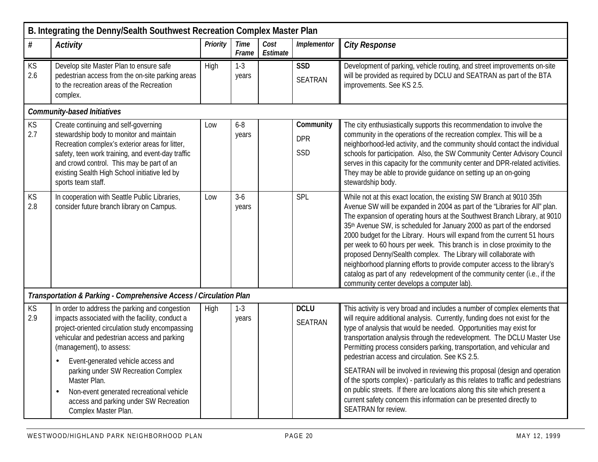|                  | B. Integrating the Denny/Sealth Southwest Recreation Complex Master Plan                                                                                                                                                                                                                                                                                                              |          |                      |                  |                                |                                                                                                                                                                                                                                                                                                                                                                                                                                                                                                                                                                                                                                                                                                                                                |  |  |  |  |  |
|------------------|---------------------------------------------------------------------------------------------------------------------------------------------------------------------------------------------------------------------------------------------------------------------------------------------------------------------------------------------------------------------------------------|----------|----------------------|------------------|--------------------------------|------------------------------------------------------------------------------------------------------------------------------------------------------------------------------------------------------------------------------------------------------------------------------------------------------------------------------------------------------------------------------------------------------------------------------------------------------------------------------------------------------------------------------------------------------------------------------------------------------------------------------------------------------------------------------------------------------------------------------------------------|--|--|--|--|--|
| $\#$             | <b>Activity</b>                                                                                                                                                                                                                                                                                                                                                                       | Priority | <b>Time</b><br>Frame | Cost<br>Estimate | Implementor                    | <b>City Response</b>                                                                                                                                                                                                                                                                                                                                                                                                                                                                                                                                                                                                                                                                                                                           |  |  |  |  |  |
| KS<br>2.6        | Develop site Master Plan to ensure safe<br>pedestrian access from the on-site parking areas<br>to the recreation areas of the Recreation<br>complex.                                                                                                                                                                                                                                  | High     | $1 - 3$<br>years     |                  | <b>SSD</b><br><b>SEATRAN</b>   | Development of parking, vehicle routing, and street improvements on-site<br>will be provided as required by DCLU and SEATRAN as part of the BTA<br>improvements. See KS 2.5.                                                                                                                                                                                                                                                                                                                                                                                                                                                                                                                                                                   |  |  |  |  |  |
|                  | <b>Community-based Initiatives</b>                                                                                                                                                                                                                                                                                                                                                    |          |                      |                  |                                |                                                                                                                                                                                                                                                                                                                                                                                                                                                                                                                                                                                                                                                                                                                                                |  |  |  |  |  |
| <b>KS</b><br>2.7 | Create continuing and self-governing<br>stewardship body to monitor and maintain<br>Recreation complex's exterior areas for litter,<br>safety, teen work training, and event-day traffic<br>and crowd control. This may be part of an<br>existing Sealth High School initiative led by<br>sports team staff.                                                                          | Low      | $6 - 8$<br>years     |                  | Community<br><b>DPR</b><br>SSD | The city enthusiastically supports this recommendation to involve the<br>community in the operations of the recreation complex. This will be a<br>neighborhood-led activity, and the community should contact the individual<br>schools for participation. Also, the SW Community Center Advisory Council<br>serves in this capacity for the community center and DPR-related activities.<br>They may be able to provide guidance on setting up an on-going<br>stewardship body.                                                                                                                                                                                                                                                               |  |  |  |  |  |
| KS<br>2.8        | In cooperation with Seattle Public Libraries,<br>consider future branch library on Campus.                                                                                                                                                                                                                                                                                            | Low      | $3-6$<br>years       |                  | SPL                            | While not at this exact location, the existing SW Branch at 9010 35th<br>Avenue SW will be expanded in 2004 as part of the "Libraries for All" plan.<br>The expansion of operating hours at the Southwest Branch Library, at 9010<br>35th Avenue SW, is scheduled for January 2000 as part of the endorsed<br>2000 budget for the Library. Hours will expand from the current 51 hours<br>per week to 60 hours per week. This branch is in close proximity to the<br>proposed Denny/Sealth complex. The Library will collaborate with<br>neighborhood planning efforts to provide computer access to the library's<br>catalog as part of any redevelopment of the community center (i.e., if the<br>community center develops a computer lab). |  |  |  |  |  |
|                  | Transportation & Parking - Comprehensive Access / Circulation Plan                                                                                                                                                                                                                                                                                                                    |          |                      |                  |                                |                                                                                                                                                                                                                                                                                                                                                                                                                                                                                                                                                                                                                                                                                                                                                |  |  |  |  |  |
| $KS$<br>2.9      | In order to address the parking and congestion<br>impacts associated with the facility, conduct a<br>project-oriented circulation study encompassing<br>vehicular and pedestrian access and parking<br>(management), to assess:<br>Event-generated vehicle access and<br>parking under SW Recreation Complex<br>Master Plan.<br>Non-event generated recreational vehicle<br>$\bullet$ | High     | $1 - 3$<br>years     |                  | <b>DCLU</b><br><b>SEATRAN</b>  | This activity is very broad and includes a number of complex elements that<br>will require additional analysis. Currently, funding does not exist for the<br>type of analysis that would be needed. Opportunities may exist for<br>transportation analysis through the redevelopment. The DCLU Master Use<br>Permitting process considers parking, transportation, and vehicular and<br>pedestrian access and circulation. See KS 2.5.<br>SEATRAN will be involved in reviewing this proposal (design and operation<br>of the sports complex) - particularly as this relates to traffic and pedestrians<br>on public streets. If there are locations along this site which present a                                                           |  |  |  |  |  |
|                  | access and parking under SW Recreation<br>Complex Master Plan.                                                                                                                                                                                                                                                                                                                        |          |                      |                  |                                | current safety concern this information can be presented directly to<br>SEATRAN for review.                                                                                                                                                                                                                                                                                                                                                                                                                                                                                                                                                                                                                                                    |  |  |  |  |  |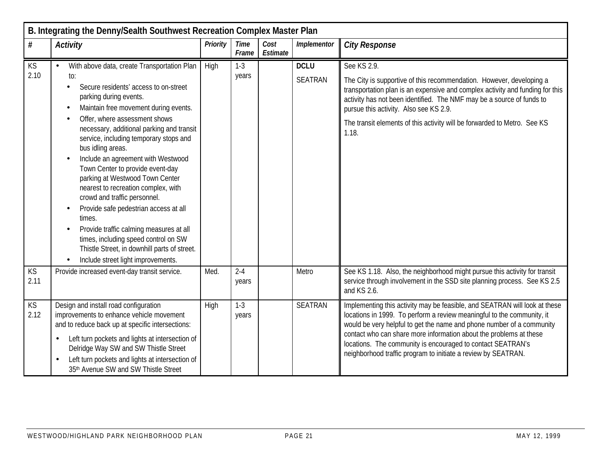|                   | B. Integrating the Denny/Sealth Southwest Recreation Complex Master Plan                                                                                                                                                                                                                                                                                                                                                                                                                                                                                                                                                                                                              |          |                      |                  |                               |                                                                                                                                                                                                                                                                                                                                                                                                                                     |  |  |  |  |  |
|-------------------|---------------------------------------------------------------------------------------------------------------------------------------------------------------------------------------------------------------------------------------------------------------------------------------------------------------------------------------------------------------------------------------------------------------------------------------------------------------------------------------------------------------------------------------------------------------------------------------------------------------------------------------------------------------------------------------|----------|----------------------|------------------|-------------------------------|-------------------------------------------------------------------------------------------------------------------------------------------------------------------------------------------------------------------------------------------------------------------------------------------------------------------------------------------------------------------------------------------------------------------------------------|--|--|--|--|--|
| #                 | <b>Activity</b>                                                                                                                                                                                                                                                                                                                                                                                                                                                                                                                                                                                                                                                                       | Priority | <b>Time</b><br>Frame | Cost<br>Estimate | Implementor                   | <b>City Response</b>                                                                                                                                                                                                                                                                                                                                                                                                                |  |  |  |  |  |
| KS<br>2.10        | With above data, create Transportation Plan<br>to:<br>Secure residents' access to on-street<br>parking during events.<br>Maintain free movement during events.<br>Offer, where assessment shows<br>necessary, additional parking and transit<br>service, including temporary stops and<br>bus idling areas.<br>Include an agreement with Westwood<br>Town Center to provide event-day<br>parking at Westwood Town Center<br>nearest to recreation complex, with<br>crowd and traffic personnel.<br>Provide safe pedestrian access at all<br>times.<br>Provide traffic calming measures at all<br>times, including speed control on SW<br>Thistle Street, in downhill parts of street. | High     | $1-3$<br>years       |                  | <b>DCLU</b><br><b>SEATRAN</b> | See KS 2.9.<br>The City is supportive of this recommendation. However, developing a<br>transportation plan is an expensive and complex activity and funding for this<br>activity has not been identified. The NMF may be a source of funds to<br>pursue this activity. Also see KS 2.9.<br>The transit elements of this activity will be forwarded to Metro. See KS<br>1.18.                                                        |  |  |  |  |  |
| <b>KS</b><br>2.11 | Include street light improvements.<br>Provide increased event-day transit service.                                                                                                                                                                                                                                                                                                                                                                                                                                                                                                                                                                                                    | Med.     | $2 - 4$<br>years     |                  | Metro                         | See KS 1.18. Also, the neighborhood might pursue this activity for transit<br>service through involvement in the SSD site planning process. See KS 2.5<br>and KS 2.6.                                                                                                                                                                                                                                                               |  |  |  |  |  |
| KS<br>2.12        | Design and install road configuration<br>improvements to enhance vehicle movement<br>and to reduce back up at specific intersections:<br>Left turn pockets and lights at intersection of<br>Delridge Way SW and SW Thistle Street<br>Left turn pockets and lights at intersection of<br>35th Avenue SW and SW Thistle Street                                                                                                                                                                                                                                                                                                                                                          | High     | $1-3$<br>years       |                  | <b>SEATRAN</b>                | Implementing this activity may be feasible, and SEATRAN will look at these<br>locations in 1999. To perform a review meaningful to the community, it<br>would be very helpful to get the name and phone number of a community<br>contact who can share more information about the problems at these<br>locations. The community is encouraged to contact SEATRAN's<br>neighborhood traffic program to initiate a review by SEATRAN. |  |  |  |  |  |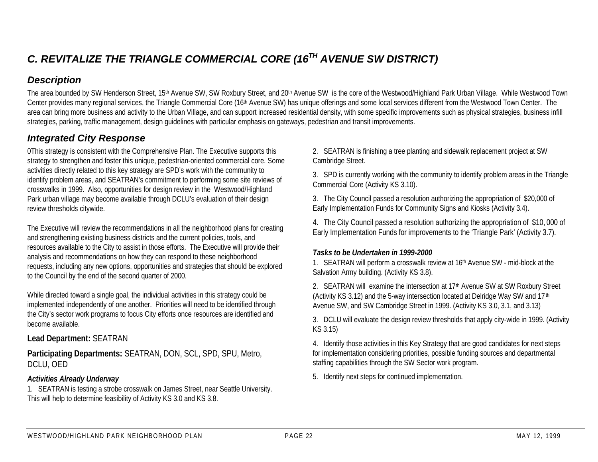The area bounded by SW Henderson Street, 15<sup>th</sup> Avenue SW, SW Roxbury Street, and 20<sup>th</sup> Avenue SW is the core of the Westwood/Highland Park Urban Village. While Westwood Town Center provides many regional services, the Triangle Commercial Core (16th Avenue SW) has unique offerings and some local services different from the Westwood Town Center. The area can bring more business and activity to the Urban Village, and can support increased residential density, with some specific improvements such as physical strategies, business infill strategies, parking, traffic management, design guidelines with particular emphasis on gateways, pedestrian and transit improvements.

# *Integrated City Response*

0This strategy is consistent with the Comprehensive Plan. The Executive supports this strategy to strengthen and foster this unique, pedestrian-oriented commercial core. Some activities directly related to this key strategy are SPD's work with the community to identify problem areas, and SEATRAN's commitment to performing some site reviews of crosswalks in 1999. Also, opportunities for design review in the Westwood/Highland Park urban village may become available through DCLU's evaluation of their design review thresholds citywide.

The Executive will review the recommendations in all the neighborhood plans for creating and strengthening existing business districts and the current policies, tools, and resources available to the City to assist in those efforts. The Executive will provide their analysis and recommendations on how they can respond to these neighborhood requests, including any new options, opportunities and strategies that should be explored to the Council by the end of the second quarter of 2000.

While directed toward a single goal, the individual activities in this strategy could be implemented independently of one another. Priorities will need to be identified through the City's sector work programs to focus City efforts once resources are identified and become available.

#### **Lead Department:** SEATRAN

**Participating Departments:** SEATRAN, DON, SCL, SPD, SPU, Metro, DCLU, OED

#### *Activities Already Underway*

1. SEATRAN is testing a strobe crosswalk on James Street, near Seattle University. This will help to determine feasibility of Activity KS 3.0 and KS 3.8.

2. SEATRAN is finishing a tree planting and sidewalk replacement project at SW Cambridge Street.

3. SPD is currently working with the community to identify problem areas in the Triangle Commercial Core (Activity KS 3.10).

3. The City Council passed a resolution authorizing the appropriation of \$20,000 of Early Implementation Funds for Community Signs and Kiosks (Activity 3.4).

4. The City Council passed a resolution authorizing the appropriation of \$10, 000 of Early Implementation Funds for improvements to the 'Triangle Park' (Activity 3.7).

#### *Tasks to be Undertaken in 1999-2000*

1. SEATRAN will perform a crosswalk review at 16th Avenue SW - mid-block at the Salvation Army building. (Activity KS 3.8).

2. SEATRAN will examine the intersection at 17<sup>th</sup> Avenue SW at SW Roxbury Street (Activity KS 3.12) and the 5-way intersection located at Delridge Way SW and 17 th Avenue SW, and SW Cambridge Street in 1999. (Activity KS 3.0, 3.1, and 3.13)

3. DCLU will evaluate the design review thresholds that apply city-wide in 1999. (Activity KS 3.15)

4. Identify those activities in this Key Strategy that are good candidates for next steps for implementation considering priorities, possible funding sources and departmental staffing capabilities through the SW Sector work program.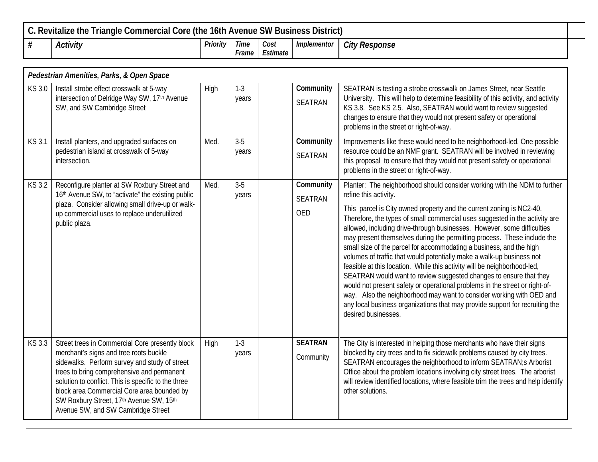| C. Revitalize the Triangle Commercial Core (the 16th Avenue SW Business District) |          |                      |                  |             |                      |  |  |  |
|-----------------------------------------------------------------------------------|----------|----------------------|------------------|-------------|----------------------|--|--|--|
| Activity                                                                          | Priority | <b>Time</b><br>Frame | Cost<br>Estimate | Implementor | <b>City Response</b> |  |  |  |

|               | Pedestrian Amenities, Parks, & Open Space                                                                                                                                                                                                                                                                                                                                      |      |                  |  |                                           |                                                                                                                                                                                                                                                                                                                                                                                                                                                                                                                                                                                                                                                                                                                                                                                                                                                                                                                                                                                 |  |  |  |  |  |
|---------------|--------------------------------------------------------------------------------------------------------------------------------------------------------------------------------------------------------------------------------------------------------------------------------------------------------------------------------------------------------------------------------|------|------------------|--|-------------------------------------------|---------------------------------------------------------------------------------------------------------------------------------------------------------------------------------------------------------------------------------------------------------------------------------------------------------------------------------------------------------------------------------------------------------------------------------------------------------------------------------------------------------------------------------------------------------------------------------------------------------------------------------------------------------------------------------------------------------------------------------------------------------------------------------------------------------------------------------------------------------------------------------------------------------------------------------------------------------------------------------|--|--|--|--|--|
| KS 3.0        | Install strobe effect crosswalk at 5-way<br>intersection of Delridge Way SW, 17 <sup>th</sup> Avenue<br>SW, and SW Cambridge Street                                                                                                                                                                                                                                            | High | $1-3$<br>years   |  | Community<br><b>SEATRAN</b>               | SEATRAN is testing a strobe crosswalk on James Street, near Seattle<br>University. This will help to determine feasibility of this activity, and activity<br>KS 3.8. See KS 2.5. Also, SEATRAN would want to review suggested<br>changes to ensure that they would not present safety or operational<br>problems in the street or right-of-way.                                                                                                                                                                                                                                                                                                                                                                                                                                                                                                                                                                                                                                 |  |  |  |  |  |
| <b>KS 3.1</b> | Install planters, and upgraded surfaces on<br>pedestrian island at crosswalk of 5-way<br>intersection.                                                                                                                                                                                                                                                                         | Med. | $3 - 5$<br>years |  | Community<br><b>SEATRAN</b>               | Improvements like these would need to be neighborhood-led. One possible<br>resource could be an NMF grant. SEATRAN will be involved in reviewing<br>this proposal to ensure that they would not present safety or operational<br>problems in the street or right-of-way.                                                                                                                                                                                                                                                                                                                                                                                                                                                                                                                                                                                                                                                                                                        |  |  |  |  |  |
| KS 3.2        | Reconfigure planter at SW Roxbury Street and<br>16th Avenue SW, to "activate" the existing public<br>plaza. Consider allowing small drive-up or walk-<br>up commercial uses to replace underutilized<br>public plaza.                                                                                                                                                          | Med. | $3-5$<br>years   |  | Community<br><b>SEATRAN</b><br><b>OED</b> | Planter: The neighborhood should consider working with the NDM to further<br>refine this activity.<br>This parcel is City owned property and the current zoning is NC2-40.<br>Therefore, the types of small commercial uses suggested in the activity are<br>allowed, including drive-through businesses. However, some difficulties<br>may present themselves during the permitting process. These include the<br>small size of the parcel for accommodating a business, and the high<br>volumes of traffic that would potentially make a walk-up business not<br>feasible at this location. While this activity will be neighborhood-led,<br>SEATRAN would want to review suggested changes to ensure that they<br>would not present safety or operational problems in the street or right-of-<br>way. Also the neighborhood may want to consider working with OED and<br>any local business organizations that may provide support for recruiting the<br>desired businesses. |  |  |  |  |  |
| KS 3.3        | Street trees in Commercial Core presently block<br>merchant's signs and tree roots buckle<br>sidewalks. Perform survey and study of street<br>trees to bring comprehensive and permanent<br>solution to conflict. This is specific to the three<br>block area Commercial Core area bounded by<br>SW Roxbury Street, 17th Avenue SW, 15th<br>Avenue SW, and SW Cambridge Street | High | $1-3$<br>years   |  | <b>SEATRAN</b><br>Community               | The City is interested in helping those merchants who have their signs<br>blocked by city trees and to fix sidewalk problems caused by city trees.<br>SEATRAN encourages the neighborhood to inform SEATRAN;s Arborist<br>Office about the problem locations involving city street trees. The arborist<br>will review identified locations, where feasible trim the trees and help identify<br>other solutions.                                                                                                                                                                                                                                                                                                                                                                                                                                                                                                                                                                 |  |  |  |  |  |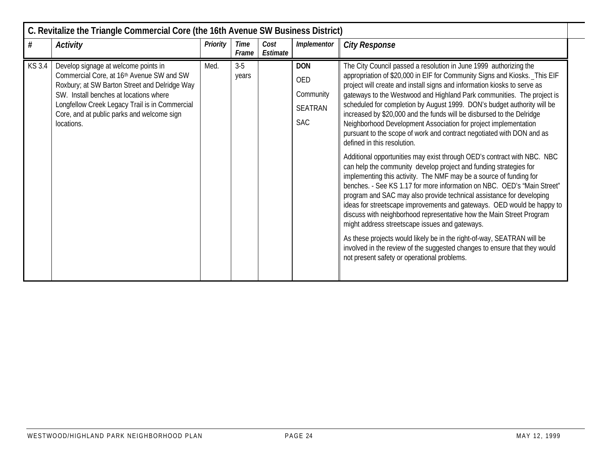|              | C. Revitalize the Triangle Commercial Core (the 16th Avenue SW Business District)                                                                                                                                                                                                          |          |                      |                  |                                                                |                                                                                                                                                                                                                                                                                                                                                                                                                                                                                                                                                                                                                                                                                                                                                                                                                                                                                                                                                                                                                                                                                                                                                                                                                                                                                                                                                                                                                         |  |  |  |  |  |
|--------------|--------------------------------------------------------------------------------------------------------------------------------------------------------------------------------------------------------------------------------------------------------------------------------------------|----------|----------------------|------------------|----------------------------------------------------------------|-------------------------------------------------------------------------------------------------------------------------------------------------------------------------------------------------------------------------------------------------------------------------------------------------------------------------------------------------------------------------------------------------------------------------------------------------------------------------------------------------------------------------------------------------------------------------------------------------------------------------------------------------------------------------------------------------------------------------------------------------------------------------------------------------------------------------------------------------------------------------------------------------------------------------------------------------------------------------------------------------------------------------------------------------------------------------------------------------------------------------------------------------------------------------------------------------------------------------------------------------------------------------------------------------------------------------------------------------------------------------------------------------------------------------|--|--|--|--|--|
| #            | Activity                                                                                                                                                                                                                                                                                   | Priority | <b>Time</b><br>Frame | Cost<br>Estimate | Implementor                                                    | <b>City Response</b>                                                                                                                                                                                                                                                                                                                                                                                                                                                                                                                                                                                                                                                                                                                                                                                                                                                                                                                                                                                                                                                                                                                                                                                                                                                                                                                                                                                                    |  |  |  |  |  |
| <b>KS3.4</b> | Develop signage at welcome points in<br>Commercial Core, at 16th Avenue SW and SW<br>Roxbury; at SW Barton Street and Delridge Way<br>SW. Install benches at locations where<br>Longfellow Creek Legacy Trail is in Commercial<br>Core, and at public parks and welcome sign<br>locations. | Med.     | $3-5$<br>years       |                  | <b>DON</b><br><b>OED</b><br>Community<br>SEATRAN<br><b>SAC</b> | The City Council passed a resolution in June 1999 authorizing the<br>appropriation of \$20,000 in EIF for Community Signs and Kiosks. _This EIF<br>project will create and install signs and information kiosks to serve as<br>gateways to the Westwood and Highland Park communities. The project is<br>scheduled for completion by August 1999. DON's budget authority will be<br>increased by \$20,000 and the funds will be disbursed to the Delridge<br>Neighborhood Development Association for project implementation<br>pursuant to the scope of work and contract negotiated with DON and as<br>defined in this resolution.<br>Additional opportunities may exist through OED's contract with NBC. NBC<br>can help the community develop project and funding strategies for<br>implementing this activity. The NMF may be a source of funding for<br>benches. - See KS 1.17 for more information on NBC. OED's 'Main Street"<br>program and SAC may also provide technical assistance for developing<br>ideas for streetscape improvements and gateways. OED would be happy to<br>discuss with neighborhood representative how the Main Street Program<br>might address streetscape issues and gateways.<br>As these projects would likely be in the right-of-way, SEATRAN will be<br>involved in the review of the suggested changes to ensure that they would<br>not present safety or operational problems. |  |  |  |  |  |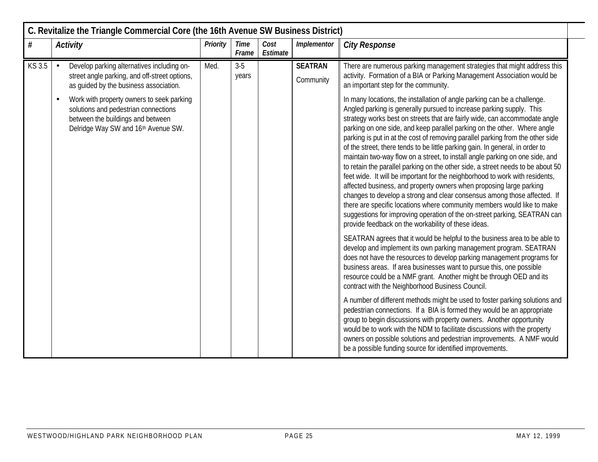|        | C. Revitalize the Triangle Commercial Core (the 16th Avenue SW Business District)                                                                                          |                 |                      |                  |                             |                                                                                                                                                                                                                                                                                                                                                                                                                                                                                                                                                                                                                                                                                                                                                                                                                                                                                                                                                                                                                                                                                                    |  |  |  |  |  |
|--------|----------------------------------------------------------------------------------------------------------------------------------------------------------------------------|-----------------|----------------------|------------------|-----------------------------|----------------------------------------------------------------------------------------------------------------------------------------------------------------------------------------------------------------------------------------------------------------------------------------------------------------------------------------------------------------------------------------------------------------------------------------------------------------------------------------------------------------------------------------------------------------------------------------------------------------------------------------------------------------------------------------------------------------------------------------------------------------------------------------------------------------------------------------------------------------------------------------------------------------------------------------------------------------------------------------------------------------------------------------------------------------------------------------------------|--|--|--|--|--|
| #      | <b>Activity</b>                                                                                                                                                            | <b>Priority</b> | <b>Time</b><br>Frame | Cost<br>Estimate | Implementor                 | <b>City Response</b>                                                                                                                                                                                                                                                                                                                                                                                                                                                                                                                                                                                                                                                                                                                                                                                                                                                                                                                                                                                                                                                                               |  |  |  |  |  |
| KS 3.5 | Develop parking alternatives including on-<br>street angle parking, and off-street options,<br>as quided by the business association.                                      | Med.            | $3 - 5$<br>years     |                  | <b>SEATRAN</b><br>Community | There are numerous parking management strategies that might address this<br>activity. Formation of a BIA or Parking Management Association would be<br>an important step for the community.                                                                                                                                                                                                                                                                                                                                                                                                                                                                                                                                                                                                                                                                                                                                                                                                                                                                                                        |  |  |  |  |  |
|        | Work with property owners to seek parking<br>$\bullet$<br>solutions and pedestrian connections<br>between the buildings and between<br>Delridge Way SW and 16th Avenue SW. |                 |                      |                  |                             | In many locations, the installation of angle parking can be a challenge.<br>Angled parking is generally pursued to increase parking supply. This<br>strategy works best on streets that are fairly wide, can accommodate angle<br>parking on one side, and keep parallel parking on the other. Where angle<br>parking is put in at the cost of removing parallel parking from the other side<br>of the street, there tends to be little parking gain. In general, in order to<br>maintain two-way flow on a street, to install angle parking on one side, and<br>to retain the parallel parking on the other side, a street needs to be about 50<br>feet wide. It will be important for the neighborhood to work with residents,<br>affected business, and property owners when proposing large parking<br>changes to develop a strong and clear consensus among those affected. If<br>there are specific locations where community members would like to make<br>suggestions for improving operation of the on-street parking, SEATRAN can<br>provide feedback on the workability of these ideas. |  |  |  |  |  |
|        |                                                                                                                                                                            |                 |                      |                  |                             | SEATRAN agrees that it would be helpful to the business area to be able to<br>develop and implement its own parking management program. SEATRAN<br>does not have the resources to develop parking management programs for<br>business areas. If area businesses want to pursue this, one possible<br>resource could be a NMF grant. Another might be through OED and its<br>contract with the Neighborhood Business Council.                                                                                                                                                                                                                                                                                                                                                                                                                                                                                                                                                                                                                                                                       |  |  |  |  |  |
|        |                                                                                                                                                                            |                 |                      |                  |                             | A number of different methods might be used to foster parking solutions and<br>pedestrian connections. If a BIA is formed they would be an appropriate<br>group to begin discussions with property owners. Another opportunity<br>would be to work with the NDM to facilitate discussions with the property<br>owners on possible solutions and pedestrian improvements. A NMF would<br>be a possible funding source for identified improvements.                                                                                                                                                                                                                                                                                                                                                                                                                                                                                                                                                                                                                                                  |  |  |  |  |  |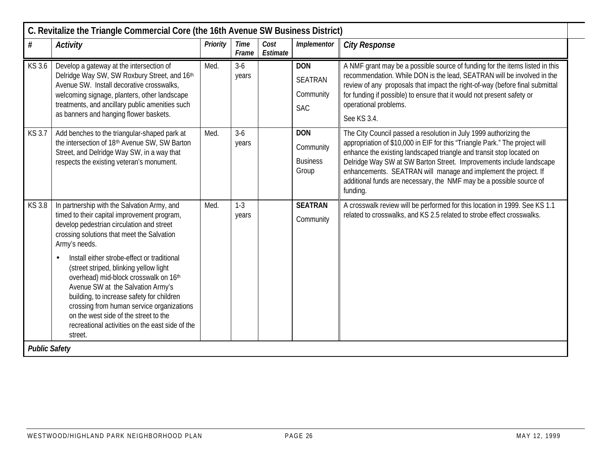|                      | C. Revitalize the Triangle Commercial Core (the 16th Avenue SW Business District)                                                                                                                                                                                                                                                                                                                                                                                                                                                                                              |          |                      |                  |                                                         |                                                                                                                                                                                                                                                                                                                                                                                                                                                       |  |  |  |  |
|----------------------|--------------------------------------------------------------------------------------------------------------------------------------------------------------------------------------------------------------------------------------------------------------------------------------------------------------------------------------------------------------------------------------------------------------------------------------------------------------------------------------------------------------------------------------------------------------------------------|----------|----------------------|------------------|---------------------------------------------------------|-------------------------------------------------------------------------------------------------------------------------------------------------------------------------------------------------------------------------------------------------------------------------------------------------------------------------------------------------------------------------------------------------------------------------------------------------------|--|--|--|--|
| $\#$                 | Activity                                                                                                                                                                                                                                                                                                                                                                                                                                                                                                                                                                       | Priority | <b>Time</b><br>Frame | Cost<br>Estimate | Implementor                                             | <b>City Response</b>                                                                                                                                                                                                                                                                                                                                                                                                                                  |  |  |  |  |
| KS 3.6               | Develop a gateway at the intersection of<br>Delridge Way SW, SW Roxbury Street, and 16th<br>Avenue SW. Install decorative crosswalks,<br>welcoming signage, planters, other landscape<br>treatments, and ancillary public amenities such<br>as banners and hanging flower baskets.                                                                                                                                                                                                                                                                                             | Med.     | $3-6$<br>years       |                  | <b>DON</b><br><b>SEATRAN</b><br>Community<br><b>SAC</b> | A NMF grant may be a possible source of funding for the items listed in this<br>recommendation. While DON is the lead, SEATRAN will be involved in the<br>review of any proposals that impact the right-of-way (before final submittal<br>for funding if possible) to ensure that it would not present safety or<br>operational problems.<br>See KS 3.4.                                                                                              |  |  |  |  |
| <b>KS 3.7</b>        | Add benches to the triangular-shaped park at<br>the intersection of 18th Avenue SW, SW Barton<br>Street, and Delridge Way SW, in a way that<br>respects the existing veteran's monument.                                                                                                                                                                                                                                                                                                                                                                                       | Med.     | $3-6$<br>years       |                  | <b>DON</b><br>Community<br><b>Business</b><br>Group     | The City Council passed a resolution in July 1999 authorizing the<br>appropriation of \$10,000 in EIF for this "Triangle Park." The project will<br>enhance the existing landscaped triangle and transit stop located on<br>Delridge Way SW at SW Barton Street. Improvements include landscape<br>enhancements. SEATRAN will manage and implement the project. If<br>additional funds are necessary, the NMF may be a possible source of<br>funding. |  |  |  |  |
| <b>KS3.8</b>         | In partnership with the Salvation Army, and<br>timed to their capital improvement program,<br>develop pedestrian circulation and street<br>crossing solutions that meet the Salvation<br>Army's needs.<br>Install either strobe-effect or traditional<br>(street striped, blinking yellow light<br>overhead) mid-block crosswalk on 16th<br>Avenue SW at the Salvation Army's<br>building, to increase safety for children<br>crossing from human service organizations<br>on the west side of the street to the<br>recreational activities on the east side of the<br>street. | Med.     | $1-3$<br>years       |                  | <b>SEATRAN</b><br>Community                             | A crosswalk review will be performed for this location in 1999. See KS 1.1<br>related to crosswalks, and KS 2.5 related to strobe effect crosswalks.                                                                                                                                                                                                                                                                                                  |  |  |  |  |
| <b>Public Safety</b> |                                                                                                                                                                                                                                                                                                                                                                                                                                                                                                                                                                                |          |                      |                  |                                                         |                                                                                                                                                                                                                                                                                                                                                                                                                                                       |  |  |  |  |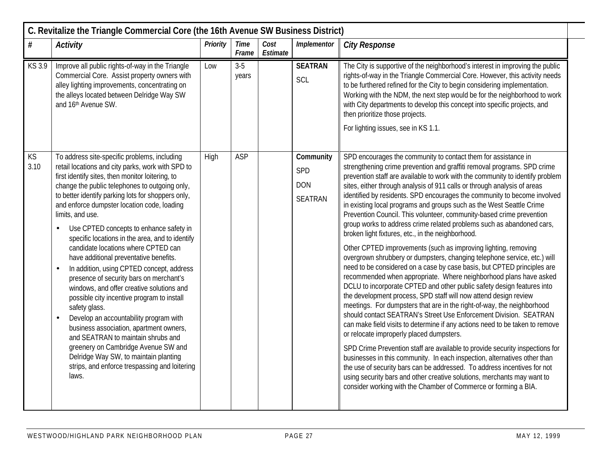|                   | C. Revitalize the Triangle Commercial Core (the 16th Avenue SW Business District)                                                                                                                                                                                                                                                                                                                                                                                                                                                                                                                                                                                                                                                                                                                                                                                                                                                                                                                     |          |                |                  |                                                  |                                                                                                                                                                                                                                                                                                                                                                                                                                                                                                                                                                                                                                                                                                                                                                                                                                                                                                                                                                                                                                                                                                                                                                                                                                                                                                                                                                                                                                                                                                                                                                                                                                                                                                                                                                                |
|-------------------|-------------------------------------------------------------------------------------------------------------------------------------------------------------------------------------------------------------------------------------------------------------------------------------------------------------------------------------------------------------------------------------------------------------------------------------------------------------------------------------------------------------------------------------------------------------------------------------------------------------------------------------------------------------------------------------------------------------------------------------------------------------------------------------------------------------------------------------------------------------------------------------------------------------------------------------------------------------------------------------------------------|----------|----------------|------------------|--------------------------------------------------|--------------------------------------------------------------------------------------------------------------------------------------------------------------------------------------------------------------------------------------------------------------------------------------------------------------------------------------------------------------------------------------------------------------------------------------------------------------------------------------------------------------------------------------------------------------------------------------------------------------------------------------------------------------------------------------------------------------------------------------------------------------------------------------------------------------------------------------------------------------------------------------------------------------------------------------------------------------------------------------------------------------------------------------------------------------------------------------------------------------------------------------------------------------------------------------------------------------------------------------------------------------------------------------------------------------------------------------------------------------------------------------------------------------------------------------------------------------------------------------------------------------------------------------------------------------------------------------------------------------------------------------------------------------------------------------------------------------------------------------------------------------------------------|
| $\#$              | <b>Activity</b>                                                                                                                                                                                                                                                                                                                                                                                                                                                                                                                                                                                                                                                                                                                                                                                                                                                                                                                                                                                       | Priority | Time<br>Frame  | Cost<br>Estimate | Implementor                                      | <b>City Response</b>                                                                                                                                                                                                                                                                                                                                                                                                                                                                                                                                                                                                                                                                                                                                                                                                                                                                                                                                                                                                                                                                                                                                                                                                                                                                                                                                                                                                                                                                                                                                                                                                                                                                                                                                                           |
| KS 3.9            | Improve all public rights-of-way in the Triangle<br>Commercial Core. Assist property owners with<br>alley lighting improvements, concentrating on<br>the alleys located between Delridge Way SW<br>and 16th Avenue SW.                                                                                                                                                                                                                                                                                                                                                                                                                                                                                                                                                                                                                                                                                                                                                                                | Low      | $3-5$<br>years |                  | <b>SEATRAN</b><br>SCL                            | The City is supportive of the neighborhood's interest in improving the public<br>rights-of-way in the Triangle Commercial Core. However, this activity needs<br>to be furthered refined for the City to begin considering implementation.<br>Working with the NDM, the next step would be for the neighborhood to work<br>with City departments to develop this concept into specific projects, and<br>then prioritize those projects.<br>For lighting issues, see in KS 1.1.                                                                                                                                                                                                                                                                                                                                                                                                                                                                                                                                                                                                                                                                                                                                                                                                                                                                                                                                                                                                                                                                                                                                                                                                                                                                                                  |
| <b>KS</b><br>3.10 | To address site-specific problems, including<br>retail locations and city parks, work with SPD to<br>first identify sites, then monitor loitering, to<br>change the public telephones to outgoing only,<br>to better identify parking lots for shoppers only,<br>and enforce dumpster location code, loading<br>limits, and use.<br>Use CPTED concepts to enhance safety in<br>specific locations in the area, and to identify<br>candidate locations where CPTED can<br>have additional preventative benefits.<br>In addition, using CPTED concept, address<br>$\bullet$<br>presence of security bars on merchant's<br>windows, and offer creative solutions and<br>possible city incentive program to install<br>safety glass.<br>Develop an accountability program with<br>business association, apartment owners,<br>and SEATRAN to maintain shrubs and<br>greenery on Cambridge Avenue SW and<br>Delridge Way SW, to maintain planting<br>strips, and enforce trespassing and loitering<br>laws. | High     | <b>ASP</b>     |                  | Community<br>SPD<br><b>DON</b><br><b>SEATRAN</b> | SPD encourages the community to contact them for assistance in<br>strengthening crime prevention and graffiti removal programs. SPD crime<br>prevention staff are available to work with the community to identify problem<br>sites, either through analysis of 911 calls or through analysis of areas<br>identified by residents. SPD encourages the community to become involved<br>in existing local programs and groups such as the West Seattle Crime<br>Prevention Council. This volunteer, community-based crime prevention<br>group works to address crime related problems such as abandoned cars,<br>broken light fixtures, etc., in the neighborhood.<br>Other CPTED improvements (such as improving lighting, removing<br>overgrown shrubbery or dumpsters, changing telephone service, etc.) will<br>need to be considered on a case by case basis, but CPTED principles are<br>recommended when appropriate. Where neighborhood plans have asked<br>DCLU to incorporate CPTED and other public safety design features into<br>the development process, SPD staff will now attend design review<br>meetings. For dumpsters that are in the right-of-way, the neighborhood<br>should contact SEATRAN's Street Use Enforcement Division. SEATRAN<br>can make field visits to determine if any actions need to be taken to remove<br>or relocate improperly placed dumpsters.<br>SPD Crime Prevention staff are available to provide security inspections for<br>businesses in this community. In each inspection, alternatives other than<br>the use of security bars can be addressed. To address incentives for not<br>using security bars and other creative solutions, merchants may want to<br>consider working with the Chamber of Commerce or forming a BIA. |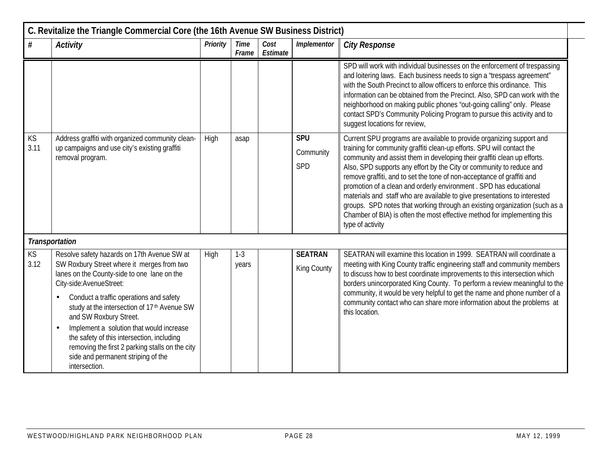|                   | C. Revitalize the Triangle Commercial Core (the 16th Avenue SW Business District)                                                                                                                                                                                                                                                                                                                                                                                                                                                 |                 |                      |                  |                                |                                                                                                                                                                                                                                                                                                                                                                                                                                                                                                                                                                                                                                                                                                               |  |  |  |  |  |
|-------------------|-----------------------------------------------------------------------------------------------------------------------------------------------------------------------------------------------------------------------------------------------------------------------------------------------------------------------------------------------------------------------------------------------------------------------------------------------------------------------------------------------------------------------------------|-----------------|----------------------|------------------|--------------------------------|---------------------------------------------------------------------------------------------------------------------------------------------------------------------------------------------------------------------------------------------------------------------------------------------------------------------------------------------------------------------------------------------------------------------------------------------------------------------------------------------------------------------------------------------------------------------------------------------------------------------------------------------------------------------------------------------------------------|--|--|--|--|--|
| $\#$              | <b>Activity</b>                                                                                                                                                                                                                                                                                                                                                                                                                                                                                                                   | <b>Priority</b> | <b>Time</b><br>Frame | Cost<br>Estimate | Implementor                    | <b>City Response</b>                                                                                                                                                                                                                                                                                                                                                                                                                                                                                                                                                                                                                                                                                          |  |  |  |  |  |
|                   |                                                                                                                                                                                                                                                                                                                                                                                                                                                                                                                                   |                 |                      |                  |                                | SPD will work with individual businesses on the enforcement of trespassing<br>and loitering laws. Each business needs to sign a "trespass agreement"<br>with the South Precinct to allow officers to enforce this ordinance. This<br>information can be obtained from the Precinct. Also, SPD can work with the<br>neighborhood on making public phones "out-going calling" only. Please<br>contact SPD's Community Policing Program to pursue this activity and to<br>suggest locations for review,                                                                                                                                                                                                          |  |  |  |  |  |
| KS<br>3.11        | Address graffiti with organized community clean-<br>up campaigns and use city's existing graffiti<br>removal program.                                                                                                                                                                                                                                                                                                                                                                                                             | High            | asap                 |                  | <b>SPU</b><br>Community<br>SPD | Current SPU programs are available to provide organizing support and<br>training for community graffiti clean-up efforts. SPU will contact the<br>community and assist them in developing their graffiti clean up efforts.<br>Also, SPD supports any effort by the City or community to reduce and<br>remove graffiti, and to set the tone of non-acceptance of graffiti and<br>promotion of a clean and orderly environment . SPD has educational<br>materials and staff who are available to give presentations to interested<br>groups. SPD notes that working through an existing organization (such as a<br>Chamber of BIA) is often the most effective method for implementing this<br>type of activity |  |  |  |  |  |
|                   | <b>Transportation</b>                                                                                                                                                                                                                                                                                                                                                                                                                                                                                                             |                 |                      |                  |                                |                                                                                                                                                                                                                                                                                                                                                                                                                                                                                                                                                                                                                                                                                                               |  |  |  |  |  |
| <b>KS</b><br>3.12 | Resolve safety hazards on 17th Avenue SW at<br>SW Roxbury Street where it merges from two<br>lanes on the County-side to one lane on the<br>City-side:AvenueStreet:<br>Conduct a traffic operations and safety<br>$\bullet$<br>study at the intersection of 17 <sup>th</sup> Avenue SW<br>and SW Roxbury Street.<br>Implement a solution that would increase<br>$\bullet$<br>the safety of this intersection, including<br>removing the first 2 parking stalls on the city<br>side and permanent striping of the<br>intersection. | High            | $1 - 3$<br>years     |                  | <b>SEATRAN</b><br>King County  | SEATRAN will examine this location in 1999. SEATRAN will coordinate a<br>meeting with King County traffic engineering staff and community members<br>to discuss how to best coordinate improvements to this intersection which<br>borders unincorporated King County. To perform a review meaningful to the<br>community, it would be very helpful to get the name and phone number of a<br>community contact who can share more information about the problems at<br>this location.                                                                                                                                                                                                                          |  |  |  |  |  |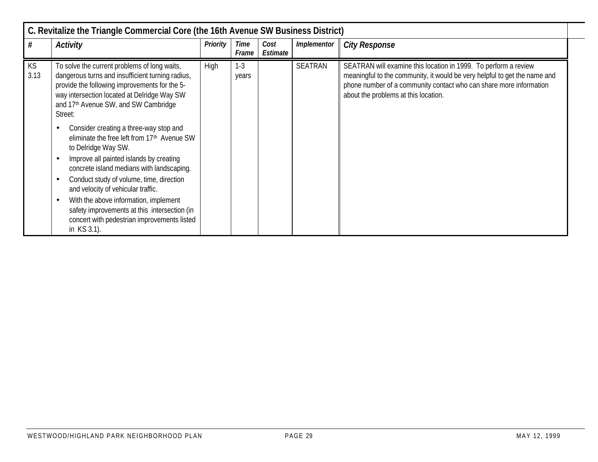| C. Revitalize the Triangle Commercial Core (the 16th Avenue SW Business District) |                                                                                                                                                                                                                                                                                                                                                                                                                                                                                                                                                                                                                                                                                                                                                                      |          |                  |                  |                    |                                                                                                                                                                                                                                                            |  |  |  |  |  |
|-----------------------------------------------------------------------------------|----------------------------------------------------------------------------------------------------------------------------------------------------------------------------------------------------------------------------------------------------------------------------------------------------------------------------------------------------------------------------------------------------------------------------------------------------------------------------------------------------------------------------------------------------------------------------------------------------------------------------------------------------------------------------------------------------------------------------------------------------------------------|----------|------------------|------------------|--------------------|------------------------------------------------------------------------------------------------------------------------------------------------------------------------------------------------------------------------------------------------------------|--|--|--|--|--|
| #                                                                                 | Activity                                                                                                                                                                                                                                                                                                                                                                                                                                                                                                                                                                                                                                                                                                                                                             | Priority | Time<br>Frame    | Cost<br>Estimate | <b>Implementor</b> | <b>City Response</b>                                                                                                                                                                                                                                       |  |  |  |  |  |
| KS<br>3.13                                                                        | To solve the current problems of long waits,<br>dangerous turns and insufficient turning radius,<br>provide the following improvements for the 5-<br>way intersection located at Delridge Way SW<br>and 17th Avenue SW, and SW Cambridge<br>Street:<br>Consider creating a three-way stop and<br>$\bullet$<br>eliminate the free left from 17 <sup>th</sup> Avenue SW<br>to Delridge Way SW.<br>Improve all painted islands by creating<br>$\bullet$<br>concrete island medians with landscaping.<br>Conduct study of volume, time, direction<br>$\bullet$<br>and velocity of vehicular traffic.<br>With the above information, implement<br>$\bullet$<br>safety improvements at this intersection (in<br>concert with pedestrian improvements listed<br>in KS 3.1). | High     | $1 - 3$<br>years |                  | <b>SEATRAN</b>     | SEATRAN will examine this location in 1999. To perform a review<br>meaningful to the community, it would be very helpful to get the name and<br>phone number of a community contact who can share more information<br>about the problems at this location. |  |  |  |  |  |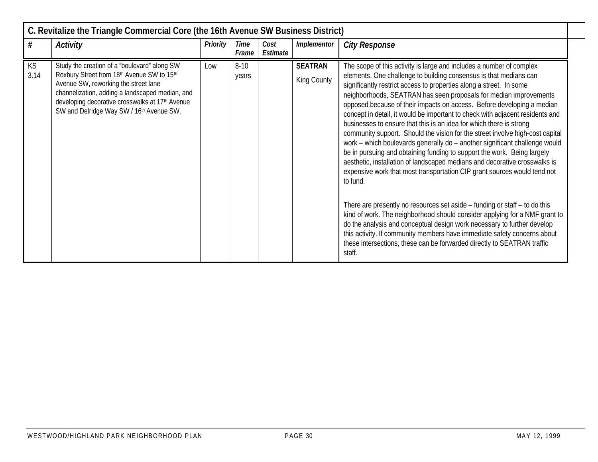|                   | C. Revitalize the Triangle Commercial Core (the 16th Avenue SW Business District)                                                                                                                                                                                                                |                 |                      |                  |                               |                                                                                                                                                                                                                                                                                                                                                                                                                                                                                                                                                                                                                                                                                                                                                                                                                                                                                                                                                                                                                                                                                                                                                                                                                                                                                                                                                 |  |  |  |  |  |
|-------------------|--------------------------------------------------------------------------------------------------------------------------------------------------------------------------------------------------------------------------------------------------------------------------------------------------|-----------------|----------------------|------------------|-------------------------------|-------------------------------------------------------------------------------------------------------------------------------------------------------------------------------------------------------------------------------------------------------------------------------------------------------------------------------------------------------------------------------------------------------------------------------------------------------------------------------------------------------------------------------------------------------------------------------------------------------------------------------------------------------------------------------------------------------------------------------------------------------------------------------------------------------------------------------------------------------------------------------------------------------------------------------------------------------------------------------------------------------------------------------------------------------------------------------------------------------------------------------------------------------------------------------------------------------------------------------------------------------------------------------------------------------------------------------------------------|--|--|--|--|--|
| #                 | <b>Activity</b>                                                                                                                                                                                                                                                                                  | <b>Priority</b> | <b>Time</b><br>Frame | Cost<br>Estimate | Implementor                   | <b>City Response</b>                                                                                                                                                                                                                                                                                                                                                                                                                                                                                                                                                                                                                                                                                                                                                                                                                                                                                                                                                                                                                                                                                                                                                                                                                                                                                                                            |  |  |  |  |  |
| <b>KS</b><br>3.14 | Study the creation of a 'boulevard" along SW<br>Roxbury Street from 18th Avenue SW to 15th<br>Avenue SW, reworking the street lane<br>channelization, adding a landscaped median, and<br>developing decorative crosswalks at 17 <sup>th</sup> Avenue<br>SW and Delridge Way SW / 16th Avenue SW. | Low             | $8-10$<br>years      |                  | <b>SEATRAN</b><br>King County | The scope of this activity is large and includes a number of complex<br>elements. One challenge to building consensus is that medians can<br>significantly restrict access to properties along a street. In some<br>neighborhoods, SEATRAN has seen proposals for median improvements<br>opposed because of their impacts on access. Before developing a median<br>concept in detail, it would be important to check with adjacent residents and<br>businesses to ensure that this is an idea for which there is strong<br>community support. Should the vision for the street involve high-cost capital<br>work - which boulevards generally do - another significant challenge would<br>be in pursuing and obtaining funding to support the work. Being largely<br>aesthetic, installation of landscaped medians and decorative crosswalks is<br>expensive work that most transportation CIP grant sources would tend not<br>to fund.<br>There are presently no resources set aside - funding or staff - to do this<br>kind of work. The neighborhood should consider applying for a NMF grant to<br>do the analysis and conceptual design work necessary to further develop<br>this activity. If community members have immediate safety concerns about<br>these intersections, these can be forwarded directly to SEATRAN traffic<br>staff. |  |  |  |  |  |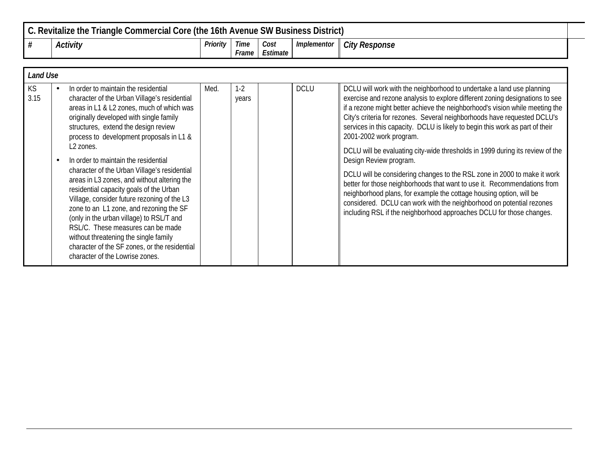| C. Revitalize the Triangle Commercial Core (the 16th Avenue SW Business District) |          |               |                  |                    |                      |  |  |  |  |  |
|-----------------------------------------------------------------------------------|----------|---------------|------------------|--------------------|----------------------|--|--|--|--|--|
| Activity                                                                          | Priority | Time<br>Frame | Cost<br>Estimate | <i>Implementor</i> | <b>City Response</b> |  |  |  |  |  |

|            | <b>Land Use</b> |                                                                                                                                                                                                                                                                                                                                                                                                                                                                                                                                                                                                                                                                                                                                                                                     |      |                  |  |             |                                                                                                                                                                                                                                                                                                                                                                                                                                                                                                                                                                                                                                                                                                                                                                                                                                                                                                                         |  |  |  |  |
|------------|-----------------|-------------------------------------------------------------------------------------------------------------------------------------------------------------------------------------------------------------------------------------------------------------------------------------------------------------------------------------------------------------------------------------------------------------------------------------------------------------------------------------------------------------------------------------------------------------------------------------------------------------------------------------------------------------------------------------------------------------------------------------------------------------------------------------|------|------------------|--|-------------|-------------------------------------------------------------------------------------------------------------------------------------------------------------------------------------------------------------------------------------------------------------------------------------------------------------------------------------------------------------------------------------------------------------------------------------------------------------------------------------------------------------------------------------------------------------------------------------------------------------------------------------------------------------------------------------------------------------------------------------------------------------------------------------------------------------------------------------------------------------------------------------------------------------------------|--|--|--|--|
| KS<br>3.15 |                 | In order to maintain the residential<br>character of the Urban Village's residential<br>areas in L1 & L2 zones, much of which was<br>originally developed with single family<br>structures, extend the design review<br>process to development proposals in L1 &<br>L <sub>2</sub> zones.<br>In order to maintain the residential<br>character of the Urban Village's residential<br>areas in L3 zones, and without altering the<br>residential capacity goals of the Urban<br>Village, consider future rezoning of the L3<br>zone to an L1 zone, and rezoning the SF<br>(only in the urban village) to RSL/T and<br>RSL/C. These measures can be made<br>without threatening the single family<br>character of the SF zones, or the residential<br>character of the Lowrise zones. | Med. | $1 - 2$<br>years |  | <b>DCLU</b> | DCLU will work with the neighborhood to undertake a land use planning<br>exercise and rezone analysis to explore different zoning designations to see<br>if a rezone might better achieve the neighborhood's vision while meeting the<br>City's criteria for rezones. Several neighborhoods have requested DCLU's<br>services in this capacity. DCLU is likely to begin this work as part of their<br>2001-2002 work program.<br>DCLU will be evaluating city-wide thresholds in 1999 during its review of the<br>Design Review program.<br>DCLU will be considering changes to the RSL zone in 2000 to make it work<br>better for those neighborhoods that want to use it. Recommendations from<br>neighborhood plans, for example the cottage housing option, will be<br>considered. DCLU can work with the neighborhood on potential rezones<br>including RSL if the neighborhood approaches DCLU for those changes. |  |  |  |  |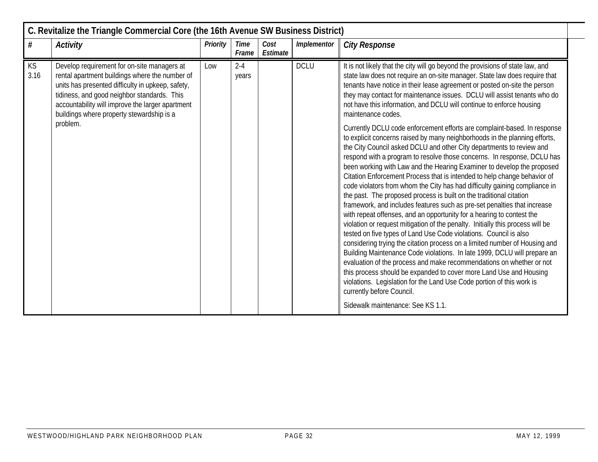|            | C. Revitalize the Triangle Commercial Core (the 16th Avenue SW Business District)                                                                                                                                                                                                                                                                                  |                                                                                                                                                                                                                                                                                                                                                                                               |                      |                  |             |                                                                                                                                                                                                                                                                                                                                                                                                                                                                                                                                                                                                                                                                                                                                                                                                                                                                                                                                                                                                                                                                                                                                                                                                                                                                                                                                                |  |  |  |  |  |
|------------|--------------------------------------------------------------------------------------------------------------------------------------------------------------------------------------------------------------------------------------------------------------------------------------------------------------------------------------------------------------------|-----------------------------------------------------------------------------------------------------------------------------------------------------------------------------------------------------------------------------------------------------------------------------------------------------------------------------------------------------------------------------------------------|----------------------|------------------|-------------|------------------------------------------------------------------------------------------------------------------------------------------------------------------------------------------------------------------------------------------------------------------------------------------------------------------------------------------------------------------------------------------------------------------------------------------------------------------------------------------------------------------------------------------------------------------------------------------------------------------------------------------------------------------------------------------------------------------------------------------------------------------------------------------------------------------------------------------------------------------------------------------------------------------------------------------------------------------------------------------------------------------------------------------------------------------------------------------------------------------------------------------------------------------------------------------------------------------------------------------------------------------------------------------------------------------------------------------------|--|--|--|--|--|
| $\#$       | <b>Activity</b>                                                                                                                                                                                                                                                                                                                                                    | <b>Priority</b>                                                                                                                                                                                                                                                                                                                                                                               | <b>Time</b><br>Frame | Cost<br>Estimate | Implementor | <b>City Response</b>                                                                                                                                                                                                                                                                                                                                                                                                                                                                                                                                                                                                                                                                                                                                                                                                                                                                                                                                                                                                                                                                                                                                                                                                                                                                                                                           |  |  |  |  |  |
| KS<br>3.16 | <b>DCLU</b><br>Develop requirement for on-site managers at<br>$2 - 4$<br>Low<br>rental apartment buildings where the number of<br>years<br>units has presented difficulty in upkeep, safety,<br>tidiness, and good neighbor standards. This<br>accountability will improve the larger apartment<br>buildings where property stewardship is a<br>maintenance codes. | It is not likely that the city will go beyond the provisions of state law, and<br>state law does not require an on-site manager. State law does require that<br>tenants have notice in their lease agreement or posted on-site the person<br>they may contact for maintenance issues. DCLU will assist tenants who do<br>not have this information, and DCLU will continue to enforce housing |                      |                  |             |                                                                                                                                                                                                                                                                                                                                                                                                                                                                                                                                                                                                                                                                                                                                                                                                                                                                                                                                                                                                                                                                                                                                                                                                                                                                                                                                                |  |  |  |  |  |
|            | problem.                                                                                                                                                                                                                                                                                                                                                           |                                                                                                                                                                                                                                                                                                                                                                                               |                      |                  |             | Currently DCLU code enforcement efforts are complaint-based. In response<br>to explicit concerns raised by many neighborhoods in the planning efforts,<br>the City Council asked DCLU and other City departments to review and<br>respond with a program to resolve those concerns. In response, DCLU has<br>been working with Law and the Hearing Examiner to develop the proposed<br>Citation Enforcement Process that is intended to help change behavior of<br>code violators from whom the City has had difficulty gaining compliance in<br>the past. The proposed process is built on the traditional citation<br>framework, and includes features such as pre-set penalties that increase<br>with repeat offenses, and an opportunity for a hearing to contest the<br>violation or request mitigation of the penalty. Initially this process will be<br>tested on five types of Land Use Code violations. Council is also<br>considering trying the citation process on a limited number of Housing and<br>Building Maintenance Code violations. In late 1999, DCLU will prepare an<br>evaluation of the process and make recommendations on whether or not<br>this process should be expanded to cover more Land Use and Housing<br>violations. Legislation for the Land Use Code portion of this work is<br>currently before Council. |  |  |  |  |  |
|            |                                                                                                                                                                                                                                                                                                                                                                    |                                                                                                                                                                                                                                                                                                                                                                                               |                      |                  |             | Sidewalk maintenance: See KS 1.1.                                                                                                                                                                                                                                                                                                                                                                                                                                                                                                                                                                                                                                                                                                                                                                                                                                                                                                                                                                                                                                                                                                                                                                                                                                                                                                              |  |  |  |  |  |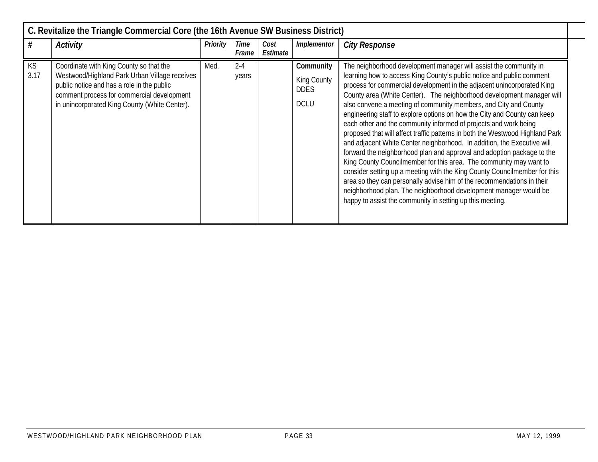|                   | C. Revitalize the Triangle Commercial Core (the 16th Avenue SW Business District)                                                                                                                                                     |          |                  |                  |                                                        |                                                                                                                                                                                                                                                                                                                                                                                                                                                                                                                                                                                                                                                                                                                                                                                                                                                                                                                                                                                                                                                                                                                       |  |  |  |  |  |  |
|-------------------|---------------------------------------------------------------------------------------------------------------------------------------------------------------------------------------------------------------------------------------|----------|------------------|------------------|--------------------------------------------------------|-----------------------------------------------------------------------------------------------------------------------------------------------------------------------------------------------------------------------------------------------------------------------------------------------------------------------------------------------------------------------------------------------------------------------------------------------------------------------------------------------------------------------------------------------------------------------------------------------------------------------------------------------------------------------------------------------------------------------------------------------------------------------------------------------------------------------------------------------------------------------------------------------------------------------------------------------------------------------------------------------------------------------------------------------------------------------------------------------------------------------|--|--|--|--|--|--|
|                   | Activity                                                                                                                                                                                                                              | Priority | Time<br>Frame    | Cost<br>Estimate | Implementor                                            | <b>City Response</b>                                                                                                                                                                                                                                                                                                                                                                                                                                                                                                                                                                                                                                                                                                                                                                                                                                                                                                                                                                                                                                                                                                  |  |  |  |  |  |  |
| <b>KS</b><br>3.17 | Coordinate with King County so that the<br>Westwood/Highland Park Urban Village receives<br>public notice and has a role in the public<br>comment process for commercial development<br>in unincorporated King County (White Center). | Med.     | $2 - 4$<br>years |                  | Community<br>King County<br><b>DDES</b><br><b>DCLU</b> | The neighborhood development manager will assist the community in<br>learning how to access King County's public notice and public comment<br>process for commercial development in the adjacent unincorporated King<br>County area (White Center). The neighborhood development manager will<br>also convene a meeting of community members, and City and County<br>engineering staff to explore options on how the City and County can keep<br>each other and the community informed of projects and work being<br>proposed that will affect traffic patterns in both the Westwood Highland Park<br>and adjacent White Center neighborhood. In addition, the Executive will<br>forward the neighborhood plan and approval and adoption package to the<br>King County Councilmember for this area. The community may want to<br>consider setting up a meeting with the King County Councilmember for this<br>area so they can personally advise him of the recommendations in their<br>neighborhood plan. The neighborhood development manager would be<br>happy to assist the community in setting up this meeting. |  |  |  |  |  |  |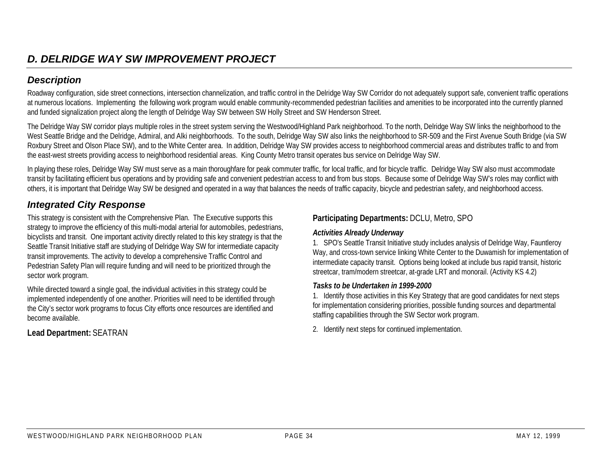Roadway configuration, side street connections, intersection channelization, and traffic control in the Delridge Way SW Corridor do not adequately support safe, convenient traffic operations at numerous locations. Implementing the following work program would enable community-recommended pedestrian facilities and amenities to be incorporated into the currently planned and funded signalization project along the length of Delridge Way SW between SW Holly Street and SW Henderson Street.

The Delridge Way SW corridor plays multiple roles in the street system serving the Westwood/Highland Park neighborhood. To the north, Delridge Way SW links the neighborhood to the West Seattle Bridge and the Delridge, Admiral, and Alki neighborhoods. To the south, Delridge Way SW also links the neighborhood to SR-509 and the First Avenue South Bridge (via SW Roxbury Street and Olson Place SW), and to the White Center area. In addition, Delridge Way SW provides access to neighborhood commercial areas and distributes traffic to and from the east-west streets providing access to neighborhood residential areas. King County Metro transit operates bus service on Delridge Way SW.

In playing these roles, Delridge Way SW must serve as a main thoroughfare for peak commuter traffic, for local traffic, and for bicycle traffic. Delridge Way SW also must accommodate transit by facilitating efficient bus operations and by providing safe and convenient pedestrian access to and from bus stops. Because some of Delridge Way SW's roles may conflict with others, it is important that Delridge Way SW be designed and operated in a way that balances the needs of traffic capacity, bicycle and pedestrian safety, and neighborhood access.

# *Integrated City Response*

This strategy is consistent with the Comprehensive Plan. The Executive supports this strategy to improve the efficiency of this multi-modal arterial for automobiles, pedestrians, bicyclists and transit. One important activity directly related to this key strategy is that the Seattle Transit Initiative staff are studying of Delridge Way SW for intermediate capacity transit improvements. The activity to develop a comprehensive Traffic Control and Pedestrian Safety Plan will require funding and will need to be prioritized through the sector work program.

While directed toward a single goal, the individual activities in this strategy could be implemented independently of one another. Priorities will need to be identified through the City's sector work programs to focus City efforts once resources are identified and become available.

#### **Lead Department:** SEATRAN

#### **Participating Departments:** DCLU, Metro, SPO

#### *Activities Already Underway*

1. SPO's Seattle Transit Initiative study includes analysis of Delridge Way, Fauntleroy Way, and cross-town service linking White Center to the Duwamish for implementation of intermediate capacity transit. Options being looked at include bus rapid transit, historic streetcar, tram/modern streetcar, at-grade LRT and monorail. (Activity KS 4.2)

#### *Tasks to be Undertaken in 1999-2000*

1. Identify those activities in this Key Strategy that are good candidates for next steps for implementation considering priorities, possible funding sources and departmental staffing capabilities through the SW Sector work program.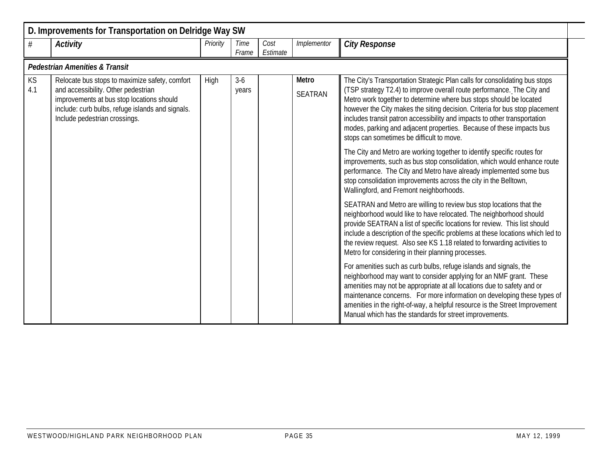|           | D. Improvements for Transportation on Delridge Way SW                                                                                                                                                                   |          |                |                  |                         |                                                                                                                                                                                                                                                                                                                                                                                                                                                                                                             |  |  |  |  |  |  |
|-----------|-------------------------------------------------------------------------------------------------------------------------------------------------------------------------------------------------------------------------|----------|----------------|------------------|-------------------------|-------------------------------------------------------------------------------------------------------------------------------------------------------------------------------------------------------------------------------------------------------------------------------------------------------------------------------------------------------------------------------------------------------------------------------------------------------------------------------------------------------------|--|--|--|--|--|--|
| #         | <b>Activity</b>                                                                                                                                                                                                         | Priority | Time<br>Frame  | Cost<br>Estimate | Implementor             | <b>City Response</b>                                                                                                                                                                                                                                                                                                                                                                                                                                                                                        |  |  |  |  |  |  |
|           | <b>Pedestrian Amenities &amp; Transit</b>                                                                                                                                                                               |          |                |                  |                         |                                                                                                                                                                                                                                                                                                                                                                                                                                                                                                             |  |  |  |  |  |  |
| KS<br>4.1 | Relocate bus stops to maximize safety, comfort<br>and accessibility. Other pedestrian<br>improvements at bus stop locations should<br>include: curb bulbs, refuge islands and signals.<br>Include pedestrian crossings. | High     | $3-6$<br>years |                  | Metro<br><b>SEATRAN</b> | The City's Transportation Strategic Plan calls for consolidating bus stops<br>(TSP strategy T2.4) to improve overall route performance. The City and<br>Metro work together to determine where bus stops should be located<br>however the City makes the siting decision. Criteria for bus stop placement<br>includes transit patron accessibility and impacts to other transportation<br>modes, parking and adjacent properties. Because of these impacts bus<br>stops can sometimes be difficult to move. |  |  |  |  |  |  |
|           |                                                                                                                                                                                                                         |          |                |                  |                         | The City and Metro are working together to identify specific routes for<br>improvements, such as bus stop consolidation, which would enhance route<br>performance. The City and Metro have already implemented some bus<br>stop consolidation improvements across the city in the Belltown,<br>Wallingford, and Fremont neighborhoods.                                                                                                                                                                      |  |  |  |  |  |  |
|           |                                                                                                                                                                                                                         |          |                |                  |                         | SEATRAN and Metro are willing to review bus stop locations that the<br>neighborhood would like to have relocated. The neighborhood should<br>provide SEATRAN a list of specific locations for review. This list should<br>include a description of the specific problems at these locations which led to<br>the review request. Also see KS 1.18 related to forwarding activities to<br>Metro for considering in their planning processes.                                                                  |  |  |  |  |  |  |
|           |                                                                                                                                                                                                                         |          |                |                  |                         | For amenities such as curb bulbs, refuge islands and signals, the<br>neighborhood may want to consider applying for an NMF grant. These<br>amenities may not be appropriate at all locations due to safety and or<br>maintenance concerns. For more information on developing these types of<br>amenities in the right-of-way, a helpful resource is the Street Improvement<br>Manual which has the standards for street improvements.                                                                      |  |  |  |  |  |  |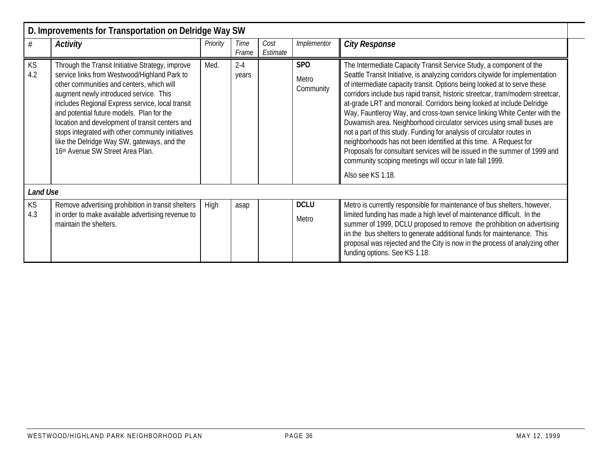|                 | D. Improvements for Transportation on Delridge Way SW                                                                                                                                                                                                                                                                                                                                                                                                                               |          |                  |                  |                                  |                                                                                                                                                                                                                                                                                                                                                                                                                                                                                                                                                                                                                                                                                                                                                                                                                                                                   |
|-----------------|-------------------------------------------------------------------------------------------------------------------------------------------------------------------------------------------------------------------------------------------------------------------------------------------------------------------------------------------------------------------------------------------------------------------------------------------------------------------------------------|----------|------------------|------------------|----------------------------------|-------------------------------------------------------------------------------------------------------------------------------------------------------------------------------------------------------------------------------------------------------------------------------------------------------------------------------------------------------------------------------------------------------------------------------------------------------------------------------------------------------------------------------------------------------------------------------------------------------------------------------------------------------------------------------------------------------------------------------------------------------------------------------------------------------------------------------------------------------------------|
| #               | <b>Activity</b>                                                                                                                                                                                                                                                                                                                                                                                                                                                                     | Priority | Time<br>Frame    | Cost<br>Estimate | Implementor                      | <b>City Response</b>                                                                                                                                                                                                                                                                                                                                                                                                                                                                                                                                                                                                                                                                                                                                                                                                                                              |
| KS<br>4.2       | Through the Transit Initiative Strategy, improve<br>service links from Westwood/Highland Park to<br>other communities and centers, which will<br>augment newly introduced service. This<br>includes Regional Express service, local transit<br>and potential future models. Plan for the<br>location and development of transit centers and<br>stops integrated with other community initiatives<br>like the Delridge Way SW, gateways, and the<br>16th Avenue SW Street Area Plan. | Med.     | $2 - 4$<br>years |                  | <b>SPO</b><br>Metro<br>Community | The Intermediate Capacity Transit Service Study, a component of the<br>Seattle Transit Initiative, is analyzing corridors citywide for implementation<br>of intermediate capacity transit. Options being looked at to serve these<br>corridors include bus rapid transit, historic streetcar, tram/modern streetcar,<br>at-grade LRT and monorail. Corridors being looked at include Delridge<br>Way, Fauntleroy Way, and cross-town service linking White Center with the<br>Duwamish area. Neighborhood circulator services using small buses are<br>not a part of this study. Funding for analysis of circulator routes in<br>neighborhoods has not been identified at this time. A Request for<br>Proposals for consultant services will be issued in the summer of 1999 and<br>community scoping meetings will occur in late fall 1999.<br>Also see KS 1.18. |
| <b>Land Use</b> |                                                                                                                                                                                                                                                                                                                                                                                                                                                                                     |          |                  |                  |                                  |                                                                                                                                                                                                                                                                                                                                                                                                                                                                                                                                                                                                                                                                                                                                                                                                                                                                   |
| KS              | Remove advertising prohibition in transit shelters                                                                                                                                                                                                                                                                                                                                                                                                                                  | High     | asap             |                  | <b>DCLU</b>                      | Metro is currently responsible for maintenance of bus shelters, however,                                                                                                                                                                                                                                                                                                                                                                                                                                                                                                                                                                                                                                                                                                                                                                                          |
| 4.3             | in order to make available advertising revenue to<br>maintain the shelters.                                                                                                                                                                                                                                                                                                                                                                                                         |          |                  |                  | Metro                            | limited funding has made a high level of maintenance difficult. In the<br>summer of 1999, DCLU proposed to remove the prohibition on advertising<br>iin the bus shelters to generate additional funds for maintenance. This<br>proposal was rejected and the City is now in the process of analyzing other<br>funding options. See KS 1.18.                                                                                                                                                                                                                                                                                                                                                                                                                                                                                                                       |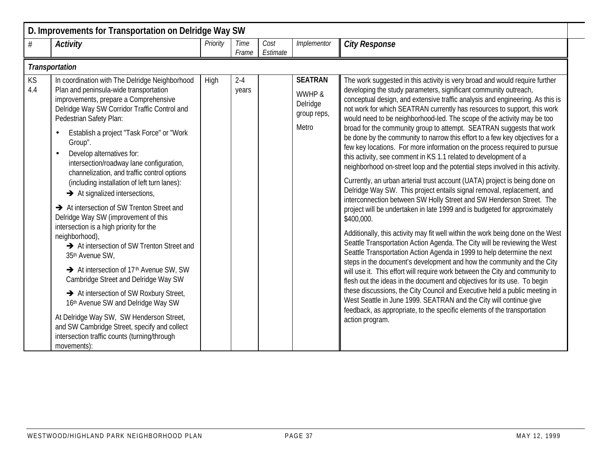|           | D. Improvements for Transportation on Delridge Way SW                                                                                                                                                                                                                                                                                                                                                                                                                                                                                                                                                                                                                                                                                                                                                                                                                                                                                                                                                                                                                       |          |                  |                  |                                                              |                                                                                                                                                                                                                                                                                                                                                                                                                                                                                                                                                                                                                                                                                                                                                                                                                                                                                                                                                                                                                                                                                                                                                                                                                                                                                                                                                                                                                                                                                                                                                                                                                                                                                                                                                                                                                                                   |  |  |  |  |  |  |
|-----------|-----------------------------------------------------------------------------------------------------------------------------------------------------------------------------------------------------------------------------------------------------------------------------------------------------------------------------------------------------------------------------------------------------------------------------------------------------------------------------------------------------------------------------------------------------------------------------------------------------------------------------------------------------------------------------------------------------------------------------------------------------------------------------------------------------------------------------------------------------------------------------------------------------------------------------------------------------------------------------------------------------------------------------------------------------------------------------|----------|------------------|------------------|--------------------------------------------------------------|---------------------------------------------------------------------------------------------------------------------------------------------------------------------------------------------------------------------------------------------------------------------------------------------------------------------------------------------------------------------------------------------------------------------------------------------------------------------------------------------------------------------------------------------------------------------------------------------------------------------------------------------------------------------------------------------------------------------------------------------------------------------------------------------------------------------------------------------------------------------------------------------------------------------------------------------------------------------------------------------------------------------------------------------------------------------------------------------------------------------------------------------------------------------------------------------------------------------------------------------------------------------------------------------------------------------------------------------------------------------------------------------------------------------------------------------------------------------------------------------------------------------------------------------------------------------------------------------------------------------------------------------------------------------------------------------------------------------------------------------------------------------------------------------------------------------------------------------------|--|--|--|--|--|--|
| $\#$      | <b>Activity</b>                                                                                                                                                                                                                                                                                                                                                                                                                                                                                                                                                                                                                                                                                                                                                                                                                                                                                                                                                                                                                                                             | Priority | Time<br>Frame    | Cost<br>Estimate | Implementor                                                  | <b>City Response</b>                                                                                                                                                                                                                                                                                                                                                                                                                                                                                                                                                                                                                                                                                                                                                                                                                                                                                                                                                                                                                                                                                                                                                                                                                                                                                                                                                                                                                                                                                                                                                                                                                                                                                                                                                                                                                              |  |  |  |  |  |  |
|           | <b>Transportation</b>                                                                                                                                                                                                                                                                                                                                                                                                                                                                                                                                                                                                                                                                                                                                                                                                                                                                                                                                                                                                                                                       |          |                  |                  |                                                              |                                                                                                                                                                                                                                                                                                                                                                                                                                                                                                                                                                                                                                                                                                                                                                                                                                                                                                                                                                                                                                                                                                                                                                                                                                                                                                                                                                                                                                                                                                                                                                                                                                                                                                                                                                                                                                                   |  |  |  |  |  |  |
| KS<br>4.4 | In coordination with The Delridge Neighborhood<br>Plan and peninsula-wide transportation<br>improvements, prepare a Comprehensive<br>Delridge Way SW Corridor Traffic Control and<br>Pedestrian Safety Plan:<br>Establish a project "Task Force" or "Work<br>$\bullet$<br>Group".<br>Develop alternatives for:<br>$\bullet$<br>intersection/roadway lane configuration,<br>channelization, and traffic control options<br>(including installation of left turn lanes):<br>$\rightarrow$ At signalized intersections,<br>At intersection of SW Trenton Street and<br>Delridge Way SW (improvement of this<br>intersection is a high priority for the<br>neighborhood),<br>At intersection of SW Trenton Street and<br>35th Avenue SW,<br>At intersection of 17 <sup>th</sup> Avenue SW, SW<br>Cambridge Street and Delridge Way SW<br>At intersection of SW Roxbury Street,<br>16th Avenue SW and Delridge Way SW<br>At Delridge Way SW, SW Henderson Street,<br>and SW Cambridge Street, specify and collect<br>intersection traffic counts (turning/through<br>movements): | High     | $2 - 4$<br>years |                  | <b>SEATRAN</b><br>WWHP &<br>Delridge<br>group reps,<br>Metro | The work suggested in this activity is very broad and would require further<br>developing the study parameters, significant community outreach,<br>conceptual design, and extensive traffic analysis and engineering. As this is<br>not work for which SEATRAN currently has resources to support, this work<br>would need to be neighborhood-led. The scope of the activity may be too<br>broad for the community group to attempt. SEATRAN suggests that work<br>be done by the community to narrow this effort to a few key objectives for a<br>few key locations. For more information on the process required to pursue<br>this activity, see comment in KS 1.1 related to development of a<br>neighborhood on-street loop and the potential steps involved in this activity.<br>Currently, an urban arterial trust account (UATA) project is being done on<br>Delridge Way SW. This project entails signal removal, replacement, and<br>interconnection between SW Holly Street and SW Henderson Street. The<br>project will be undertaken in late 1999 and is budgeted for approximately<br>\$400,000.<br>Additionally, this activity may fit well within the work being done on the West<br>Seattle Transportation Action Agenda. The City will be reviewing the West<br>Seattle Transportation Action Agenda in 1999 to help determine the next<br>steps in the document's development and how the community and the City<br>will use it. This effort will require work between the City and community to<br>flesh out the ideas in the document and objectives for its use. To begin<br>these discussions, the City Council and Executive held a public meeting in<br>West Seattle in June 1999. SEATRAN and the City will continue give<br>feedback, as appropriate, to the specific elements of the transportation<br>action program. |  |  |  |  |  |  |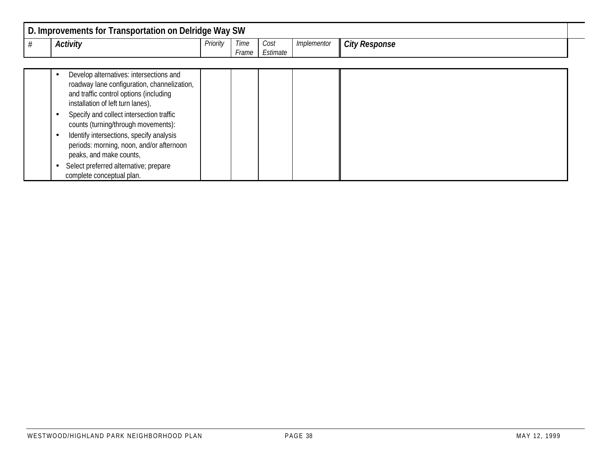| <b>Transportation on Delridge Way SW</b><br>D. Improvements for |                 |               |                                              |             |                      |  |  |  |  |  |  |
|-----------------------------------------------------------------|-----------------|---------------|----------------------------------------------|-------------|----------------------|--|--|--|--|--|--|
| <b>Activity</b>                                                 | <b>Priority</b> | Time<br>·rame | Cost<br>$\overline{\phantom{0}}$<br>Estimate | Implementor | <b>City Response</b> |  |  |  |  |  |  |

|  | Develop alternatives: intersections and<br>roadway lane configuration, channelization,<br>and traffic control options (including<br>installation of left turn lanes), |  |  |  |
|--|-----------------------------------------------------------------------------------------------------------------------------------------------------------------------|--|--|--|
|  | Specify and collect intersection traffic<br>counts (turning/through movements):                                                                                       |  |  |  |
|  | Identify intersections, specify analysis<br>periods: morning, noon, and/or afternoon<br>peaks, and make counts,                                                       |  |  |  |
|  | Select preferred alternative; prepare<br>complete conceptual plan.                                                                                                    |  |  |  |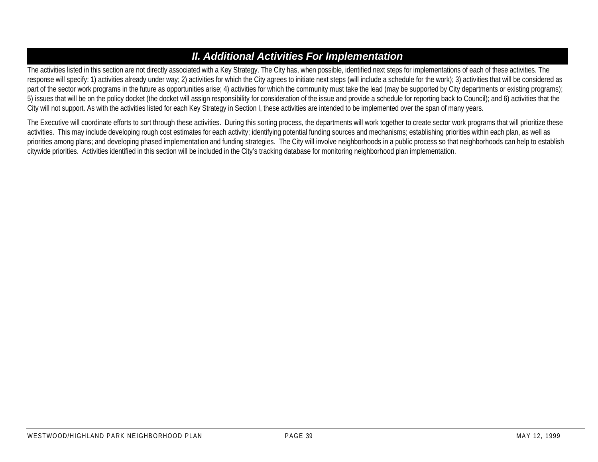# *II. Additional Activities For Implementation*

The activities listed in this section are not directly associated with a Key Strategy. The City has, when possible, identified next steps for implementations of each of these activities. The response will specify: 1) activities already under way; 2) activities for which the City agrees to initiate next steps (will include a schedule for the work); 3) activities that will be considered as part of the sector work programs in the future as opportunities arise; 4) activities for which the community must take the lead (may be supported by City departments or existing programs); 5) issues that will be on the policy docket (the docket will assign responsibility for consideration of the issue and provide a schedule for reporting back to Council); and 6) activities that the City will not support. As with the activities listed for each Key Strategy in Section I, these activities are intended to be implemented over the span of many years.

The Executive will coordinate efforts to sort through these activities. During this sorting process, the departments will work together to create sector work programs that will prioritize these activities. This may include developing rough cost estimates for each activity; identifying potential funding sources and mechanisms; establishing priorities within each plan, as well as priorities among plans; and developing phased implementation and funding strategies. The City will involve neighborhoods in a public process so that neighborhoods can help to establish citywide priorities. Activities identified in this section will be included in the City's tracking database for monitoring neighborhood plan implementation.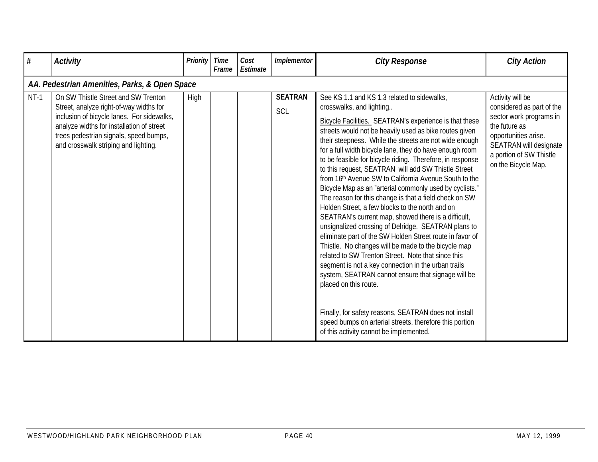| #      | <b>Activity</b>                                                                                                                                                                                                                                             | Priority | <b>Time</b><br>Frame | Cost<br>Estimate | Implementor           | <b>City Response</b>                                                                                                                                                                                                                                                                                                                                                                                                                                                                                                                                                                                                                                                                                                                                                                                                                                                                                                                                                                                                                                                                                                                                                                                                                                              | <b>City Action</b>                                                                                                                                                                            |
|--------|-------------------------------------------------------------------------------------------------------------------------------------------------------------------------------------------------------------------------------------------------------------|----------|----------------------|------------------|-----------------------|-------------------------------------------------------------------------------------------------------------------------------------------------------------------------------------------------------------------------------------------------------------------------------------------------------------------------------------------------------------------------------------------------------------------------------------------------------------------------------------------------------------------------------------------------------------------------------------------------------------------------------------------------------------------------------------------------------------------------------------------------------------------------------------------------------------------------------------------------------------------------------------------------------------------------------------------------------------------------------------------------------------------------------------------------------------------------------------------------------------------------------------------------------------------------------------------------------------------------------------------------------------------|-----------------------------------------------------------------------------------------------------------------------------------------------------------------------------------------------|
|        | AA. Pedestrian Amenities, Parks, & Open Space                                                                                                                                                                                                               |          |                      |                  |                       |                                                                                                                                                                                                                                                                                                                                                                                                                                                                                                                                                                                                                                                                                                                                                                                                                                                                                                                                                                                                                                                                                                                                                                                                                                                                   |                                                                                                                                                                                               |
| $NT-1$ | On SW Thistle Street and SW Trenton<br>Street, analyze right-of-way widths for<br>inclusion of bicycle lanes. For sidewalks,<br>analyze widths for installation of street<br>trees pedestrian signals, speed bumps,<br>and crosswalk striping and lighting. | High     |                      |                  | <b>SEATRAN</b><br>SCL | See KS 1.1 and KS 1.3 related to sidewalks,<br>crosswalks, and lighting<br>Bicycle Facilities. SEATRAN's experience is that these<br>streets would not be heavily used as bike routes given<br>their steepness. While the streets are not wide enough<br>for a full width bicycle lane, they do have enough room<br>to be feasible for bicycle riding. Therefore, in response<br>to this request, SEATRAN will add SW Thistle Street<br>from 16th Avenue SW to California Avenue South to the<br>Bicycle Map as an "arterial commonly used by cyclists."<br>The reason for this change is that a field check on SW<br>Holden Street, a few blocks to the north and on<br>SEATRAN's current map, showed there is a difficult,<br>unsignalized crossing of Delridge. SEATRAN plans to<br>eliminate part of the SW Holden Street route in favor of<br>Thistle. No changes will be made to the bicycle map<br>related to SW Trenton Street. Note that since this<br>segment is not a key connection in the urban trails<br>system, SEATRAN cannot ensure that signage will be<br>placed on this route.<br>Finally, for safety reasons, SEATRAN does not install<br>speed bumps on arterial streets, therefore this portion<br>of this activity cannot be implemented. | Activity will be<br>considered as part of the<br>sector work programs in<br>the future as<br>opportunities arise.<br>SEATRAN will designate<br>a portion of SW Thistle<br>on the Bicycle Map. |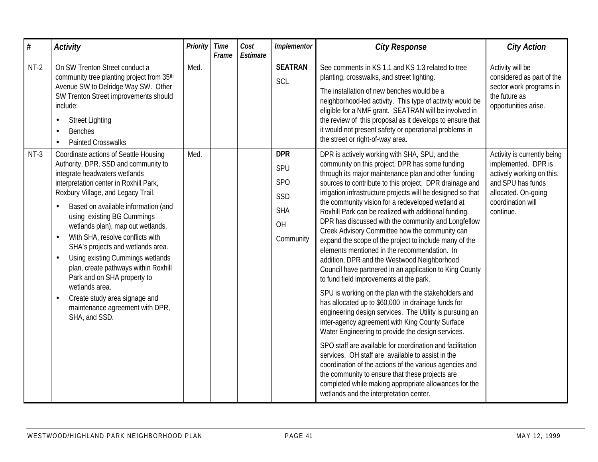| $\#$   | <b>Activity</b>                                                                                                                                                                                                                                                                                                                                                                                                                                                                                                                                                                                                                            | <b>Priority</b> | <b>Time</b><br>Frame | Cost<br>Estimate | Implementor                                                                  | <b>City Response</b>                                                                                                                                                                                                                                                                                                                                                                                                                                                                                                                                                                                                                                                                                                                                                                                                                                                                                                                                                                                                                                                                                                                                                                                                                                                                                                                                                                           | <b>City Action</b>                                                                                                                                            |
|--------|--------------------------------------------------------------------------------------------------------------------------------------------------------------------------------------------------------------------------------------------------------------------------------------------------------------------------------------------------------------------------------------------------------------------------------------------------------------------------------------------------------------------------------------------------------------------------------------------------------------------------------------------|-----------------|----------------------|------------------|------------------------------------------------------------------------------|------------------------------------------------------------------------------------------------------------------------------------------------------------------------------------------------------------------------------------------------------------------------------------------------------------------------------------------------------------------------------------------------------------------------------------------------------------------------------------------------------------------------------------------------------------------------------------------------------------------------------------------------------------------------------------------------------------------------------------------------------------------------------------------------------------------------------------------------------------------------------------------------------------------------------------------------------------------------------------------------------------------------------------------------------------------------------------------------------------------------------------------------------------------------------------------------------------------------------------------------------------------------------------------------------------------------------------------------------------------------------------------------|---------------------------------------------------------------------------------------------------------------------------------------------------------------|
| $NT-2$ | On SW Trenton Street conduct a<br>community tree planting project from 35th<br>Avenue SW to Delridge Way SW. Other<br>SW Trenton Street improvements should<br>include:<br><b>Street Lighting</b><br><b>Benches</b><br><b>Painted Crosswalks</b>                                                                                                                                                                                                                                                                                                                                                                                           | Med.            |                      |                  | <b>SEATRAN</b><br>SCL                                                        | See comments in KS 1.1 and KS 1.3 related to tree<br>planting, crosswalks, and street lighting.<br>The installation of new benches would be a<br>neighborhood-led activity. This type of activity would be<br>eligible for a NMF grant. SEATRAN will be involved in<br>the review of this proposal as it develops to ensure that<br>it would not present safety or operational problems in<br>the street or right-of-way area.                                                                                                                                                                                                                                                                                                                                                                                                                                                                                                                                                                                                                                                                                                                                                                                                                                                                                                                                                                 | Activity will be<br>considered as part of the<br>sector work programs in<br>the future as<br>opportunities arise.                                             |
| $NT-3$ | Coordinate actions of Seattle Housing<br>Authority, DPR, SSD and community to<br>integrate headwaters wetlands<br>interpretation center in Roxhill Park,<br>Roxbury Village, and Legacy Trail.<br>Based on available information (and<br>using existing BG Cummings<br>wetlands plan), map out wetlands.<br>With SHA, resolve conflicts with<br>$\bullet$<br>SHA's projects and wetlands area.<br>Using existing Cummings wetlands<br>$\bullet$<br>plan, create pathways within Roxhill<br>Park and on SHA property to<br>wetlands area.<br>Create study area signage and<br>$\bullet$<br>maintenance agreement with DPR,<br>SHA, and SSD. | Med.            |                      |                  | <b>DPR</b><br>SPU<br>SP <sub>O</sub><br>SSD<br><b>SHA</b><br>OH<br>Community | DPR is actively working with SHA, SPU, and the<br>community on this project. DPR has some funding<br>through its major maintenance plan and other funding<br>sources to contribute to this project. DPR drainage and<br>irrigation infrastructure projects will be designed so that<br>the community vision for a redeveloped wetland at<br>Roxhill Park can be realized with additional funding.<br>DPR has discussed with the community and Longfellow<br>Creek Advisory Committee how the community can<br>expand the scope of the project to include many of the<br>elements mentioned in the recommendation. In<br>addition, DPR and the Westwood Neighborhood<br>Council have partnered in an application to King County<br>to fund field improvements at the park.<br>SPU is working on the plan with the stakeholders and<br>has allocated up to \$60,000 in drainage funds for<br>engineering design services. The Utility is pursuing an<br>inter-agency agreement with King County Surface<br>Water Engineering to provide the design services.<br>SPO staff are available for coordination and facilitation<br>services. OH staff are available to assist in the<br>coordination of the actions of the various agencies and<br>the community to ensure that these projects are<br>completed while making appropriate allowances for the<br>wetlands and the interpretation center. | Activity is currently being<br>implemented. DPR is<br>actively working on this,<br>and SPU has funds<br>allocated. On-going<br>coordination will<br>continue. |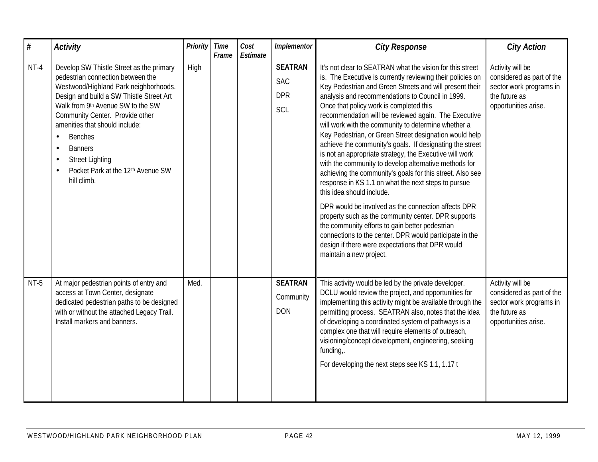| $\#$   | <b>Activity</b>                                                                                                                                                                                                                                                                                                                                                                                                                                                | Priority | <b>Time</b><br>Frame | Cost<br>Estimate | Implementor                                       | <b>City Response</b>                                                                                                                                                                                                                                                                                                                                                                                                                                                                                                                                                                                                                                                                                                                                                                                                                                                                                                                                                                                                                                                                                   | <b>City Action</b>                                                                                                |
|--------|----------------------------------------------------------------------------------------------------------------------------------------------------------------------------------------------------------------------------------------------------------------------------------------------------------------------------------------------------------------------------------------------------------------------------------------------------------------|----------|----------------------|------------------|---------------------------------------------------|--------------------------------------------------------------------------------------------------------------------------------------------------------------------------------------------------------------------------------------------------------------------------------------------------------------------------------------------------------------------------------------------------------------------------------------------------------------------------------------------------------------------------------------------------------------------------------------------------------------------------------------------------------------------------------------------------------------------------------------------------------------------------------------------------------------------------------------------------------------------------------------------------------------------------------------------------------------------------------------------------------------------------------------------------------------------------------------------------------|-------------------------------------------------------------------------------------------------------------------|
| $NT-4$ | Develop SW Thistle Street as the primary<br>pedestrian connection between the<br>Westwood/Highland Park neighborhoods.<br>Design and build a SW Thistle Street Art<br>Walk from 9th Avenue SW to the SW<br>Community Center. Provide other<br>amenities that should include:<br><b>Benches</b><br>$\bullet$<br><b>Banners</b><br>$\bullet$<br><b>Street Lighting</b><br>$\bullet$<br>Pocket Park at the 12 <sup>th</sup> Avenue SW<br>$\bullet$<br>hill climb. | High     |                      |                  | <b>SEATRAN</b><br><b>SAC</b><br><b>DPR</b><br>SCL | It's not clear to SEATRAN what the vision for this street<br>is. The Executive is currently reviewing their policies on<br>Key Pedestrian and Green Streets and will present their<br>analysis and recommendations to Council in 1999.<br>Once that policy work is completed this<br>recommendation will be reviewed again. The Executive<br>will work with the community to determine whether a<br>Key Pedestrian, or Green Street designation would help<br>achieve the community's goals. If designating the street<br>is not an appropriate strategy, the Executive will work<br>with the community to develop alternative methods for<br>achieving the community's goals for this street. Also see<br>response in KS 1.1 on what the next steps to pursue<br>this idea should include.<br>DPR would be involved as the connection affects DPR<br>property such as the community center. DPR supports<br>the community efforts to gain better pedestrian<br>connections to the center. DPR would participate in the<br>design if there were expectations that DPR would<br>maintain a new project. | Activity will be<br>considered as part of the<br>sector work programs in<br>the future as<br>opportunities arise. |
| $NT-5$ | At major pedestrian points of entry and<br>access at Town Center, designate<br>dedicated pedestrian paths to be designed<br>with or without the attached Legacy Trail.<br>Install markers and banners.                                                                                                                                                                                                                                                         | Med.     |                      |                  | <b>SEATRAN</b><br>Community<br><b>DON</b>         | This activity would be led by the private developer.<br>DCLU would review the project, and opportunities for<br>implementing this activity might be available through the<br>permitting process. SEATRAN also, notes that the idea<br>of developing a coordinated system of pathways is a<br>complex one that will require elements of outreach,<br>visioning/concept development, engineering, seeking<br>funding,.<br>For developing the next steps see KS 1.1, 1.17 t                                                                                                                                                                                                                                                                                                                                                                                                                                                                                                                                                                                                                               | Activity will be<br>considered as part of the<br>sector work programs in<br>the future as<br>opportunities arise. |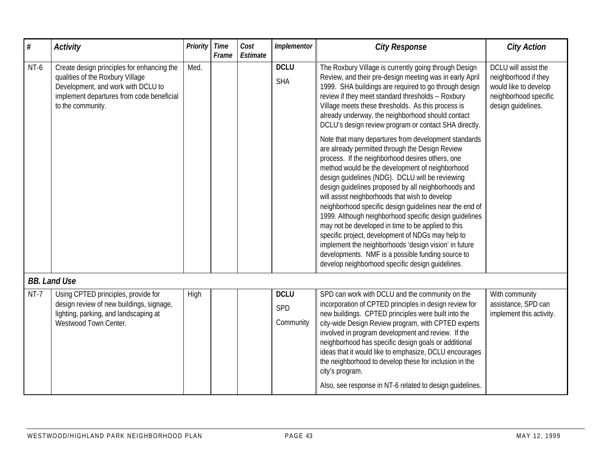| $\#$   | <b>Activity</b>                                                                                                                                                                        | <b>Priority</b> | <b>Time</b><br>Frame | Cost<br>Estimate | Implementor                     | <b>City Response</b>                                                                                                                                                                                                                                                                                                                                                                                                                                                                                                                                                                                                                                                                                                                                                                                                                                                                                                                                                                                                                                                                                                                                                                | <b>City Action</b>                                                                                                   |
|--------|----------------------------------------------------------------------------------------------------------------------------------------------------------------------------------------|-----------------|----------------------|------------------|---------------------------------|-------------------------------------------------------------------------------------------------------------------------------------------------------------------------------------------------------------------------------------------------------------------------------------------------------------------------------------------------------------------------------------------------------------------------------------------------------------------------------------------------------------------------------------------------------------------------------------------------------------------------------------------------------------------------------------------------------------------------------------------------------------------------------------------------------------------------------------------------------------------------------------------------------------------------------------------------------------------------------------------------------------------------------------------------------------------------------------------------------------------------------------------------------------------------------------|----------------------------------------------------------------------------------------------------------------------|
| NT-6   | Create design principles for enhancing the<br>qualities of the Roxbury Village<br>Development, and work with DCLU to<br>implement departures from code beneficial<br>to the community. | Med.            |                      |                  | <b>DCLU</b><br><b>SHA</b>       | The Roxbury Village is currently going through Design<br>Review, and their pre-design meeting was in early April<br>1999. SHA buildings are required to go through design<br>review if they meet standard thresholds -- Roxbury<br>Village meets these thresholds. As this process is<br>already underway, the neighborhood should contact<br>DCLU's design review program or contact SHA directly.<br>Note that many departures from development standards<br>are already permitted through the Design Review<br>process. If the neighborhood desires others, one<br>method would be the development of neighborhood<br>design guidelines (NDG). DCLU will be reviewing<br>design quidelines proposed by all neighborhoods and<br>will assist neighborhoods that wish to develop<br>neighborhood specific design guidelines near the end of<br>1999. Although neighborhood specific design guidelines<br>may not be developed in time to be applied to this<br>specific project, development of NDGs may help to<br>implement the neighborhoods 'design vision' in future<br>developments. NMF is a possible funding source to<br>develop neighborhood specific design quidelines. | DCLU will assist the<br>neighborhood if they<br>would like to develop<br>neighborhood specific<br>design quidelines. |
|        | <b>BB. Land Use</b>                                                                                                                                                                    |                 |                      |                  |                                 |                                                                                                                                                                                                                                                                                                                                                                                                                                                                                                                                                                                                                                                                                                                                                                                                                                                                                                                                                                                                                                                                                                                                                                                     |                                                                                                                      |
| $NT-7$ | Using CPTED principles, provide for<br>design review of new buildings, signage,<br>lighting, parking, and landscaping at<br>Westwood Town Center.                                      | High            |                      |                  | <b>DCLU</b><br>SPD<br>Community | SPD can work with DCLU and the community on the<br>incorporation of CPTED principles in design review for<br>new buildings. CPTED principles were built into the<br>city-wide Design Review program, with CPTED experts<br>involved in program development and review. If the<br>neighborhood has specific design goals or additional<br>ideas that it would like to emphasize, DCLU encourages<br>the neighborhood to develop these for inclusion in the<br>city's program.<br>Also, see response in NT-6 related to design quidelines.                                                                                                                                                                                                                                                                                                                                                                                                                                                                                                                                                                                                                                            | With community<br>assistance, SPD can<br>implement this activity.                                                    |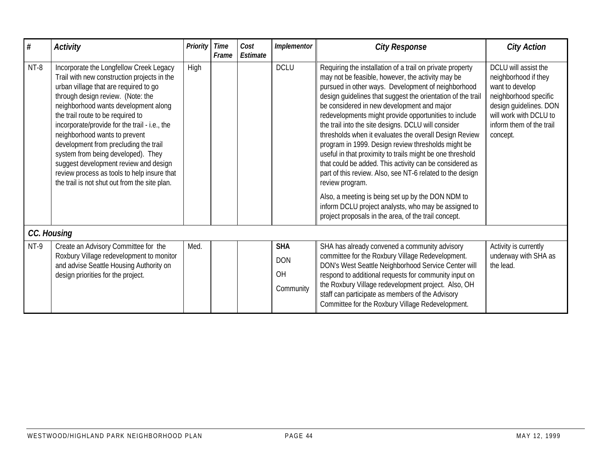| $#$    | <b>Activity</b>                                                                                                                                                                                                                                                                                                                                                                                                                                                                                                                                             | <b>Priority</b> | <b>Time</b><br>Frame | Cost<br>Estimate | Implementor                                 | <b>City Response</b>                                                                                                                                                                                                                                                                                                                                                                                                                                                                                                                                                                                                                                                                                                                                                                                                                                                                           | <b>City Action</b>                                                                                                                                                                   |
|--------|-------------------------------------------------------------------------------------------------------------------------------------------------------------------------------------------------------------------------------------------------------------------------------------------------------------------------------------------------------------------------------------------------------------------------------------------------------------------------------------------------------------------------------------------------------------|-----------------|----------------------|------------------|---------------------------------------------|------------------------------------------------------------------------------------------------------------------------------------------------------------------------------------------------------------------------------------------------------------------------------------------------------------------------------------------------------------------------------------------------------------------------------------------------------------------------------------------------------------------------------------------------------------------------------------------------------------------------------------------------------------------------------------------------------------------------------------------------------------------------------------------------------------------------------------------------------------------------------------------------|--------------------------------------------------------------------------------------------------------------------------------------------------------------------------------------|
| $NT-8$ | Incorporate the Longfellow Creek Legacy<br>Trail with new construction projects in the<br>urban village that are required to go<br>through design review. (Note: the<br>neighborhood wants development along<br>the trail route to be required to<br>incorporate/provide for the trail - i.e., the<br>neighborhood wants to prevent<br>development from precluding the trail<br>system from being developed). They<br>suggest development review and design<br>review process as tools to help insure that<br>the trail is not shut out from the site plan. | High            |                      |                  | <b>DCLU</b>                                 | Requiring the installation of a trail on private property<br>may not be feasible, however, the activity may be<br>pursued in other ways. Development of neighborhood<br>design guidelines that suggest the orientation of the trail<br>be considered in new development and major<br>redevelopments might provide opportunities to include<br>the trail into the site designs. DCLU will consider<br>thresholds when it evaluates the overall Design Review<br>program in 1999. Design review thresholds might be<br>useful in that proximity to trails might be one threshold<br>that could be added. This activity can be considered as<br>part of this review. Also, see NT-6 related to the design<br>review program.<br>Also, a meeting is being set up by the DON NDM to<br>inform DCLU project analysts, who may be assigned to<br>project proposals in the area, of the trail concept. | DCLU will assist the<br>neighborhood if they<br>want to develop<br>neighborhood specific<br>design guidelines. DON<br>will work with DCLU to<br>inform them of the trail<br>concept. |
|        | CC. Housing                                                                                                                                                                                                                                                                                                                                                                                                                                                                                                                                                 |                 |                      |                  |                                             |                                                                                                                                                                                                                                                                                                                                                                                                                                                                                                                                                                                                                                                                                                                                                                                                                                                                                                |                                                                                                                                                                                      |
| NT-9   | Create an Advisory Committee for the<br>Roxbury Village redevelopment to monitor<br>and advise Seattle Housing Authority on<br>design priorities for the project.                                                                                                                                                                                                                                                                                                                                                                                           | Med.            |                      |                  | <b>SHA</b><br><b>DON</b><br>OH<br>Community | SHA has already convened a community advisory<br>committee for the Roxbury Village Redevelopment.<br>DON's West Seattle Neighborhood Service Center will<br>respond to additional requests for community input on<br>the Roxbury Village redevelopment project. Also, OH<br>staff can participate as members of the Advisory<br>Committee for the Roxbury Village Redevelopment.                                                                                                                                                                                                                                                                                                                                                                                                                                                                                                               | Activity is currently<br>underway with SHA as<br>the lead.                                                                                                                           |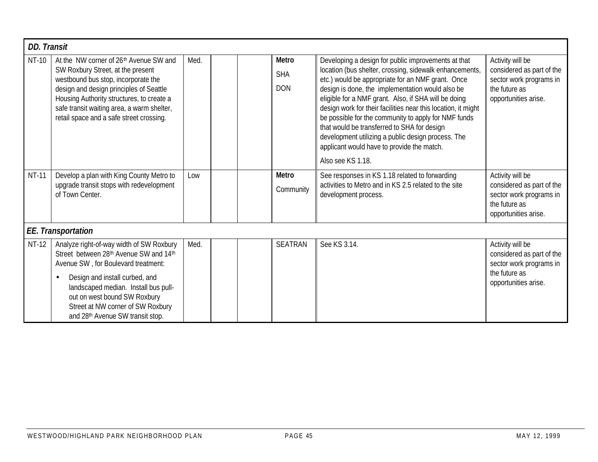| <b>DD. Transit</b> |                                                                                                                                                                                                                                                                                                                           |      |                                          |                                                                                                                                                                                                                                                                                                                                                                                                                                                                                                                                                                                  |                                                                                                                   |
|--------------------|---------------------------------------------------------------------------------------------------------------------------------------------------------------------------------------------------------------------------------------------------------------------------------------------------------------------------|------|------------------------------------------|----------------------------------------------------------------------------------------------------------------------------------------------------------------------------------------------------------------------------------------------------------------------------------------------------------------------------------------------------------------------------------------------------------------------------------------------------------------------------------------------------------------------------------------------------------------------------------|-------------------------------------------------------------------------------------------------------------------|
| NT-10              | At the NW corner of 26th Avenue SW and<br>SW Roxbury Street, at the present<br>westbound bus stop, incorporate the<br>design and design principles of Seattle<br>Housing Authority structures, to create a<br>safe transit waiting area, a warm shelter,<br>retail space and a safe street crossing.                      | Med. | <b>Metro</b><br><b>SHA</b><br><b>DON</b> | Developing a design for public improvements at that<br>location (bus shelter, crossing, sidewalk enhancements,<br>etc.) would be appropriate for an NMF grant. Once<br>design is done, the implementation would also be<br>eligible for a NMF grant. Also, if SHA will be doing<br>design work for their facilities near this location, it might<br>be possible for the community to apply for NMF funds<br>that would be transferred to SHA for design<br>development utilizing a public design process. The<br>applicant would have to provide the match.<br>Also see KS 1.18. | Activity will be<br>considered as part of the<br>sector work programs in<br>the future as<br>opportunities arise. |
| <b>NT-11</b>       | Develop a plan with King County Metro to<br>upgrade transit stops with redevelopment<br>of Town Center.                                                                                                                                                                                                                   | Low  | <b>Metro</b><br>Community                | See responses in KS 1.18 related to forwarding<br>activities to Metro and in KS 2.5 related to the site<br>development process.                                                                                                                                                                                                                                                                                                                                                                                                                                                  | Activity will be<br>considered as part of the<br>sector work programs in<br>the future as<br>opportunities arise. |
|                    | <b>EE.</b> Transportation                                                                                                                                                                                                                                                                                                 |      |                                          |                                                                                                                                                                                                                                                                                                                                                                                                                                                                                                                                                                                  |                                                                                                                   |
| NT-12              | Analyze right-of-way width of SW Roxbury<br>Street between 28th Avenue SW and 14th<br>Avenue SW, for Boulevard treatment:<br>Design and install curbed, and<br>$\bullet$<br>landscaped median. Install bus pull-<br>out on west bound SW Roxbury<br>Street at NW corner of SW Roxbury<br>and 28th Avenue SW transit stop. | Med. | <b>SEATRAN</b>                           | See KS 3.14.                                                                                                                                                                                                                                                                                                                                                                                                                                                                                                                                                                     | Activity will be<br>considered as part of the<br>sector work programs in<br>the future as<br>opportunities arise. |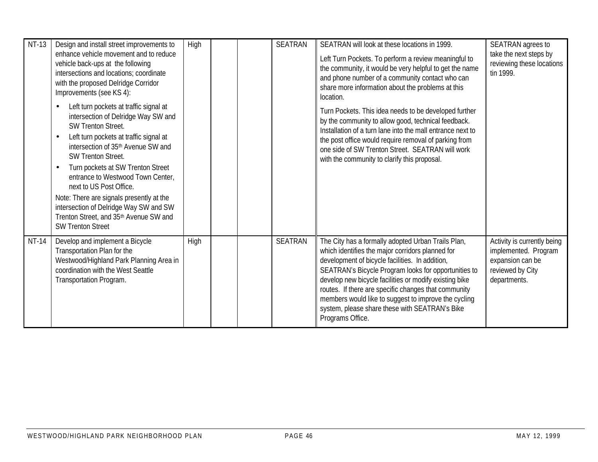| NT-13        | Design and install street improvements to<br>enhance vehicle movement and to reduce<br>vehicle back-ups at the following<br>intersections and locations; coordinate<br>with the proposed Delridge Corridor<br>Improvements (see KS 4):<br>Left turn pockets at traffic signal at<br>intersection of Delridge Way SW and<br><b>SW Trenton Street.</b><br>Left turn pockets at traffic signal at<br>$\bullet$<br>intersection of 35 <sup>th</sup> Avenue SW and<br><b>SW Trenton Street.</b><br>Turn pockets at SW Trenton Street<br>$\bullet$<br>entrance to Westwood Town Center,<br>next to US Post Office.<br>Note: There are signals presently at the<br>intersection of Delridge Way SW and SW<br>Trenton Street, and 35th Avenue SW and<br><b>SW Trenton Street</b> | High | <b>SEATRAN</b> | SEATRAN will look at these locations in 1999.<br>Left Turn Pockets. To perform a review meaningful to<br>the community, it would be very helpful to get the name<br>and phone number of a community contact who can<br>share more information about the problems at this<br>location.<br>Turn Pockets. This idea needs to be developed further<br>by the community to allow good, technical feedback.<br>Installation of a turn lane into the mall entrance next to<br>the post office would require removal of parking from<br>one side of SW Trenton Street. SEATRAN will work<br>with the community to clarify this proposal. | SEATRAN agrees to<br>take the next steps by<br>reviewing these locations<br>tin 1999.                       |
|--------------|--------------------------------------------------------------------------------------------------------------------------------------------------------------------------------------------------------------------------------------------------------------------------------------------------------------------------------------------------------------------------------------------------------------------------------------------------------------------------------------------------------------------------------------------------------------------------------------------------------------------------------------------------------------------------------------------------------------------------------------------------------------------------|------|----------------|----------------------------------------------------------------------------------------------------------------------------------------------------------------------------------------------------------------------------------------------------------------------------------------------------------------------------------------------------------------------------------------------------------------------------------------------------------------------------------------------------------------------------------------------------------------------------------------------------------------------------------|-------------------------------------------------------------------------------------------------------------|
| <b>NT-14</b> | Develop and implement a Bicycle<br>Transportation Plan for the<br>Westwood/Highland Park Planning Area in<br>coordination with the West Seattle<br>Transportation Program.                                                                                                                                                                                                                                                                                                                                                                                                                                                                                                                                                                                               | High | <b>SEATRAN</b> | The City has a formally adopted Urban Trails Plan,<br>which identifies the major corridors planned for<br>development of bicycle facilities. In addition,<br>SEATRAN's Bicycle Program looks for opportunities to<br>develop new bicycle facilities or modify existing bike<br>routes. If there are specific changes that community<br>members would like to suggest to improve the cycling<br>system, please share these with SEATRAN's Bike<br>Programs Office.                                                                                                                                                                | Activity is currently being<br>implemented. Program<br>expansion can be<br>reviewed by City<br>departments. |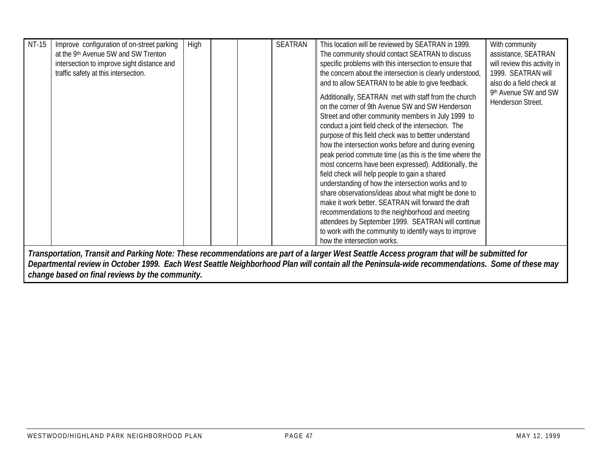| NT-15 | Improve configuration of on-street parking | <b>High</b> |  | <b>SEATRAN</b> | This location will be reviewed by SEATRAN in 1999.                                                                                              | With community               |
|-------|--------------------------------------------|-------------|--|----------------|-------------------------------------------------------------------------------------------------------------------------------------------------|------------------------------|
|       | at the 9th Avenue SW and SW Trenton        |             |  |                | The community should contact SEATRAN to discuss                                                                                                 | assistance, SEATRAN          |
|       | intersection to improve sight distance and |             |  |                | specific problems with this intersection to ensure that                                                                                         | will review this activity in |
|       | traffic safety at this intersection.       |             |  |                | the concern about the intersection is clearly understood,                                                                                       | 1999. SEATRAN will           |
|       |                                            |             |  |                | and to allow SEATRAN to be able to give feedback.                                                                                               | also do a field check at     |
|       |                                            |             |  |                |                                                                                                                                                 | 9th Avenue SW and SW         |
|       |                                            |             |  |                | Additionally, SEATRAN met with staff from the church                                                                                            | Henderson Street.            |
|       |                                            |             |  |                | on the corner of 9th Avenue SW and SW Henderson                                                                                                 |                              |
|       |                                            |             |  |                | Street and other community members in July 1999 to                                                                                              |                              |
|       |                                            |             |  |                | conduct a joint field check of the intersection. The                                                                                            |                              |
|       |                                            |             |  |                | purpose of this field check was to bettter understand                                                                                           |                              |
|       |                                            |             |  |                | how the intersection works before and during evening                                                                                            |                              |
|       |                                            |             |  |                | peak period commute time (as this is the time where the                                                                                         |                              |
|       |                                            |             |  |                | most concerns have been expressed). Additionally, the                                                                                           |                              |
|       |                                            |             |  |                | field check will help people to gain a shared<br>understanding of how the intersection works and to                                             |                              |
|       |                                            |             |  |                | share observations/ideas about what might be done to                                                                                            |                              |
|       |                                            |             |  |                | make it work better. SEATRAN will forward the draft                                                                                             |                              |
|       |                                            |             |  |                |                                                                                                                                                 |                              |
|       |                                            |             |  |                | recommendations to the neighborhood and meeting<br>attendees by September 1999. SEATRAN will continue                                           |                              |
|       |                                            |             |  |                | to work with the community to identify ways to improve                                                                                          |                              |
|       |                                            |             |  |                | how the intersection works.                                                                                                                     |                              |
|       |                                            |             |  |                |                                                                                                                                                 |                              |
|       |                                            |             |  |                | Transportation, Transit and Parking Note: These recommendations are part of a larger West Seattle Access program that will be submitted for     |                              |
|       |                                            |             |  |                | Departmental review in October 1999. Each West Seattle Neighborhood Plan will contain all the Peninsula-wide recommendations. Some of these may |                              |

*change based on final reviews by the community.*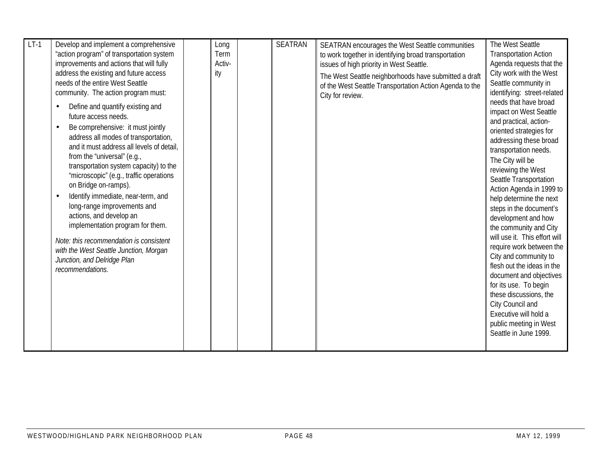| $LT-1$ | Develop and implement a comprehensive<br>"action program" of transportation system<br>improvements and actions that will fully<br>address the existing and future access<br>needs of the entire West Seattle<br>community. The action program must:<br>Define and quantify existing and<br>$\bullet$<br>future access needs.<br>Be comprehensive: it must jointly<br>$\bullet$<br>address all modes of transportation,<br>and it must address all levels of detail.<br>from the "universal" (e.g.,<br>transportation system capacity) to the<br>"microscopic" (e.g., traffic operations<br>on Bridge on-ramps).<br>Identify immediate, near-term, and<br>$\bullet$<br>long-range improvements and<br>actions, and develop an<br>implementation program for them.<br>Note: this recommendation is consistent<br>with the West Seattle Junction, Morgan<br>Junction, and Delridge Plan<br>recommendations. | Long<br>Term<br>Activ-<br>ity | <b>SEATRAN</b> | SEATRAN encourages the West Seattle communities<br>to work together in identifying broad transportation<br>issues of high priority in West Seattle.<br>The West Seattle neighborhoods have submitted a draft<br>of the West Seattle Transportation Action Agenda to the<br>City for review. | The West Seattle<br><b>Transportation Action</b><br>Agenda requests that the<br>City work with the West<br>Seattle community in<br>identifying: street-related<br>needs that have broad<br>impact on West Seattle<br>and practical, action-<br>oriented strategies for<br>addressing these broad<br>transportation needs.<br>The City will be<br>reviewing the West<br>Seattle Transportation<br>Action Agenda in 1999 to<br>help determine the next<br>steps in the document's<br>development and how<br>the community and City<br>will use it. This effort will<br>require work between the<br>City and community to<br>flesh out the ideas in the<br>document and objectives<br>for its use. To begin<br>these discussions, the<br>City Council and<br>Executive will hold a |
|--------|----------------------------------------------------------------------------------------------------------------------------------------------------------------------------------------------------------------------------------------------------------------------------------------------------------------------------------------------------------------------------------------------------------------------------------------------------------------------------------------------------------------------------------------------------------------------------------------------------------------------------------------------------------------------------------------------------------------------------------------------------------------------------------------------------------------------------------------------------------------------------------------------------------|-------------------------------|----------------|---------------------------------------------------------------------------------------------------------------------------------------------------------------------------------------------------------------------------------------------------------------------------------------------|---------------------------------------------------------------------------------------------------------------------------------------------------------------------------------------------------------------------------------------------------------------------------------------------------------------------------------------------------------------------------------------------------------------------------------------------------------------------------------------------------------------------------------------------------------------------------------------------------------------------------------------------------------------------------------------------------------------------------------------------------------------------------------|
|        |                                                                                                                                                                                                                                                                                                                                                                                                                                                                                                                                                                                                                                                                                                                                                                                                                                                                                                          |                               |                |                                                                                                                                                                                                                                                                                             | public meeting in West<br>Seattle in June 1999.                                                                                                                                                                                                                                                                                                                                                                                                                                                                                                                                                                                                                                                                                                                                 |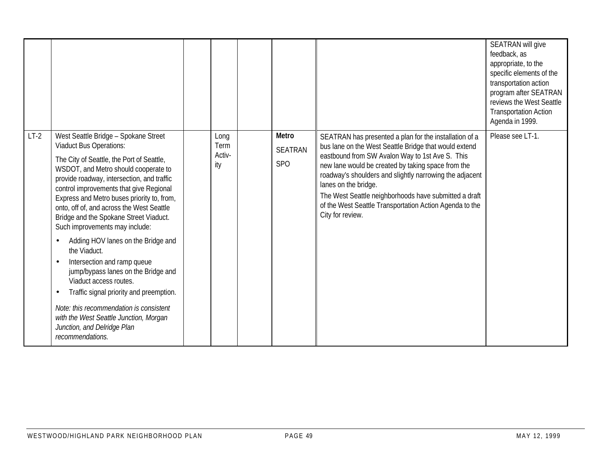|        |                                                                                                                                                                                                                                                                                                                                                                                                                                                                                                                                                                                                                                                                                                                                                                                                             |                               |                                            |                                                                                                                                                                                                                                                                                                                                                                                                                                                     | SEATRAN will give<br>feedback, as<br>appropriate, to the<br>specific elements of the<br>transportation action<br>program after SEATRAN<br>reviews the West Seattle<br><b>Transportation Action</b><br>Agenda in 1999. |
|--------|-------------------------------------------------------------------------------------------------------------------------------------------------------------------------------------------------------------------------------------------------------------------------------------------------------------------------------------------------------------------------------------------------------------------------------------------------------------------------------------------------------------------------------------------------------------------------------------------------------------------------------------------------------------------------------------------------------------------------------------------------------------------------------------------------------------|-------------------------------|--------------------------------------------|-----------------------------------------------------------------------------------------------------------------------------------------------------------------------------------------------------------------------------------------------------------------------------------------------------------------------------------------------------------------------------------------------------------------------------------------------------|-----------------------------------------------------------------------------------------------------------------------------------------------------------------------------------------------------------------------|
| $LT-2$ | West Seattle Bridge - Spokane Street<br><b>Viaduct Bus Operations:</b><br>The City of Seattle, the Port of Seattle,<br>WSDOT, and Metro should cooperate to<br>provide roadway, intersection, and traffic<br>control improvements that give Regional<br>Express and Metro buses priority to, from,<br>onto, off of, and across the West Seattle<br>Bridge and the Spokane Street Viaduct.<br>Such improvements may include:<br>Adding HOV lanes on the Bridge and<br>$\bullet$<br>the Viaduct.<br>Intersection and ramp queue<br>$\bullet$<br>jump/bypass lanes on the Bridge and<br>Viaduct access routes.<br>Traffic signal priority and preemption.<br>$\bullet$<br>Note: this recommendation is consistent<br>with the West Seattle Junction, Morgan<br>Junction, and Delridge Plan<br>recommendations. | Long<br>Term<br>Activ-<br>ity | Metro<br><b>SEATRAN</b><br>SP <sub>O</sub> | SEATRAN has presented a plan for the installation of a<br>bus lane on the West Seattle Bridge that would extend<br>eastbound from SW Avalon Way to 1st Ave S. This<br>new lane would be created by taking space from the<br>roadway's shoulders and slightly narrowing the adjacent<br>lanes on the bridge.<br>The West Seattle neighborhoods have submitted a draft<br>of the West Seattle Transportation Action Agenda to the<br>City for review. | Please see LT-1.                                                                                                                                                                                                      |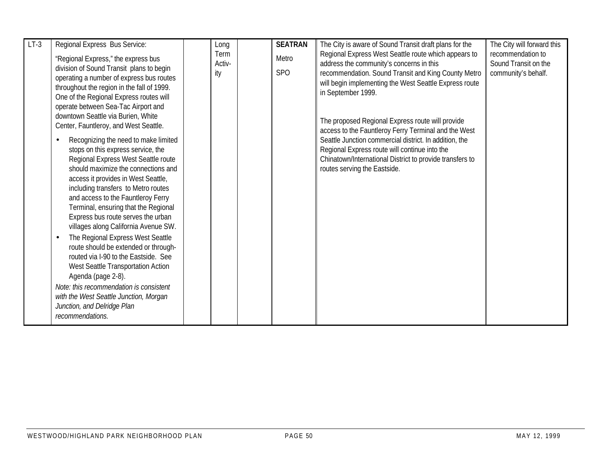| $LT-3$ | Regional Express Bus Service:                                                                                                                                                                                                                                                                                                                                                                                                                                                                                                                                                                                                                                                                                                                                                                                                                                                                                                                                                                                                                                                   | Long                  | <b>SEATRAN</b>           | The City is aware of Sound Transit draft plans for the                                                                                                                                                                                                                                                                                                                                                                                                                                                                                                     | The City will forward this                                       |
|--------|---------------------------------------------------------------------------------------------------------------------------------------------------------------------------------------------------------------------------------------------------------------------------------------------------------------------------------------------------------------------------------------------------------------------------------------------------------------------------------------------------------------------------------------------------------------------------------------------------------------------------------------------------------------------------------------------------------------------------------------------------------------------------------------------------------------------------------------------------------------------------------------------------------------------------------------------------------------------------------------------------------------------------------------------------------------------------------|-----------------------|--------------------------|------------------------------------------------------------------------------------------------------------------------------------------------------------------------------------------------------------------------------------------------------------------------------------------------------------------------------------------------------------------------------------------------------------------------------------------------------------------------------------------------------------------------------------------------------------|------------------------------------------------------------------|
|        | "Regional Express," the express bus<br>division of Sound Transit plans to begin<br>operating a number of express bus routes<br>throughout the region in the fall of 1999.<br>One of the Regional Express routes will<br>operate between Sea-Tac Airport and<br>downtown Seattle via Burien, White<br>Center, Fauntleroy, and West Seattle.<br>Recognizing the need to make limited<br>$\bullet$<br>stops on this express service, the<br>Regional Express West Seattle route<br>should maximize the connections and<br>access it provides in West Seattle,<br>including transfers to Metro routes<br>and access to the Fauntleroy Ferry<br>Terminal, ensuring that the Regional<br>Express bus route serves the urban<br>villages along California Avenue SW.<br>The Regional Express West Seattle<br>$\bullet$<br>route should be extended or through-<br>routed via I-90 to the Eastside. See<br>West Seattle Transportation Action<br>Agenda (page 2-8).<br>Note: this recommendation is consistent<br>with the West Seattle Junction, Morgan<br>Junction, and Delridge Plan | Term<br>Activ-<br>ity | Metro<br>SP <sub>O</sub> | Regional Express West Seattle route which appears to<br>address the community's concerns in this<br>recommendation. Sound Transit and King County Metro<br>will begin implementing the West Seattle Express route<br>in September 1999.<br>The proposed Regional Express route will provide<br>access to the Fauntleroy Ferry Terminal and the West<br>Seattle Junction commercial district. In addition, the<br>Regional Express route will continue into the<br>Chinatown/International District to provide transfers to<br>routes serving the Eastside. | recommendation to<br>Sound Transit on the<br>community's behalf. |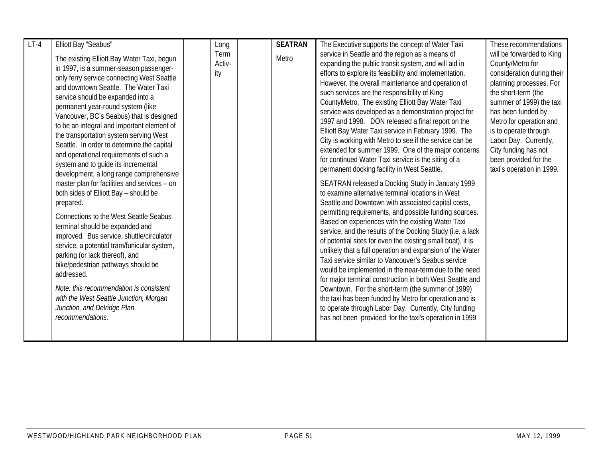| $LT-4$ | Elliott Bay "Seabus"                                                                                                                                                                                                                                                                                                                                                                                                                                                                                                                                                                                                                                                                                                                                                                                                                                                                                                                                                                                                                                                                   | Long                  | <b>SEATRAN</b> | The Executive supports the concept of Water Taxi                                                                                                                                                                                                                                                                                                                                                                                                                                                                                                                                                                                                                                                                                                                                                                                                                                                                                                                                                                                                                                                                                                                                                                                                                                                                                                                                                                                                                                                                                                                                                              | These recommendations                                                                                                                                                                                                                                                                                                                      |
|--------|----------------------------------------------------------------------------------------------------------------------------------------------------------------------------------------------------------------------------------------------------------------------------------------------------------------------------------------------------------------------------------------------------------------------------------------------------------------------------------------------------------------------------------------------------------------------------------------------------------------------------------------------------------------------------------------------------------------------------------------------------------------------------------------------------------------------------------------------------------------------------------------------------------------------------------------------------------------------------------------------------------------------------------------------------------------------------------------|-----------------------|----------------|---------------------------------------------------------------------------------------------------------------------------------------------------------------------------------------------------------------------------------------------------------------------------------------------------------------------------------------------------------------------------------------------------------------------------------------------------------------------------------------------------------------------------------------------------------------------------------------------------------------------------------------------------------------------------------------------------------------------------------------------------------------------------------------------------------------------------------------------------------------------------------------------------------------------------------------------------------------------------------------------------------------------------------------------------------------------------------------------------------------------------------------------------------------------------------------------------------------------------------------------------------------------------------------------------------------------------------------------------------------------------------------------------------------------------------------------------------------------------------------------------------------------------------------------------------------------------------------------------------------|--------------------------------------------------------------------------------------------------------------------------------------------------------------------------------------------------------------------------------------------------------------------------------------------------------------------------------------------|
|        | The existing Elliott Bay Water Taxi, begun<br>in 1997, is a summer-season passenger-<br>only ferry service connecting West Seattle<br>and downtown Seattle. The Water Taxi<br>service should be expanded into a<br>permanent year-round system (like<br>Vancouver, BC's Seabus) that is designed<br>to be an integral and important element of<br>the transportation system serving West<br>Seattle. In order to determine the capital<br>and operational requirements of such a<br>system and to guide its incremental<br>development, a long range comprehensive<br>master plan for facilities and services - on<br>both sides of Elliott Bay - should be<br>prepared.<br><b>Connections to the West Seattle Seabus</b><br>terminal should be expanded and<br>improved. Bus service, shuttle/circulator<br>service, a potential tram/funicular system,<br>parking (or lack thereof), and<br>bike/pedestrian pathways should be<br>addressed.<br>Note: this recommendation is consistent<br>with the West Seattle Junction, Morgan<br>Junction, and Delridge Plan<br>recommendations. | Term<br>Activ-<br>ity | Metro          | service in Seattle and the region as a means of<br>expanding the public transit system, and will aid in<br>efforts to explore its feasibility and implementation.<br>However, the overall maintenance and operation of<br>such services are the responsibility of King<br>CountyMetro. The existing Elliott Bay Water Taxi<br>service was developed as a demonstration project for<br>1997 and 1998. DON released a final report on the<br>Elliott Bay Water Taxi service in February 1999. The<br>City is working with Metro to see if the service can be<br>extended for summer 1999. One of the major concerns<br>for continued Water Taxi service is the siting of a<br>permanent docking facility in West Seattle.<br>SEATRAN released a Docking Study in January 1999<br>to examine alternative terminal locations in West<br>Seattle and Downtown with associated capital costs,<br>permitting requirements, and possible funding sources.<br>Based on experiences with the existing Water Taxi<br>service, and the results of the Docking Study (i.e. a lack<br>of potential sites for even the existing small boat), it is<br>unlikely that a full operation and expansion of the Water<br>Taxi service similar to Vancouver's Seabus service<br>would be implemented in the near-term due to the need<br>for major terminal construction in both West Seattle and<br>Downtown. For the short-term (the summer of 1999)<br>the taxi has been funded by Metro for operation and is<br>to operate through Labor Day. Currently, City funding<br>has not been provided for the taxi's operation in 1999 | will be forwarded to King<br>County/Metro for<br>consideration during their<br>planning processes. For<br>the short-term (the<br>summer of 1999) the taxi<br>has been funded by<br>Metro for operation and<br>is to operate through<br>Labor Day. Currently,<br>City funding has not<br>been provided for the<br>taxi's operation in 1999. |
|        |                                                                                                                                                                                                                                                                                                                                                                                                                                                                                                                                                                                                                                                                                                                                                                                                                                                                                                                                                                                                                                                                                        |                       |                |                                                                                                                                                                                                                                                                                                                                                                                                                                                                                                                                                                                                                                                                                                                                                                                                                                                                                                                                                                                                                                                                                                                                                                                                                                                                                                                                                                                                                                                                                                                                                                                                               |                                                                                                                                                                                                                                                                                                                                            |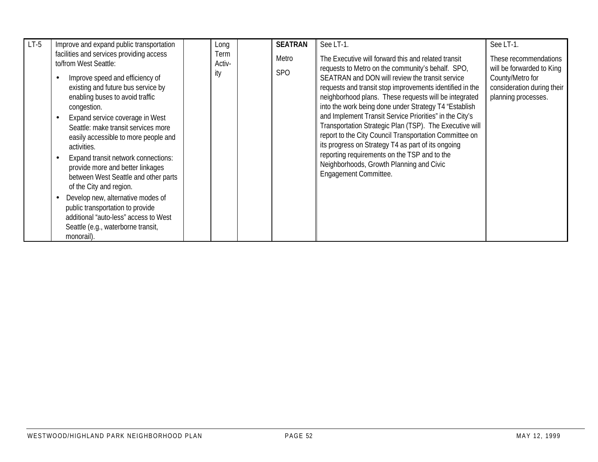| $LT-5$ | Improve and expand public transportation                                                                                                                                                                                                                                                                                                                                                                                                                                                                                                                                                                                                          | Long                  | <b>SEATRAN</b> | See LT-1.                                                                                                                                                                                                                                                                                                                                                                                                                                                                                                                                                                                                                                                                                            | See LT-1.                                                                                                                   |
|--------|---------------------------------------------------------------------------------------------------------------------------------------------------------------------------------------------------------------------------------------------------------------------------------------------------------------------------------------------------------------------------------------------------------------------------------------------------------------------------------------------------------------------------------------------------------------------------------------------------------------------------------------------------|-----------------------|----------------|------------------------------------------------------------------------------------------------------------------------------------------------------------------------------------------------------------------------------------------------------------------------------------------------------------------------------------------------------------------------------------------------------------------------------------------------------------------------------------------------------------------------------------------------------------------------------------------------------------------------------------------------------------------------------------------------------|-----------------------------------------------------------------------------------------------------------------------------|
|        | facilities and services providing access<br>to/from West Seattle:<br>Improve speed and efficiency of<br>existing and future bus service by<br>enabling buses to avoid traffic<br>congestion.<br>Expand service coverage in West<br>Seattle: make transit services more<br>easily accessible to more people and<br>activities.<br>Expand transit network connections:<br>provide more and better linkages<br>between West Seattle and other parts<br>of the City and region.<br>Develop new, alternative modes of<br>public transportation to provide<br>additional "auto-less" access to West<br>Seattle (e.g., waterborne transit,<br>monorail). | Term<br>Activ-<br>ity | Metro<br>SPO   | The Executive will forward this and related transit<br>requests to Metro on the community's behalf. SPO,<br>SEATRAN and DON will review the transit service<br>requests and transit stop improvements identified in the<br>neighborhood plans. These requests will be integrated<br>into the work being done under Strategy T4 "Establish<br>and Implement Transit Service Priorities" in the City's<br>Transportation Strategic Plan (TSP). The Executive will<br>report to the City Council Transportation Committee on<br>its progress on Strategy T4 as part of its ongoing<br>reporting requirements on the TSP and to the<br>Neighborhoods, Growth Planning and Civic<br>Engagement Committee. | These recommendations<br>will be forwarded to King<br>County/Metro for<br>consideration during their<br>planning processes. |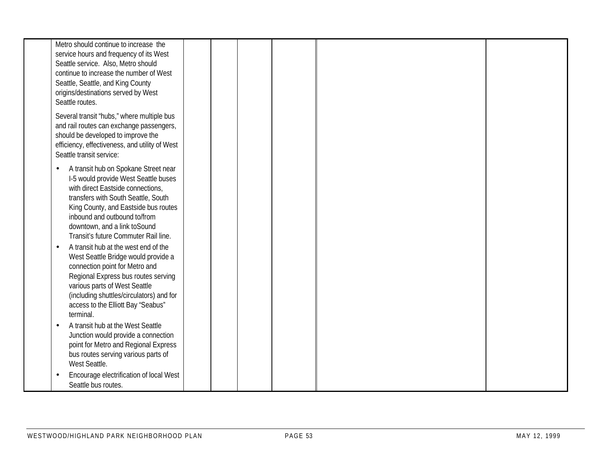|                        | Metro should continue to increase the<br>service hours and frequency of its West<br>Seattle service. Also, Metro should<br>continue to increase the number of West<br>Seattle, Seattle, and King County<br>origins/destinations served by West<br>Seattle routes.                                                                                                                                                                                                                                                                                                                                |  |  |  |  |
|------------------------|--------------------------------------------------------------------------------------------------------------------------------------------------------------------------------------------------------------------------------------------------------------------------------------------------------------------------------------------------------------------------------------------------------------------------------------------------------------------------------------------------------------------------------------------------------------------------------------------------|--|--|--|--|
|                        | Several transit "hubs," where multiple bus<br>and rail routes can exchange passengers,<br>should be developed to improve the<br>efficiency, effectiveness, and utility of West<br>Seattle transit service:                                                                                                                                                                                                                                                                                                                                                                                       |  |  |  |  |
| $\bullet$<br>$\bullet$ | A transit hub on Spokane Street near<br>I-5 would provide West Seattle buses<br>with direct Eastside connections,<br>transfers with South Seattle, South<br>King County, and Eastside bus routes<br>inbound and outbound to/from<br>downtown, and a link toSound<br>Transit's future Commuter Rail line.<br>A transit hub at the west end of the<br>West Seattle Bridge would provide a<br>connection point for Metro and<br>Regional Express bus routes serving<br>various parts of West Seattle<br>(including shuttles/circulators) and for<br>access to the Elliott Bay "Seabus"<br>terminal. |  |  |  |  |
| $\bullet$              | A transit hub at the West Seattle<br>Junction would provide a connection<br>point for Metro and Regional Express<br>bus routes serving various parts of<br>West Seattle.                                                                                                                                                                                                                                                                                                                                                                                                                         |  |  |  |  |
| $\bullet$              | Encourage electrification of local West<br>Seattle bus routes.                                                                                                                                                                                                                                                                                                                                                                                                                                                                                                                                   |  |  |  |  |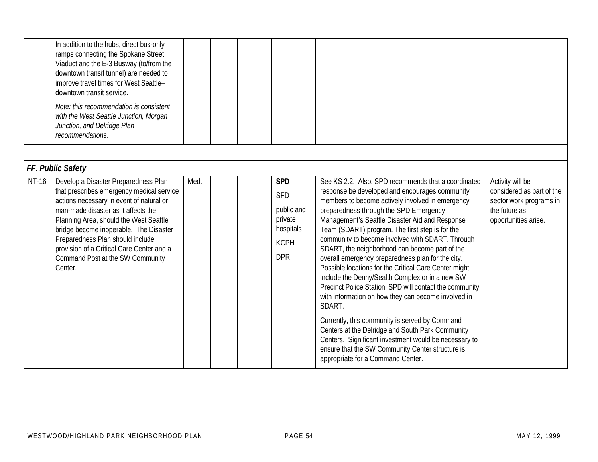|              | In addition to the hubs, direct bus-only<br>ramps connecting the Spokane Street<br>Viaduct and the E-3 Busway (to/from the<br>downtown transit tunnel) are needed to<br>improve travel times for West Seattle-<br>downtown transit service.<br>Note: this recommendation is consistent<br>with the West Seattle Junction, Morgan<br>Junction, and Delridge Plan<br>recommendations.      |      |  |                                                                                             |                                                                                                                                                                                                                                                                                                                                                                                                                                                                                                                                                                                                                                                                                                                                                                                                                                                                                                                                                                     |                                                                                                                   |
|--------------|------------------------------------------------------------------------------------------------------------------------------------------------------------------------------------------------------------------------------------------------------------------------------------------------------------------------------------------------------------------------------------------|------|--|---------------------------------------------------------------------------------------------|---------------------------------------------------------------------------------------------------------------------------------------------------------------------------------------------------------------------------------------------------------------------------------------------------------------------------------------------------------------------------------------------------------------------------------------------------------------------------------------------------------------------------------------------------------------------------------------------------------------------------------------------------------------------------------------------------------------------------------------------------------------------------------------------------------------------------------------------------------------------------------------------------------------------------------------------------------------------|-------------------------------------------------------------------------------------------------------------------|
|              | FF. Public Safety                                                                                                                                                                                                                                                                                                                                                                        |      |  |                                                                                             |                                                                                                                                                                                                                                                                                                                                                                                                                                                                                                                                                                                                                                                                                                                                                                                                                                                                                                                                                                     |                                                                                                                   |
| <b>NT-16</b> | Develop a Disaster Preparedness Plan<br>that prescribes emergency medical service<br>actions necessary in event of natural or<br>man-made disaster as it affects the<br>Planning Area, should the West Seattle<br>bridge become inoperable. The Disaster<br>Preparedness Plan should include<br>provision of a Critical Care Center and a<br>Command Post at the SW Community<br>Center. | Med. |  | <b>SPD</b><br><b>SFD</b><br>public and<br>private<br>hospitals<br><b>KCPH</b><br><b>DPR</b> | See KS 2.2. Also, SPD recommends that a coordinated<br>response be developed and encourages community<br>members to become actively involved in emergency<br>preparedness through the SPD Emergency<br>Management's Seattle Disaster Aid and Response<br>Team (SDART) program. The first step is for the<br>community to become involved with SDART. Through<br>SDART, the neighborhood can become part of the<br>overall emergency preparedness plan for the city.<br>Possible locations for the Critical Care Center might<br>include the Denny/Sealth Complex or in a new SW<br>Precinct Police Station. SPD will contact the community<br>with information on how they can become involved in<br>SDART.<br>Currently, this community is served by Command<br>Centers at the Delridge and South Park Community<br>Centers. Significant investment would be necessary to<br>ensure that the SW Community Center structure is<br>appropriate for a Command Center. | Activity will be<br>considered as part of the<br>sector work programs in<br>the future as<br>opportunities arise. |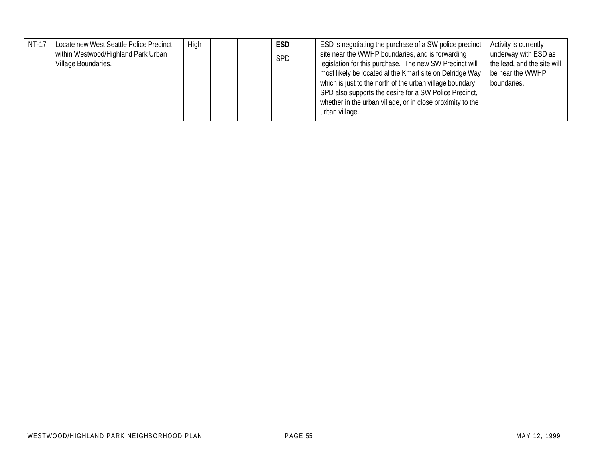| NT-17 | Locate new West Seattle Police Precinct<br>within Westwood/Highland Park Urban<br>Village Boundaries. | High |  | <b>ESD</b><br><b>SPD</b> | ESD is negotiating the purchase of a SW police precinct<br>site near the WWHP boundaries, and is forwarding<br>legislation for this purchase. The new SW Precinct will<br>most likely be located at the Kmart site on Delridge Way<br>which is just to the north of the urban village boundary.<br>SPD also supports the desire for a SW Police Precinct, | Activity is currently<br>underway with ESD as<br>the lead, and the site will<br>be near the WWHP<br>boundaries. |
|-------|-------------------------------------------------------------------------------------------------------|------|--|--------------------------|-----------------------------------------------------------------------------------------------------------------------------------------------------------------------------------------------------------------------------------------------------------------------------------------------------------------------------------------------------------|-----------------------------------------------------------------------------------------------------------------|
|       |                                                                                                       |      |  |                          | whether in the urban village, or in close proximity to the<br>urban village.                                                                                                                                                                                                                                                                              |                                                                                                                 |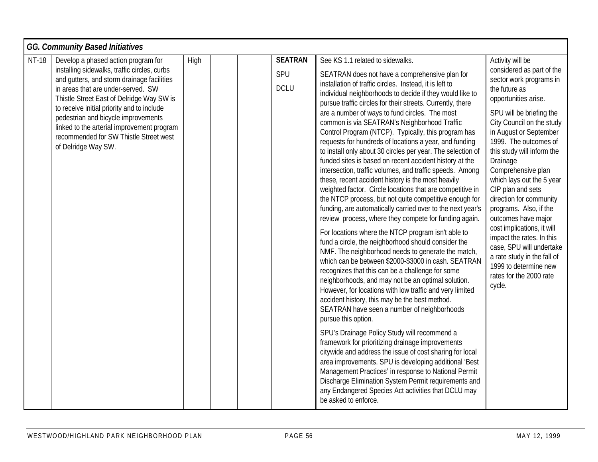|              | <b>GG. Community Based Initiatives</b>                                                                                                                                                                                                                                                                                                                                                                                   |      |  |                                      |                                                                                                                                                                                                                                                                                                                                                                                                                                                                                                                                                                                                                                                                                                                                                                                                                                                                                                                                                                                                                                                                                                                                                                                                                                                                                                                                                                                                                                                                                                                                                                                                                                                                                                                                                                                                                                                                                                                                      |                                                                                                                                                                                                                                                                                                                                                                                                                                                                                                                                                                                                                 |  |  |
|--------------|--------------------------------------------------------------------------------------------------------------------------------------------------------------------------------------------------------------------------------------------------------------------------------------------------------------------------------------------------------------------------------------------------------------------------|------|--|--------------------------------------|--------------------------------------------------------------------------------------------------------------------------------------------------------------------------------------------------------------------------------------------------------------------------------------------------------------------------------------------------------------------------------------------------------------------------------------------------------------------------------------------------------------------------------------------------------------------------------------------------------------------------------------------------------------------------------------------------------------------------------------------------------------------------------------------------------------------------------------------------------------------------------------------------------------------------------------------------------------------------------------------------------------------------------------------------------------------------------------------------------------------------------------------------------------------------------------------------------------------------------------------------------------------------------------------------------------------------------------------------------------------------------------------------------------------------------------------------------------------------------------------------------------------------------------------------------------------------------------------------------------------------------------------------------------------------------------------------------------------------------------------------------------------------------------------------------------------------------------------------------------------------------------------------------------------------------------|-----------------------------------------------------------------------------------------------------------------------------------------------------------------------------------------------------------------------------------------------------------------------------------------------------------------------------------------------------------------------------------------------------------------------------------------------------------------------------------------------------------------------------------------------------------------------------------------------------------------|--|--|
| <b>NT-18</b> | Develop a phased action program for<br>installing sidewalks, traffic circles, curbs<br>and gutters, and storm drainage facilities<br>in areas that are under-served. SW<br>Thistle Street East of Delridge Way SW is<br>to receive initial priority and to include<br>pedestrian and bicycle improvements<br>linked to the arterial improvement program<br>recommended for SW Thistle Street west<br>of Delridge Way SW. | High |  | <b>SEATRAN</b><br>SPU<br><b>DCLU</b> | See KS 1.1 related to sidewalks.<br>SEATRAN does not have a comprehensive plan for<br>installation of traffic circles. Instead, it is left to<br>individual neighborhoods to decide if they would like to<br>pursue traffic circles for their streets. Currently, there<br>are a number of ways to fund circles. The most<br>common is via SEATRAN's Neighborhood Traffic<br>Control Program (NTCP). Typically, this program has<br>requests for hundreds of locations a year, and funding<br>to install only about 30 circles per year. The selection of<br>funded sites is based on recent accident history at the<br>intersection, traffic volumes, and traffic speeds. Among<br>these, recent accident history is the most heavily<br>weighted factor. Circle locations that are competitive in<br>the NTCP process, but not quite competitive enough for<br>funding, are automatically carried over to the next year's<br>review process, where they compete for funding again.<br>For locations where the NTCP program isn't able to<br>fund a circle, the neighborhood should consider the<br>NMF. The neighborhood needs to generate the match,<br>which can be between \$2000-\$3000 in cash. SEATRAN<br>recognizes that this can be a challenge for some<br>neighborhoods, and may not be an optimal solution.<br>However, for locations with low traffic and very limited<br>accident history, this may be the best method.<br>SEATRAN have seen a number of neighborhoods<br>pursue this option.<br>SPU's Drainage Policy Study will recommend a<br>framework for prioritizing drainage improvements<br>citywide and address the issue of cost sharing for local<br>area improvements. SPU is developing additional 'Best<br>Management Practices' in response to National Permit<br>Discharge Elimination System Permit requirements and<br>any Endangered Species Act activities that DCLU may<br>be asked to enforce. | Activity will be<br>considered as part of the<br>sector work programs in<br>the future as<br>opportunities arise.<br>SPU will be briefing the<br>City Council on the study<br>in August or September<br>1999. The outcomes of<br>this study will inform the<br>Drainage<br>Comprehensive plan<br>which lays out the 5 year<br>CIP plan and sets<br>direction for community<br>programs. Also, if the<br>outcomes have major<br>cost implications, it will<br>impact the rates. In this<br>case, SPU will undertake<br>a rate study in the fall of<br>1999 to determine new<br>rates for the 2000 rate<br>cycle. |  |  |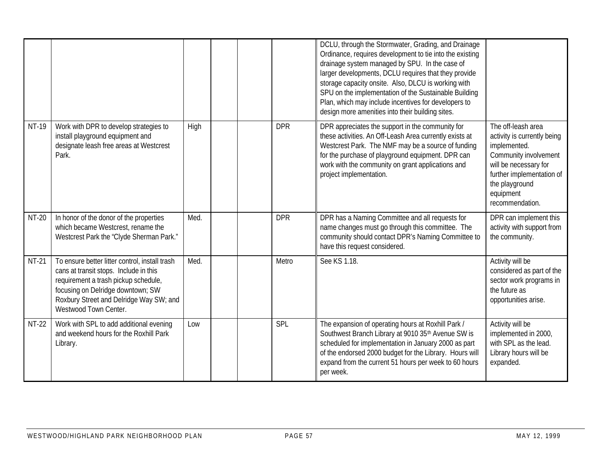|              |                                                                                                                                                                                                                                           |      |            | DCLU, through the Stormwater, Grading, and Drainage<br>Ordinance, requires development to tie into the existing<br>drainage system managed by SPU. In the case of<br>larger developments, DCLU requires that they provide<br>storage capacity onsite. Also, DLCU is working with<br>SPU on the implementation of the Sustainable Building<br>Plan, which may include incentives for developers to<br>design more amenities into their building sites. |                                                                                                                                                                                                    |
|--------------|-------------------------------------------------------------------------------------------------------------------------------------------------------------------------------------------------------------------------------------------|------|------------|-------------------------------------------------------------------------------------------------------------------------------------------------------------------------------------------------------------------------------------------------------------------------------------------------------------------------------------------------------------------------------------------------------------------------------------------------------|----------------------------------------------------------------------------------------------------------------------------------------------------------------------------------------------------|
| NT-19        | Work with DPR to develop strategies to<br>install playground equipment and<br>designate leash free areas at Westcrest<br>Park.                                                                                                            | High | <b>DPR</b> | DPR appreciates the support in the community for<br>these activities. An Off-Leash Area currently exists at<br>Westcrest Park. The NMF may be a source of funding<br>for the purchase of playground equipment. DPR can<br>work with the community on grant applications and<br>project implementation.                                                                                                                                                | The off-leash area<br>activity is currently being<br>implemented.<br>Community involvement<br>will be necessary for<br>further implementation of<br>the playground<br>equipment<br>recommendation. |
| <b>NT-20</b> | In honor of the donor of the properties<br>which became Westcrest, rename the<br>Westcrest Park the "Clyde Sherman Park."                                                                                                                 | Med. | <b>DPR</b> | DPR has a Naming Committee and all requests for<br>name changes must go through this committee. The<br>community should contact DPR's Naming Committee to<br>have this request considered.                                                                                                                                                                                                                                                            | DPR can implement this<br>activity with support from<br>the community.                                                                                                                             |
| <b>NT-21</b> | To ensure better litter control, install trash<br>cans at transit stops. Include in this<br>requirement a trash pickup schedule,<br>focusing on Delridge downtown; SW<br>Roxbury Street and Delridge Way SW; and<br>Westwood Town Center. | Med. | Metro      | See KS 1.18.                                                                                                                                                                                                                                                                                                                                                                                                                                          | Activity will be<br>considered as part of the<br>sector work programs in<br>the future as<br>opportunities arise.                                                                                  |
| NT-22        | Work with SPL to add additional evening<br>and weekend hours for the Roxhill Park<br>Library.                                                                                                                                             | Low  | SPL        | The expansion of operating hours at Roxhill Park /<br>Southwest Branch Library at 9010 35th Avenue SW is<br>scheduled for implementation in January 2000 as part<br>of the endorsed 2000 budget for the Library. Hours will<br>expand from the current 51 hours per week to 60 hours<br>per week.                                                                                                                                                     | Activity will be<br>implemented in 2000,<br>with SPL as the lead.<br>Library hours will be<br>expanded.                                                                                            |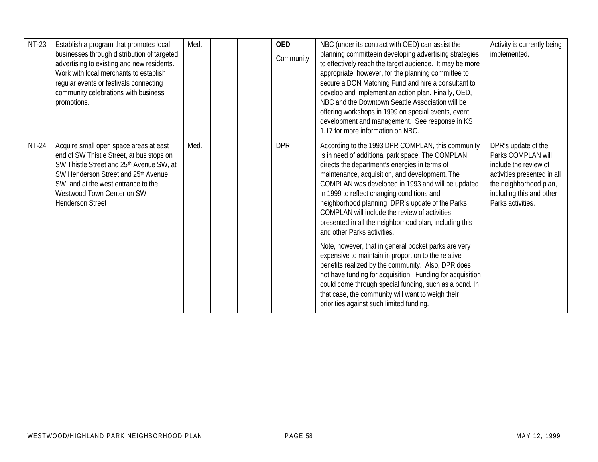| <b>NT-23</b> | Establish a program that promotes local<br>businesses through distribution of targeted<br>advertising to existing and new residents.<br>Work with local merchants to establish<br>regular events or festivals connecting<br>community celebrations with business<br>promotions. | Med. | <b>OED</b><br>Community | NBC (under its contract with OED) can assist the<br>planning committeein developing advertising strategies<br>to effectively reach the target audience. It may be more<br>appropriate, however, for the planning committee to<br>secure a DON Matching Fund and hire a consultant to<br>develop and implement an action plan. Finally, OED,<br>NBC and the Downtown Seattle Association will be<br>offering workshops in 1999 on special events, event<br>development and management. See response in KS<br>1.17 for more information on NBC.                                                                            | Activity is currently being<br>implemented.                                                                                                                                  |
|--------------|---------------------------------------------------------------------------------------------------------------------------------------------------------------------------------------------------------------------------------------------------------------------------------|------|-------------------------|--------------------------------------------------------------------------------------------------------------------------------------------------------------------------------------------------------------------------------------------------------------------------------------------------------------------------------------------------------------------------------------------------------------------------------------------------------------------------------------------------------------------------------------------------------------------------------------------------------------------------|------------------------------------------------------------------------------------------------------------------------------------------------------------------------------|
| <b>NT-24</b> | Acquire small open space areas at east<br>end of SW Thistle Street, at bus stops on<br>SW Thistle Street and 25th Avenue SW, at<br>SW Henderson Street and 25th Avenue<br>SW, and at the west entrance to the<br>Westwood Town Center on SW<br><b>Henderson Street</b>          | Med. | <b>DPR</b>              | According to the 1993 DPR COMPLAN, this community<br>is in need of additional park space. The COMPLAN<br>directs the department's energies in terms of<br>maintenance, acquisition, and development. The<br>COMPLAN was developed in 1993 and will be updated<br>in 1999 to reflect changing conditions and<br>neighborhood planning. DPR's update of the Parks<br>COMPLAN will include the review of activities<br>presented in all the neighborhood plan, including this<br>and other Parks activities.<br>Note, however, that in general pocket parks are very<br>expensive to maintain in proportion to the relative | DPR's update of the<br>Parks COMPLAN will<br>include the review of<br>activities presented in all<br>the neighborhood plan,<br>including this and other<br>Parks activities. |
|              |                                                                                                                                                                                                                                                                                 |      |                         | benefits realized by the community. Also, DPR does<br>not have funding for acquisition. Funding for acquisition<br>could come through special funding, such as a bond. In<br>that case, the community will want to weigh their<br>priorities against such limited funding.                                                                                                                                                                                                                                                                                                                                               |                                                                                                                                                                              |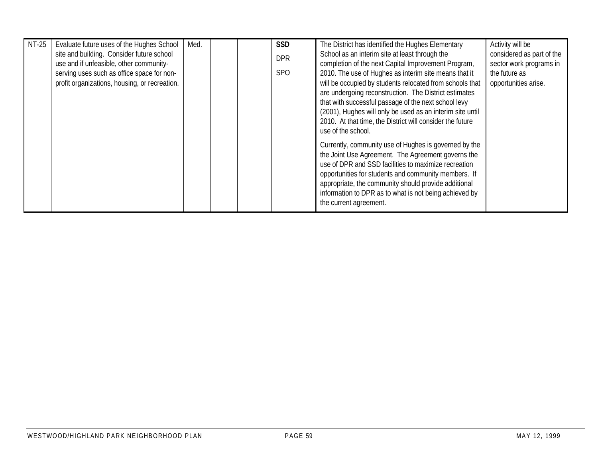| NT-25 | Evaluate future uses of the Hughes School     | Med. |  | <b>SSD</b> | The District has identified the Hughes Elementary         | Activity will be          |
|-------|-----------------------------------------------|------|--|------------|-----------------------------------------------------------|---------------------------|
|       | site and building. Consider future school     |      |  | <b>DPR</b> | School as an interim site at least through the            | considered as part of the |
|       | use and if unfeasible, other community-       |      |  |            | completion of the next Capital Improvement Program,       | sector work programs in   |
|       | serving uses such as office space for non-    |      |  | <b>SPO</b> | 2010. The use of Hughes as interim site means that it     | the future as             |
|       | profit organizations, housing, or recreation. |      |  |            | will be occupied by students relocated from schools that  | opportunities arise.      |
|       |                                               |      |  |            | are undergoing reconstruction. The District estimates     |                           |
|       |                                               |      |  |            | that with successful passage of the next school levy      |                           |
|       |                                               |      |  |            | (2001), Hughes will only be used as an interim site until |                           |
|       |                                               |      |  |            | 2010. At that time, the District will consider the future |                           |
|       |                                               |      |  |            | use of the school.                                        |                           |
|       |                                               |      |  |            | Currently, community use of Hughes is governed by the     |                           |
|       |                                               |      |  |            | the Joint Use Agreement. The Agreement governs the        |                           |
|       |                                               |      |  |            | use of DPR and SSD facilities to maximize recreation      |                           |
|       |                                               |      |  |            | opportunities for students and community members. If      |                           |
|       |                                               |      |  |            | appropriate, the community should provide additional      |                           |
|       |                                               |      |  |            | information to DPR as to what is not being achieved by    |                           |
|       |                                               |      |  |            | the current agreement.                                    |                           |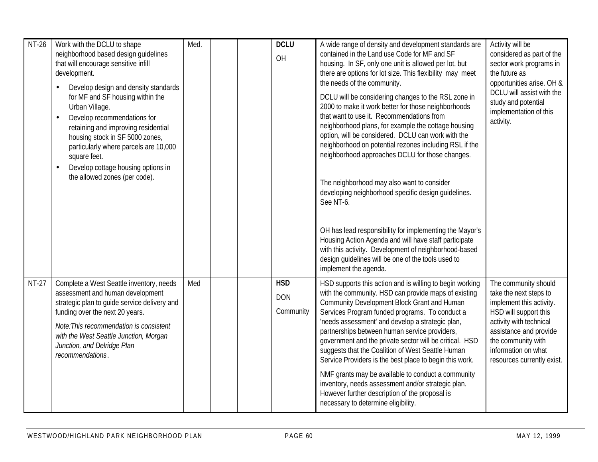| <b>NT-26</b> | Work with the DCLU to shape<br>neighborhood based design quidelines<br>that will encourage sensitive infill<br>development.<br>Develop design and density standards<br>for MF and SF housing within the<br>Urban Village.<br>Develop recommendations for<br>$\bullet$<br>retaining and improving residential<br>housing stock in SF 5000 zones,<br>particularly where parcels are 10,000<br>square feet.<br>Develop cottage housing options in<br>$\bullet$<br>the allowed zones (per code). | Med. |  | <b>DCLU</b><br>OH                     | A wide range of density and development standards are<br>contained in the Land use Code for MF and SF<br>housing. In SF, only one unit is allowed per lot, but<br>there are options for lot size. This flexibility may meet<br>the needs of the community.<br>DCLU will be considering changes to the RSL zone in<br>2000 to make it work better for those neighborhoods<br>that want to use it. Recommendations from<br>neighborhood plans, for example the cottage housing<br>option, will be considered. DCLU can work with the<br>neighborhood on potential rezones including RSL if the<br>neighborhood approaches DCLU for those changes.                                                        | Activity will be<br>considered as part of the<br>sector work programs in<br>the future as<br>opportunities arise. OH &<br>DCLU will assist with the<br>study and potential<br>implementation of this<br>activity.                   |
|--------------|----------------------------------------------------------------------------------------------------------------------------------------------------------------------------------------------------------------------------------------------------------------------------------------------------------------------------------------------------------------------------------------------------------------------------------------------------------------------------------------------|------|--|---------------------------------------|--------------------------------------------------------------------------------------------------------------------------------------------------------------------------------------------------------------------------------------------------------------------------------------------------------------------------------------------------------------------------------------------------------------------------------------------------------------------------------------------------------------------------------------------------------------------------------------------------------------------------------------------------------------------------------------------------------|-------------------------------------------------------------------------------------------------------------------------------------------------------------------------------------------------------------------------------------|
|              |                                                                                                                                                                                                                                                                                                                                                                                                                                                                                              |      |  |                                       | The neighborhood may also want to consider<br>developing neighborhood specific design guidelines.<br>See NT-6.<br>OH has lead responsibility for implementing the Mayor's<br>Housing Action Agenda and will have staff participate<br>with this activity. Development of neighborhood-based<br>design guidelines will be one of the tools used to<br>implement the agenda.                                                                                                                                                                                                                                                                                                                             |                                                                                                                                                                                                                                     |
| <b>NT-27</b> | Complete a West Seattle inventory, needs<br>assessment and human development<br>strategic plan to guide service delivery and<br>funding over the next 20 years.<br>Note: This recommendation is consistent<br>with the West Seattle Junction, Morgan<br>Junction, and Delridge Plan<br>recommendations.                                                                                                                                                                                      | Med  |  | <b>HSD</b><br><b>DON</b><br>Community | HSD supports this action and is willing to begin working<br>with the community. HSD can provide maps of existing<br>Community Development Block Grant and Human<br>Services Program funded programs. To conduct a<br>'needs assessment' and develop a strategic plan,<br>partnerships between human service providers,<br>government and the private sector will be critical. HSD<br>suggests that the Coalition of West Seattle Human<br>Service Providers is the best place to begin this work.<br>NMF grants may be available to conduct a community<br>inventory, needs assessment and/or strategic plan.<br>However further description of the proposal is<br>necessary to determine eligibility. | The community should<br>take the next steps to<br>implement this activity.<br>HSD will support this<br>activity with technical<br>assistance and provide<br>the community with<br>information on what<br>resources currently exist. |